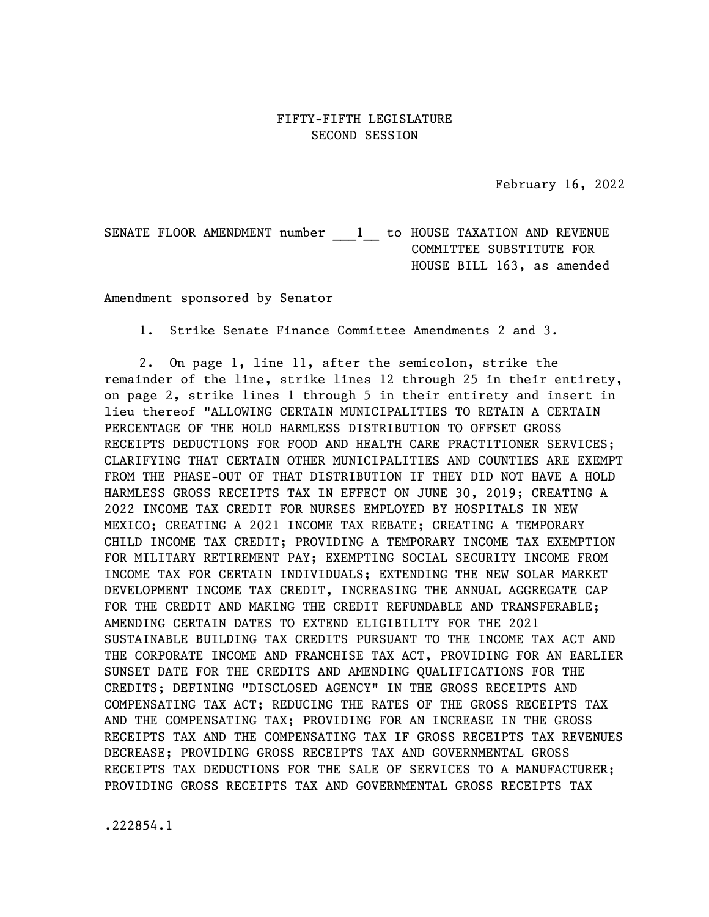February 16, 2022

SENATE FLOOR AMENDMENT number 1 to HOUSE TAXATION AND REVENUE COMMITTEE SUBSTITUTE FOR HOUSE BILL 163, as amended

Amendment sponsored by Senator

1. Strike Senate Finance Committee Amendments 2 and 3.

2. On page 1, line 11, after the semicolon, strike the remainder of the line, strike lines 12 through 25 in their entirety, on page 2, strike lines 1 through 5 in their entirety and insert in lieu thereof "ALLOWING CERTAIN MUNICIPALITIES TO RETAIN A CERTAIN PERCENTAGE OF THE HOLD HARMLESS DISTRIBUTION TO OFFSET GROSS RECEIPTS DEDUCTIONS FOR FOOD AND HEALTH CARE PRACTITIONER SERVICES; CLARIFYING THAT CERTAIN OTHER MUNICIPALITIES AND COUNTIES ARE EXEMPT FROM THE PHASE-OUT OF THAT DISTRIBUTION IF THEY DID NOT HAVE A HOLD HARMLESS GROSS RECEIPTS TAX IN EFFECT ON JUNE 30, 2019; CREATING A 2022 INCOME TAX CREDIT FOR NURSES EMPLOYED BY HOSPITALS IN NEW MEXICO; CREATING A 2021 INCOME TAX REBATE; CREATING A TEMPORARY CHILD INCOME TAX CREDIT; PROVIDING A TEMPORARY INCOME TAX EXEMPTION FOR MILITARY RETIREMENT PAY; EXEMPTING SOCIAL SECURITY INCOME FROM INCOME TAX FOR CERTAIN INDIVIDUALS; EXTENDING THE NEW SOLAR MARKET DEVELOPMENT INCOME TAX CREDIT, INCREASING THE ANNUAL AGGREGATE CAP FOR THE CREDIT AND MAKING THE CREDIT REFUNDABLE AND TRANSFERABLE; AMENDING CERTAIN DATES TO EXTEND ELIGIBILITY FOR THE 2021 SUSTAINABLE BUILDING TAX CREDITS PURSUANT TO THE INCOME TAX ACT AND THE CORPORATE INCOME AND FRANCHISE TAX ACT, PROVIDING FOR AN EARLIER SUNSET DATE FOR THE CREDITS AND AMENDING QUALIFICATIONS FOR THE CREDITS; DEFINING "DISCLOSED AGENCY" IN THE GROSS RECEIPTS AND COMPENSATING TAX ACT; REDUCING THE RATES OF THE GROSS RECEIPTS TAX AND THE COMPENSATING TAX; PROVIDING FOR AN INCREASE IN THE GROSS RECEIPTS TAX AND THE COMPENSATING TAX IF GROSS RECEIPTS TAX REVENUES DECREASE; PROVIDING GROSS RECEIPTS TAX AND GOVERNMENTAL GROSS RECEIPTS TAX DEDUCTIONS FOR THE SALE OF SERVICES TO A MANUFACTURER; PROVIDING GROSS RECEIPTS TAX AND GOVERNMENTAL GROSS RECEIPTS TAX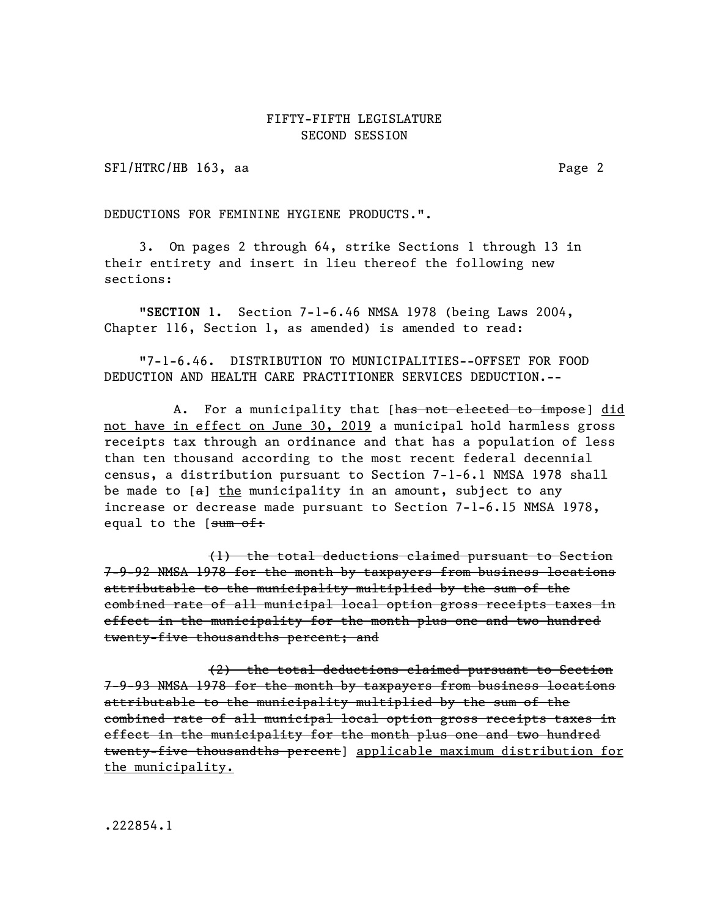SFl/HTRC/HB 163, aa Page 2

DEDUCTIONS FOR FEMININE HYGIENE PRODUCTS.".

3. On pages 2 through 64, strike Sections 1 through 13 in their entirety and insert in lieu thereof the following new sections:

"SECTION 1. Section 7-1-6.46 NMSA 1978 (being Laws 2004, Chapter 116, Section 1, as amended) is amended to read:

"7-1-6.46. DISTRIBUTION TO MUNICIPALITIES--OFFSET FOR FOOD DEDUCTION AND HEALTH CARE PRACTITIONER SERVICES DEDUCTION.--

A. For a municipality that [has not elected to impose] did not have in effect on June 30, 2019 a municipal hold harmless gross receipts tax through an ordinance and that has a population of less than ten thousand according to the most recent federal decennial census, a distribution pursuant to Section 7-1-6.1 NMSA 1978 shall be made to  $[a]$  the municipality in an amount, subject to any increase or decrease made pursuant to Section 7-1-6.15 NMSA 1978, equal to the [sum of:

(1) the total deductions claimed pursuant to Section 7-9-92 NMSA 1978 for the month by taxpayers from business locations attributable to the municipality multiplied by the sum of the combined rate of all municipal local option gross receipts taxes in effect in the municipality for the month plus one and two hundred twenty-five thousandths percent; and

(2) the total deductions claimed pursuant to Section 7-9-93 NMSA 1978 for the month by taxpayers from business locations attributable to the municipality multiplied by the sum of the combined rate of all municipal local option gross receipts taxes in effect in the municipality for the month plus one and two hundred twenty-five thousandths percent] applicable maximum distribution for the municipality.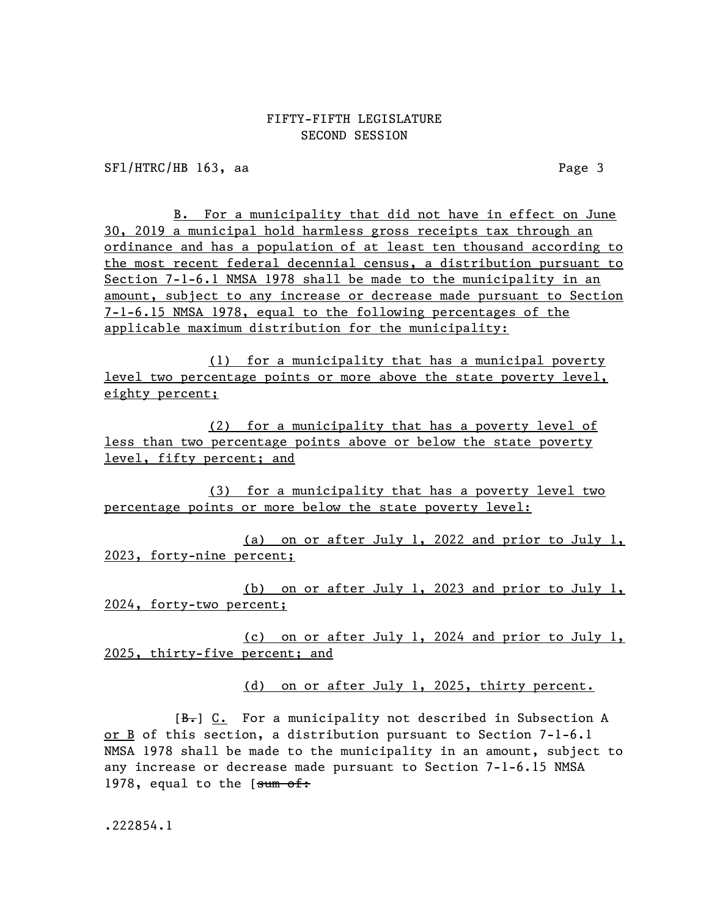SF1/HTRC/HB 163, aa Page 3

B. For a municipality that did not have in effect on June 30, 2019 a municipal hold harmless gross receipts tax through an ordinance and has a population of at least ten thousand according to the most recent federal decennial census, a distribution pursuant to Section 7-1-6.1 NMSA 1978 shall be made to the municipality in an amount, subject to any increase or decrease made pursuant to Section 7-1-6.15 NMSA 1978, equal to the following percentages of the applicable maximum distribution for the municipality:

(1) for a municipality that has a municipal poverty level two percentage points or more above the state poverty level, eighty percent;

(2) for a municipality that has a poverty level of less than two percentage points above or below the state poverty level, fifty percent; and

(3) for a municipality that has a poverty level two percentage points or more below the state poverty level:

(a) on or after July 1, 2022 and prior to July 1, 2023, forty-nine percent;

(b) on or after July 1, 2023 and prior to July 1, 2024, forty-two percent;

(c) on or after July 1, 2024 and prior to July 1, 2025, thirty-five percent; and

(d) on or after July 1, 2025, thirty percent.

 $[B<sub>r</sub>]$  C. For a municipality not described in Subsection A or B of this section, a distribution pursuant to Section 7-1-6.1 NMSA 1978 shall be made to the municipality in an amount, subject to any increase or decrease made pursuant to Section 7-1-6.15 NMSA 1978, equal to the [sum of: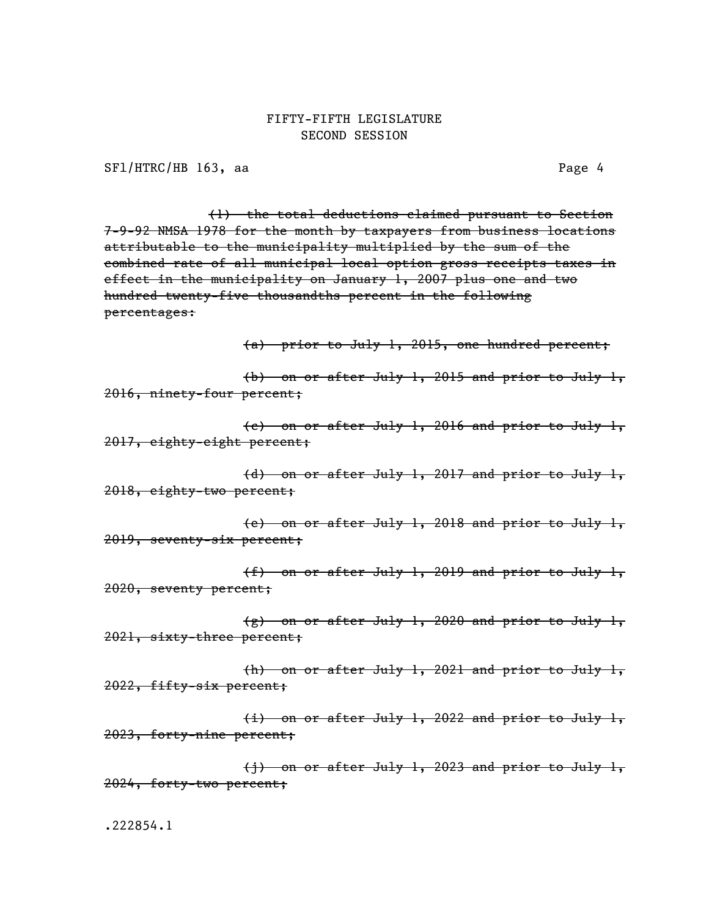SFl/HTRC/HB 163, aa Page 4

(1) the total deductions claimed pursuant to Section 7-9-92 NMSA 1978 for the month by taxpayers from business locations attributable to the municipality multiplied by the sum of the combined rate of all municipal local option gross receipts taxes in effect in the municipality on January 1, 2007 plus one and two hundred twenty-five thousandths percent in the following percentages:

(a) prior to July 1, 2015, one hundred percent;

(b) on or after July 1, 2015 and prior to July 1, 2016, ninety-four percent;

(c) on or after July 1, 2016 and prior to July 1, 2017, eighty-eight percent;

(d) on or after July 1, 2017 and prior to July 1, 2018, eighty-two percent;

(e) on or after July 1, 2018 and prior to July 1, 2019, seventy-six percent;

(f) on or after July 1, 2019 and prior to July 1, 2020, seventy percent;

(g) on or after July 1, 2020 and prior to July 1, 2021, sixty-three percent;

(h) on or after July 1, 2021 and prior to July 1, 2022, fifty-six percent;

(i) on or after July 1, 2022 and prior to July 1, 2023, forty-nine percent;

(j) on or after July 1, 2023 and prior to July 1, 2024, forty-two percent;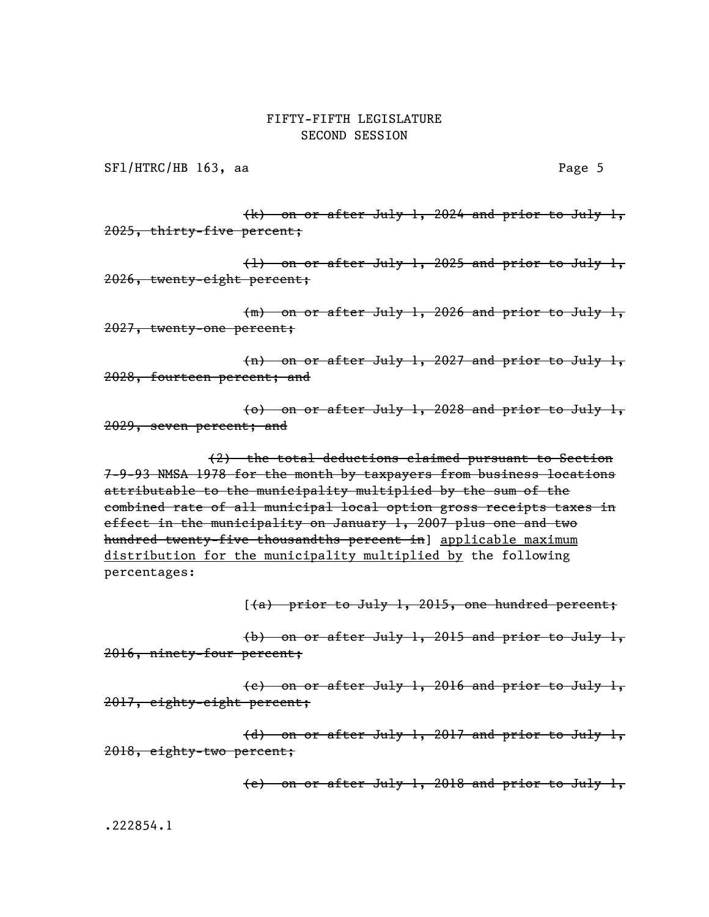SFl/HTRC/HB 163, aa Page 5

(k) on or after July 1, 2024 and prior to July 1, 2025, thirty-five percent;

(l) on or after July 1, 2025 and prior to July 1, 2026, twenty-eight percent;

(m) on or after July 1, 2026 and prior to July 1, 2027, twenty-one percent;

(n) on or after July 1, 2027 and prior to July 1, 2028, fourteen percent; and

(o) on or after July 1, 2028 and prior to July 1, 2029, seven percent; and

(2) the total deductions claimed pursuant to Section 7-9-93 NMSA 1978 for the month by taxpayers from business locations attributable to the municipality multiplied by the sum of the combined rate of all municipal local option gross receipts taxes in effect in the municipality on January 1, 2007 plus one and two hundred twenty-five thousandths percent in] applicable maximum distribution for the municipality multiplied by the following percentages:

 $(4)$  prior to July 1, 2015, one hundred percent;

(b) on or after July 1, 2015 and prior to July 1, 2016, ninety-four percent;

(c) on or after July 1, 2016 and prior to July 1, 2017, eighty-eight percent;

(d) on or after July 1, 2017 and prior to July 1, 2018, eighty-two percent;

(e) on or after July 1, 2018 and prior to July 1,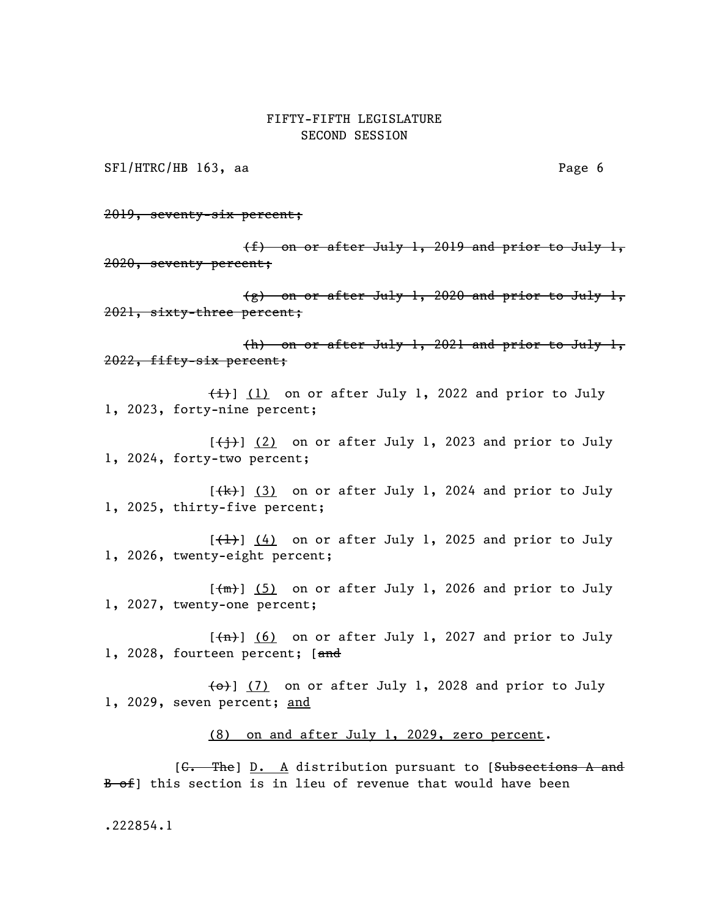SFl/HTRC/HB 163, aa Page 6

2019, seventy-six percent;

(f) on or after July 1, 2019 and prior to July 1, 2020, seventy percent;

 $(g)$  on or after July 1, 2020 and prior to July 1, 2021, sixty-three percent;

(h) on or after July 1, 2021 and prior to July 1, 2022, fifty-six percent;

 $\{\pm\}$ ] (1) on or after July 1, 2022 and prior to July 1, 2023, forty-nine percent;

 $[\frac{1}{1}]$  (2) on or after July 1, 2023 and prior to July 1, 2024, forty-two percent;

 $[\frac{1}{k}]$  (3) on or after July 1, 2024 and prior to July 1, 2025, thirty-five percent;

 $[\frac{1}{1}]$  (4) on or after July 1, 2025 and prior to July 1, 2026, twenty-eight percent;

 $[\frac{m}{m}]$  (5) on or after July 1, 2026 and prior to July 1, 2027, twenty-one percent;

 $[\frac{\pi}{1}]$  (6) on or after July 1, 2027 and prior to July 1, 2028, fourteen percent; [and

 $\left\{\Theta\right\}$  (7) on or after July 1, 2028 and prior to July 1, 2029, seven percent; and

(8) on and after July 1, 2029, zero percent.

[<del>C. The</del>] D. A distribution pursuant to [Subsections A and B of this section is in lieu of revenue that would have been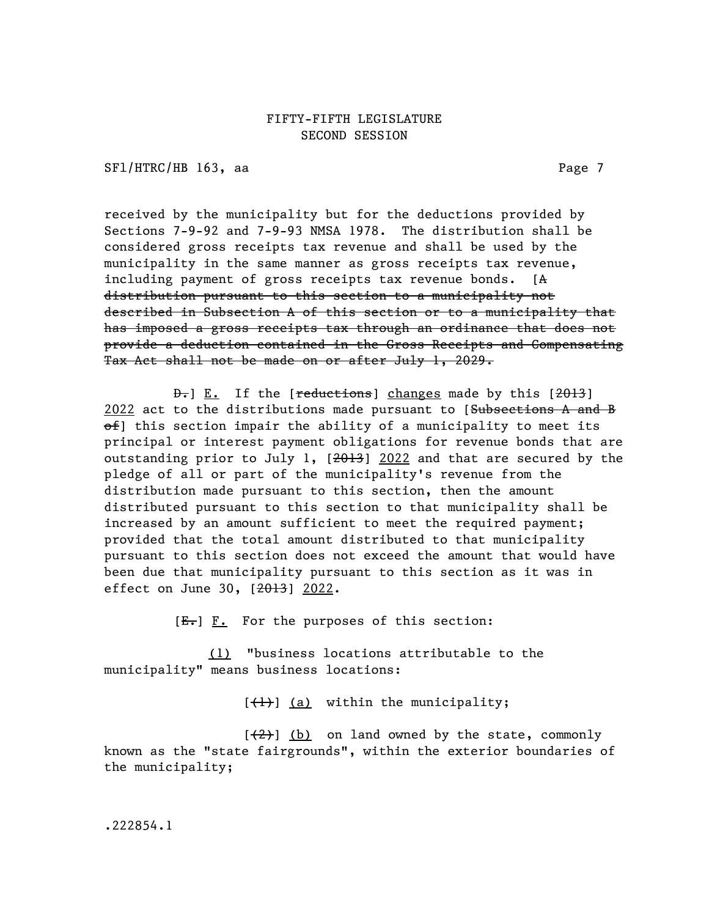SFl/HTRC/HB 163, aa Page 7

received by the municipality but for the deductions provided by Sections 7-9-92 and 7-9-93 NMSA 1978. The distribution shall be considered gross receipts tax revenue and shall be used by the municipality in the same manner as gross receipts tax revenue, including payment of gross receipts tax revenue bonds. [A distribution pursuant to this section to a municipality not described in Subsection A of this section or to a municipality that has imposed a gross receipts tax through an ordinance that does not provide a deduction contained in the Gross Receipts and Compensating Tax Act shall not be made on or after July 1, 2029.

 $\theta$ . If the [reductions] changes made by this [2013] 2022 act to the distributions made pursuant to [Subsections A and B  $ef$ ] this section impair the ability of a municipality to meet its principal or interest payment obligations for revenue bonds that are outstanding prior to July 1, [2013] 2022 and that are secured by the pledge of all or part of the municipality's revenue from the distribution made pursuant to this section, then the amount distributed pursuant to this section to that municipality shall be increased by an amount sufficient to meet the required payment; provided that the total amount distributed to that municipality pursuant to this section does not exceed the amount that would have been due that municipality pursuant to this section as it was in effect on June 30, [2013] 2022.

 $[E<sub>1</sub>]$   $\underline{F.}$  For the purposes of this section:

(1) "business locations attributable to the municipality" means business locations:

 $[\frac{1}{1}]$  (a) within the municipality;

 $[\frac{2}{2}]$  (b) on land owned by the state, commonly known as the "state fairgrounds", within the exterior boundaries of the municipality;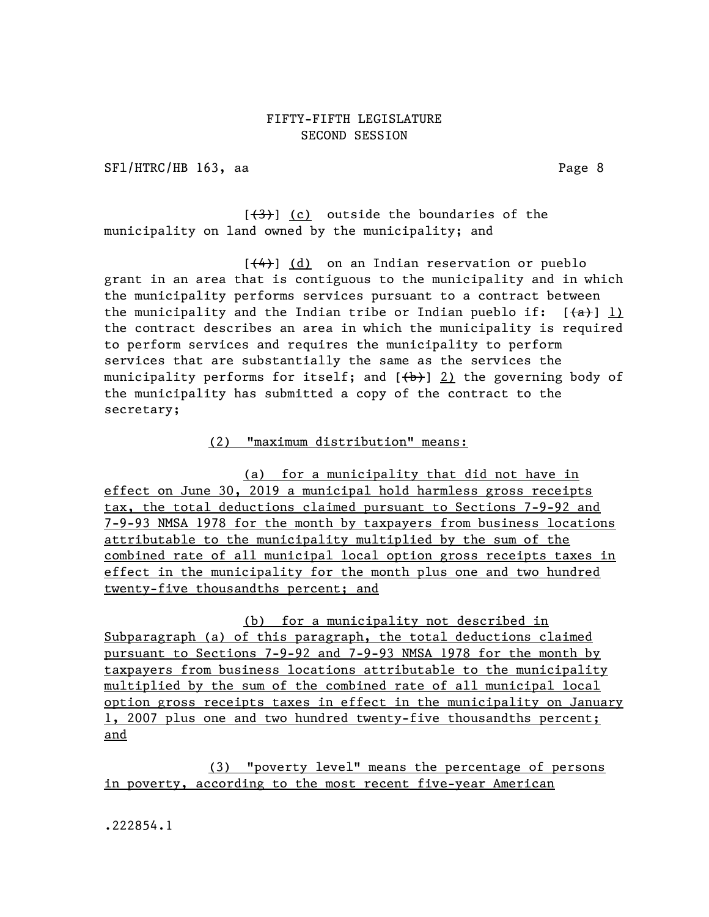SFl/HTRC/HB 163, aa Page 8

 $[\frac{(3)}{3}]$  (c) outside the boundaries of the municipality on land owned by the municipality; and

 $[\frac{(4)}{4}]$  (d) on an Indian reservation or pueblo grant in an area that is contiguous to the municipality and in which the municipality performs services pursuant to a contract between the municipality and the Indian tribe or Indian pueblo if:  $[(a)]$  1) the contract describes an area in which the municipality is required to perform services and requires the municipality to perform services that are substantially the same as the services the municipality performs for itself; and  $(\theta)$  2) the governing body of the municipality has submitted a copy of the contract to the secretary;

(2) "maximum distribution" means:

(a) for a municipality that did not have in effect on June 30, 2019 a municipal hold harmless gross receipts tax, the total deductions claimed pursuant to Sections 7-9-92 and 7-9-93 NMSA 1978 for the month by taxpayers from business locations attributable to the municipality multiplied by the sum of the combined rate of all municipal local option gross receipts taxes in effect in the municipality for the month plus one and two hundred twenty-five thousandths percent; and

(b) for a municipality not described in Subparagraph (a) of this paragraph, the total deductions claimed pursuant to Sections 7-9-92 and 7-9-93 NMSA 1978 for the month by taxpayers from business locations attributable to the municipality multiplied by the sum of the combined rate of all municipal local option gross receipts taxes in effect in the municipality on January 1, 2007 plus one and two hundred twenty-five thousandths percent; and

(3) "poverty level" means the percentage of persons in poverty, according to the most recent five-year American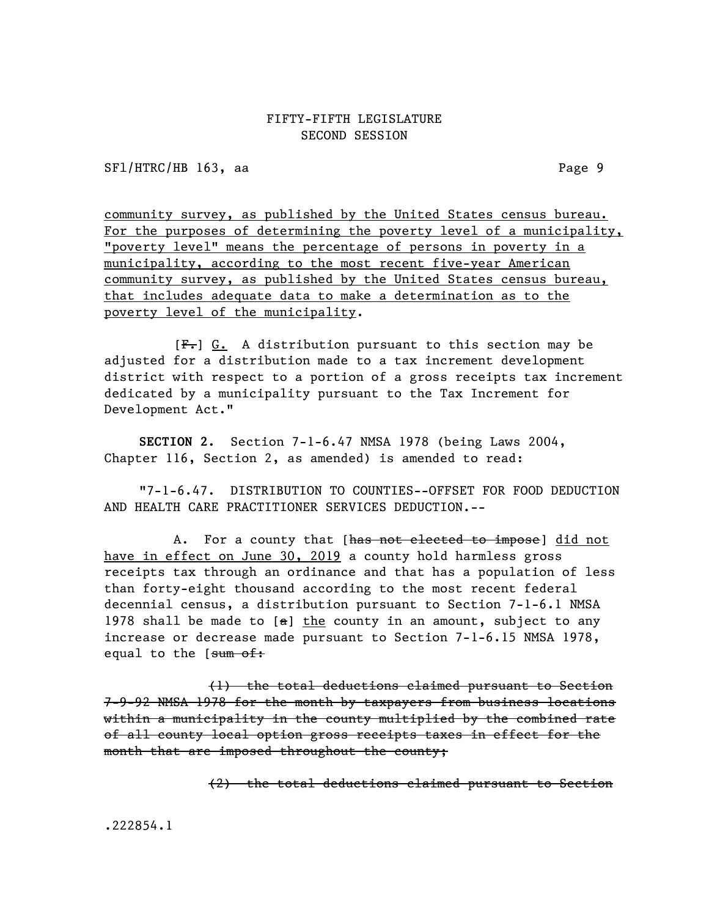SF1/HTRC/HB 163, aa Page 9

community survey, as published by the United States census bureau. For the purposes of determining the poverty level of a municipality, "poverty level" means the percentage of persons in poverty in a municipality, according to the most recent five-year American community survey, as published by the United States census bureau, that includes adequate data to make a determination as to the poverty level of the municipality.

 $[F<sub>1</sub>]$  G. A distribution pursuant to this section may be adjusted for a distribution made to a tax increment development district with respect to a portion of a gross receipts tax increment dedicated by a municipality pursuant to the Tax Increment for Development Act."

SECTION 2. Section 7-1-6.47 NMSA 1978 (being Laws 2004, Chapter 116, Section 2, as amended) is amended to read:

"7-1-6.47. DISTRIBUTION TO COUNTIES--OFFSET FOR FOOD DEDUCTION AND HEALTH CARE PRACTITIONER SERVICES DEDUCTION.--

A. For a county that [has not elected to impose] did not have in effect on June 30, 2019 a county hold harmless gross receipts tax through an ordinance and that has a population of less than forty-eight thousand according to the most recent federal decennial census, a distribution pursuant to Section 7-1-6.1 NMSA 1978 shall be made to  $[**a**]$  the county in an amount, subject to any increase or decrease made pursuant to Section 7-1-6.15 NMSA 1978, equal to the [sum of:

(1) the total deductions claimed pursuant to Section 7-9-92 NMSA 1978 for the month by taxpayers from business locations within a municipality in the county multiplied by the combined rate of all county local option gross receipts taxes in effect for the month that are imposed throughout the county;

(2) the total deductions claimed pursuant to Section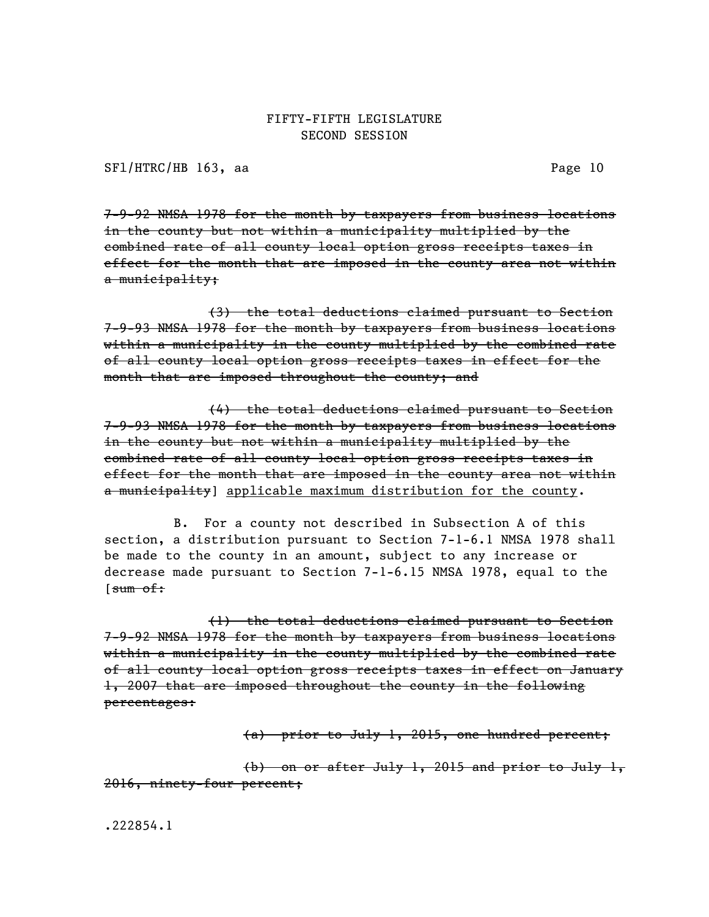SFl/HTRC/HB 163, aa Page 10

7-9-92 NMSA 1978 for the month by taxpayers from business locations in the county but not within a municipality multiplied by the combined rate of all county local option gross receipts taxes in effect for the month that are imposed in the county area not within a municipality;

(3) the total deductions claimed pursuant to Section 7-9-93 NMSA 1978 for the month by taxpayers from business locations within a municipality in the county multiplied by the combined rate of all county local option gross receipts taxes in effect for the month that are imposed throughout the county; and

(4) the total deductions claimed pursuant to Section 7-9-93 NMSA 1978 for the month by taxpayers from business locations in the county but not within a municipality multiplied by the combined rate of all county local option gross receipts taxes in effect for the month that are imposed in the county area not within a municipality] applicable maximum distribution for the county.

B. For a county not described in Subsection A of this section, a distribution pursuant to Section 7-1-6.1 NMSA 1978 shall be made to the county in an amount, subject to any increase or decrease made pursuant to Section 7-1-6.15 NMSA 1978, equal to the  $[sum of:$ 

(1) the total deductions claimed pursuant to Section 7-9-92 NMSA 1978 for the month by taxpayers from business locations within a municipality in the county multiplied by the combined rate of all county local option gross receipts taxes in effect on January 1, 2007 that are imposed throughout the county in the following percentages:

(a) prior to July 1, 2015, one hundred percent;

(b) on or after July 1, 2015 and prior to July 1, 2016, ninety-four percent;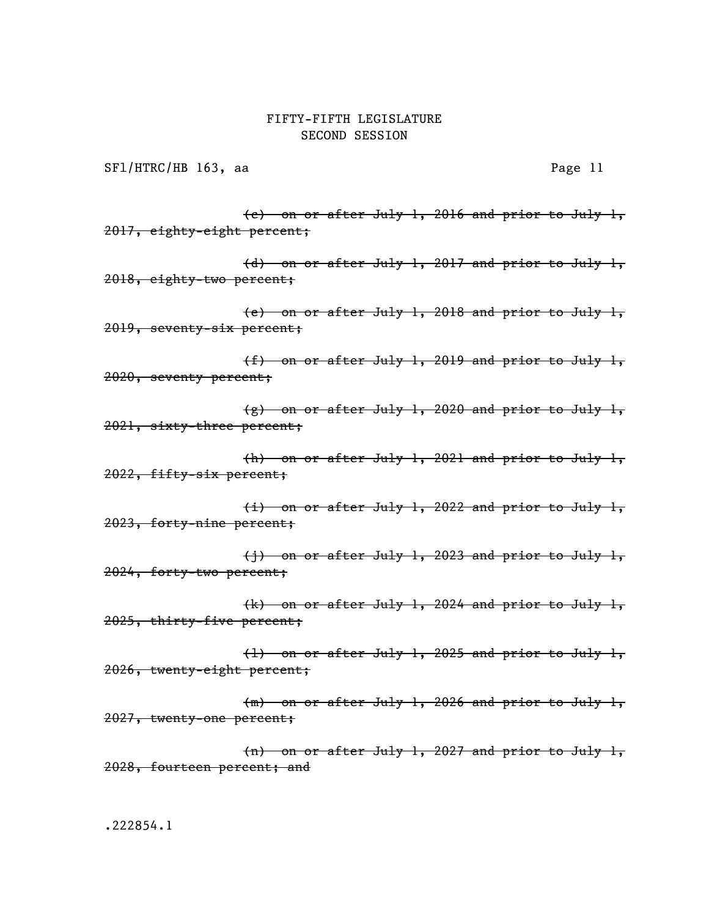SFl/HTRC/HB 163, aa Page 11

(c) on or after July 1, 2016 and prior to July 1, 2017, eighty-eight percent;

(d) on or after July 1, 2017 and prior to July 1, 2018, eighty-two percent;

(e) on or after July 1, 2018 and prior to July 1, 2019, seventy-six percent;

(f) on or after July 1, 2019 and prior to July 1, 2020, seventy percent;

 $(g)$  on or after July 1, 2020 and prior to July 1, 2021, sixty-three percent;

(h) on or after July 1, 2021 and prior to July 1, 2022, fifty-six percent;

(i) on or after July 1, 2022 and prior to July 1, 2023, forty-nine percent;

(j) on or after July 1, 2023 and prior to July 1, 2024, forty-two percent;

(k) on or after July 1, 2024 and prior to July 1, 2025, thirty-five percent;

(l) on or after July 1, 2025 and prior to July 1, 2026, twenty-eight percent;

(m) on or after July 1, 2026 and prior to July 1, 2027, twenty-one percent;

(n) on or after July 1, 2027 and prior to July 1, 2028, fourteen percent; and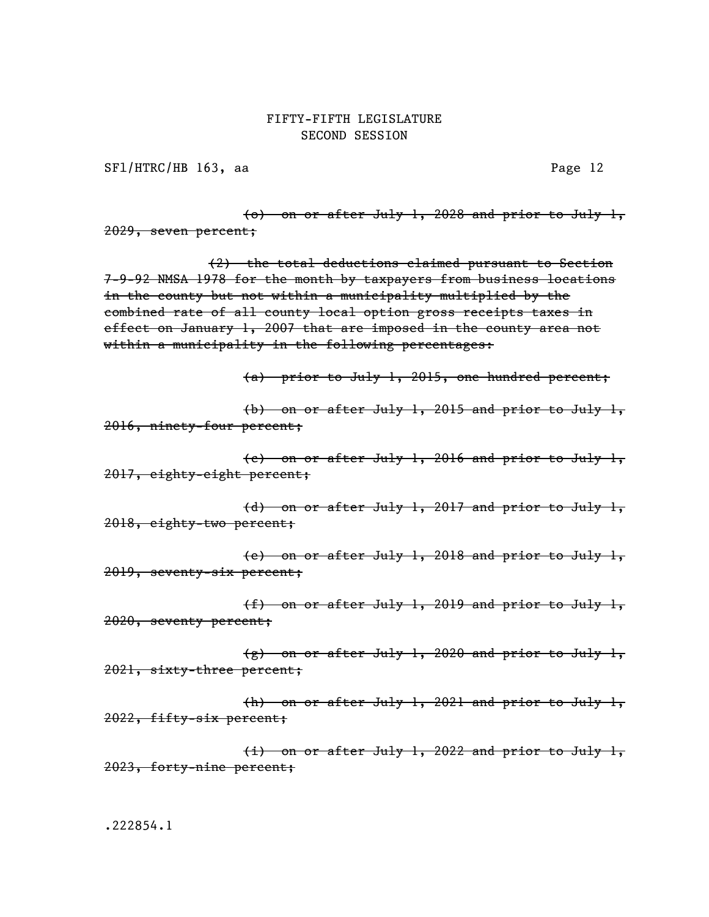SF1/HTRC/HB 163, aa Page 12

(o) on or after July 1, 2028 and prior to July 1, 2029, seven percent;

(2) the total deductions claimed pursuant to Section 7-9-92 NMSA 1978 for the month by taxpayers from business locations in the county but not within a municipality multiplied by the combined rate of all county local option gross receipts taxes in effect on January 1, 2007 that are imposed in the county area not within a municipality in the following percentages:

(a) prior to July 1, 2015, one hundred percent;

(b) on or after July 1, 2015 and prior to July 1, 2016, ninety-four percent;

(c) on or after July 1, 2016 and prior to July 1, 2017, eighty-eight percent;

(d) on or after July 1, 2017 and prior to July 1, 2018, eighty-two percent;

(e) on or after July 1, 2018 and prior to July 1, 2019, seventy-six percent;

(f) on or after July 1, 2019 and prior to July 1, 2020, seventy percent;

(g) on or after July 1, 2020 and prior to July 1, 2021, sixty-three percent;

(h) on or after July 1, 2021 and prior to July 1, 2022, fifty-six percent;

(i) on or after July 1, 2022 and prior to July 1, 2023, forty-nine percent;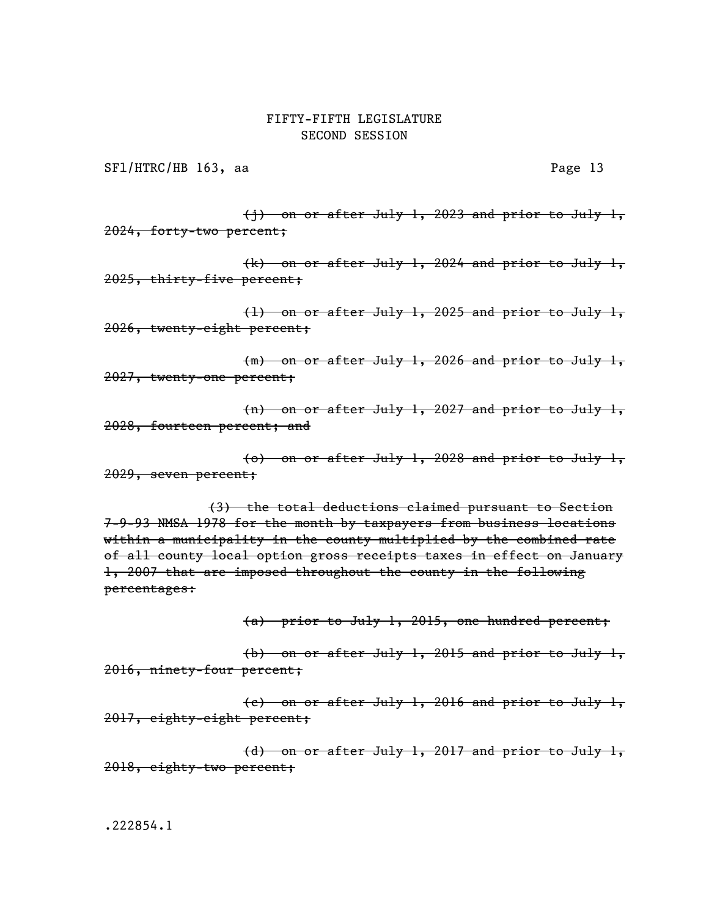SF1/HTRC/HB 163, aa Page 13

(j) on or after July 1, 2023 and prior to July 1, 2024, forty-two percent;

(k) on or after July 1, 2024 and prior to July 1, 2025, thirty-five percent;

(l) on or after July 1, 2025 and prior to July 1, 2026, twenty-eight percent;

(m) on or after July 1, 2026 and prior to July 1, 2027, twenty-one percent;

(n) on or after July 1, 2027 and prior to July 1, 2028, fourteen percent; and

(o) on or after July 1, 2028 and prior to July 1, 2029, seven percent;

(3) the total deductions claimed pursuant to Section 7-9-93 NMSA 1978 for the month by taxpayers from business locations within a municipality in the county multiplied by the combined rate of all county local option gross receipts taxes in effect on January 1, 2007 that are imposed throughout the county in the following percentages:

(a) prior to July 1, 2015, one hundred percent;

(b) on or after July 1, 2015 and prior to July 1, 2016, ninety-four percent;

(c) on or after July 1, 2016 and prior to July 1, 2017, eighty-eight percent;

(d) on or after July 1, 2017 and prior to July 1, 2018, eighty-two percent;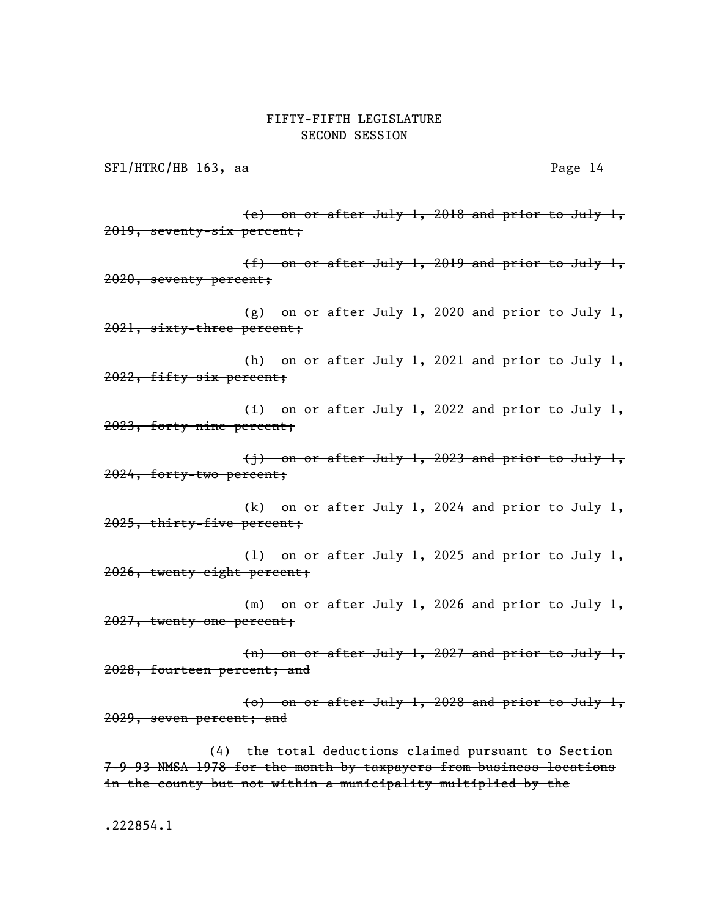SF1/HTRC/HB 163, aa Page 14

(e) on or after July 1, 2018 and prior to July 1, 2019, seventy-six percent;

(f) on or after July 1, 2019 and prior to July 1, 2020, seventy percent;

(g) on or after July 1, 2020 and prior to July 1, 2021, sixty-three percent;

(h) on or after July 1, 2021 and prior to July 1, 2022, fifty-six percent;

(i) on or after July 1, 2022 and prior to July 1, 2023, forty-nine percent;

(j) on or after July 1, 2023 and prior to July 1, 2024, forty-two percent;

(k) on or after July 1, 2024 and prior to July 1, 2025, thirty-five percent;

(l) on or after July 1, 2025 and prior to July 1, 2026, twenty-eight percent;

(m) on or after July 1, 2026 and prior to July 1, 2027, twenty-one percent;

(n) on or after July 1, 2027 and prior to July 1, 2028, fourteen percent; and

(o) on or after July 1, 2028 and prior to July 1, 2029, seven percent; and

(4) the total deductions claimed pursuant to Section 7-9-93 NMSA 1978 for the month by taxpayers from business locations in the county but not within a municipality multiplied by the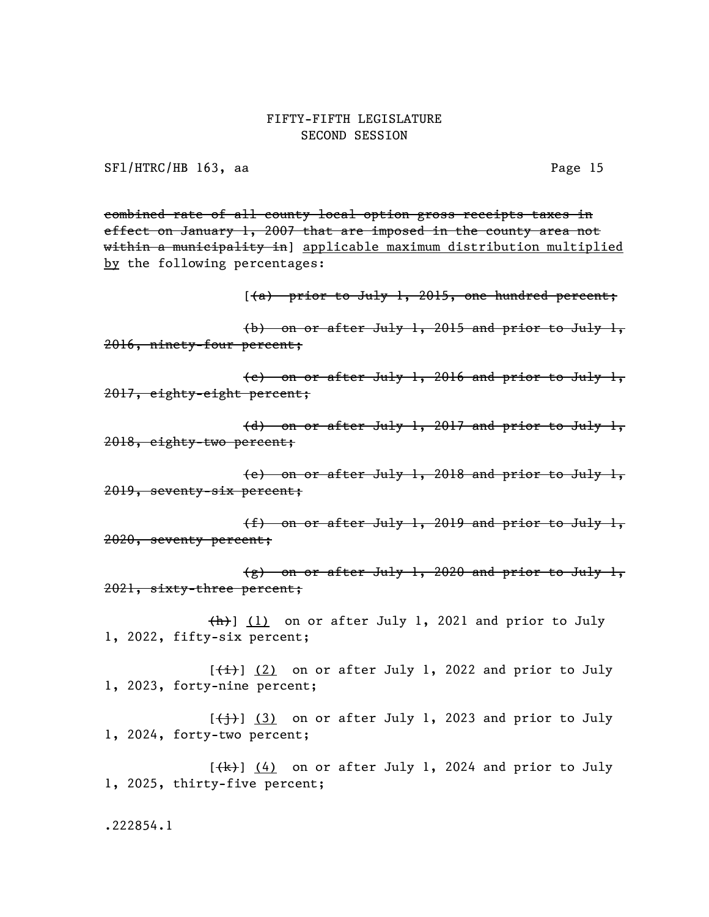SFl/HTRC/HB 163, aa Page 15

combined rate of all county local option gross receipts taxes in effect on January 1, 2007 that are imposed in the county area not within a municipality in] applicable maximum distribution multiplied by the following percentages:

 $(4)$  prior to July 1, 2015, one hundred percent;

(b) on or after July 1, 2015 and prior to July 1, 2016, ninety-four percent;

(c) on or after July 1, 2016 and prior to July 1, 2017, eighty-eight percent;

(d) on or after July 1, 2017 and prior to July 1, 2018, eighty-two percent;

(e) on or after July 1, 2018 and prior to July 1, 2019, seventy-six percent;

(f) on or after July 1, 2019 and prior to July 1, 2020, seventy percent;

(g) on or after July 1, 2020 and prior to July 1, 2021, sixty-three percent;

 $\frac{h}{h}$ ] (1) on or after July 1, 2021 and prior to July 1, 2022, fifty-six percent;

 $[\frac{1}{1}]$  (2) on or after July 1, 2022 and prior to July 1, 2023, forty-nine percent;

 $[\frac{+}{3}, \frac{1}{3}]$  on or after July 1, 2023 and prior to July 1, 2024, forty-two percent;

 $[\frac{1}{k}]$  (4) on or after July 1, 2024 and prior to July 1, 2025, thirty-five percent;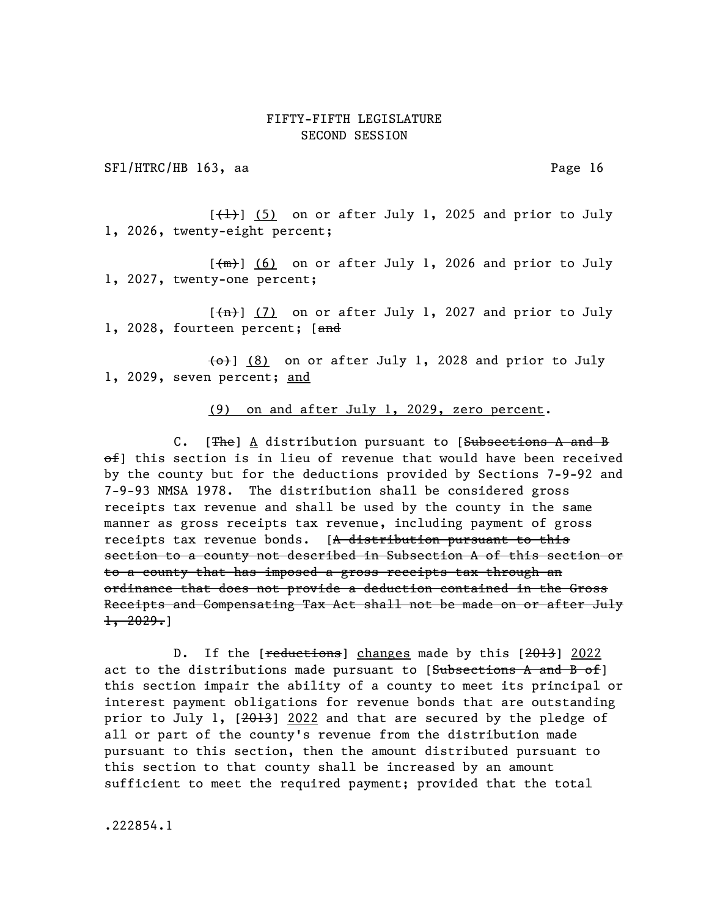SF1/HTRC/HB 163, aa Page 16

 $[\frac{1}{1}]$  (5) on or after July 1, 2025 and prior to July 1, 2026, twenty-eight percent;

 $[\frac{m}{m}]$  (6) on or after July 1, 2026 and prior to July 1, 2027, twenty-one percent;

 $[\frac{\pi}{1}]$  (7) on or after July 1, 2027 and prior to July 1, 2028, fourteen percent; [and

 $\left\{\Theta\right\}$  (8) on or after July 1, 2028 and prior to July 1, 2029, seven percent; and

(9) on and after July 1, 2029, zero percent.

C. [The] A distribution pursuant to [Subsections A and B of] this section is in lieu of revenue that would have been received by the county but for the deductions provided by Sections 7-9-92 and 7-9-93 NMSA 1978. The distribution shall be considered gross receipts tax revenue and shall be used by the county in the same manner as gross receipts tax revenue, including payment of gross receipts tax revenue bonds. [A distribution pursuant to this section to a county not described in Subsection A of this section or to a county that has imposed a gross receipts tax through an ordinance that does not provide a deduction contained in the Gross Receipts and Compensating Tax Act shall not be made on or after July  $\pm$ , 2029.

D. If the [reductions] changes made by this [2013] 2022 act to the distributions made pursuant to  $[Subsections A and B of]$ this section impair the ability of a county to meet its principal or interest payment obligations for revenue bonds that are outstanding prior to July 1,  $[2013]$  2022 and that are secured by the pledge of all or part of the county's revenue from the distribution made pursuant to this section, then the amount distributed pursuant to this section to that county shall be increased by an amount sufficient to meet the required payment; provided that the total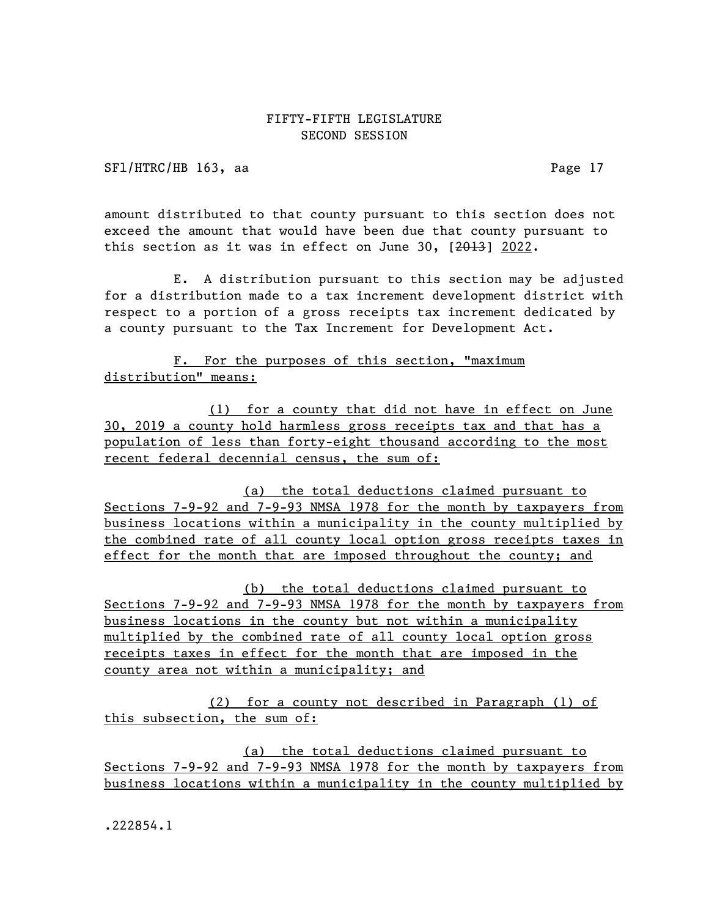SFl/HTRC/HB 163, aa Page 17

amount distributed to that county pursuant to this section does not exceed the amount that would have been due that county pursuant to this section as it was in effect on June 30, [2013] 2022.

E. A distribution pursuant to this section may be adjusted for a distribution made to a tax increment development district with respect to a portion of a gross receipts tax increment dedicated by a county pursuant to the Tax Increment for Development Act.

F. For the purposes of this section, "maximum distribution" means:

(1) for a county that did not have in effect on June 30, 2019 a county hold harmless gross receipts tax and that has a population of less than forty-eight thousand according to the most recent federal decennial census, the sum of:

(a) the total deductions claimed pursuant to Sections 7-9-92 and 7-9-93 NMSA 1978 for the month by taxpayers from business locations within a municipality in the county multiplied by the combined rate of all county local option gross receipts taxes in effect for the month that are imposed throughout the county; and

(b) the total deductions claimed pursuant to Sections 7-9-92 and 7-9-93 NMSA 1978 for the month by taxpayers from business locations in the county but not within a municipality multiplied by the combined rate of all county local option gross receipts taxes in effect for the month that are imposed in the county area not within a municipality; and

(2) for a county not described in Paragraph (1) of this subsection, the sum of:

(a) the total deductions claimed pursuant to Sections 7-9-92 and 7-9-93 NMSA 1978 for the month by taxpayers from business locations within a municipality in the county multiplied by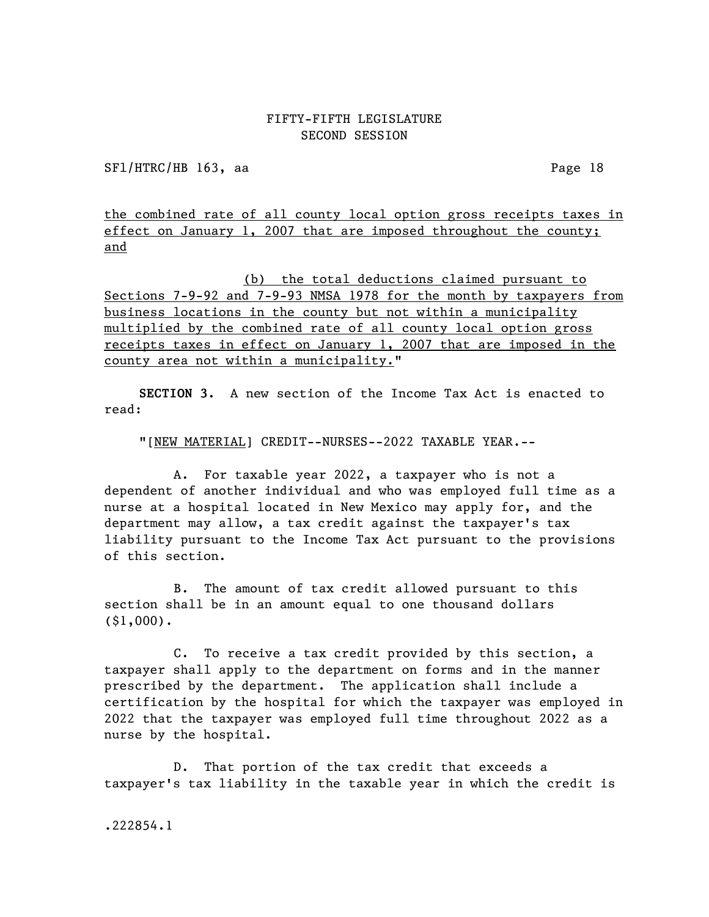SFl/HTRC/HB 163, aa Page 18

the combined rate of all county local option gross receipts taxes in effect on January 1, 2007 that are imposed throughout the county; and

(b) the total deductions claimed pursuant to Sections 7-9-92 and 7-9-93 NMSA 1978 for the month by taxpayers from business locations in the county but not within a municipality multiplied by the combined rate of all county local option gross receipts taxes in effect on January 1, 2007 that are imposed in the county area not within a municipality."

SECTION 3. A new section of the Income Tax Act is enacted to read:

"[NEW MATERIAL] CREDIT--NURSES--2022 TAXABLE YEAR.--

A. For taxable year 2022, a taxpayer who is not a dependent of another individual and who was employed full time as a nurse at a hospital located in New Mexico may apply for, and the department may allow, a tax credit against the taxpayer's tax liability pursuant to the Income Tax Act pursuant to the provisions of this section.

B. The amount of tax credit allowed pursuant to this section shall be in an amount equal to one thousand dollars (\$1,000).

C. To receive a tax credit provided by this section, a taxpayer shall apply to the department on forms and in the manner prescribed by the department. The application shall include a certification by the hospital for which the taxpayer was employed in 2022 that the taxpayer was employed full time throughout 2022 as a nurse by the hospital.

D. That portion of the tax credit that exceeds a taxpayer's tax liability in the taxable year in which the credit is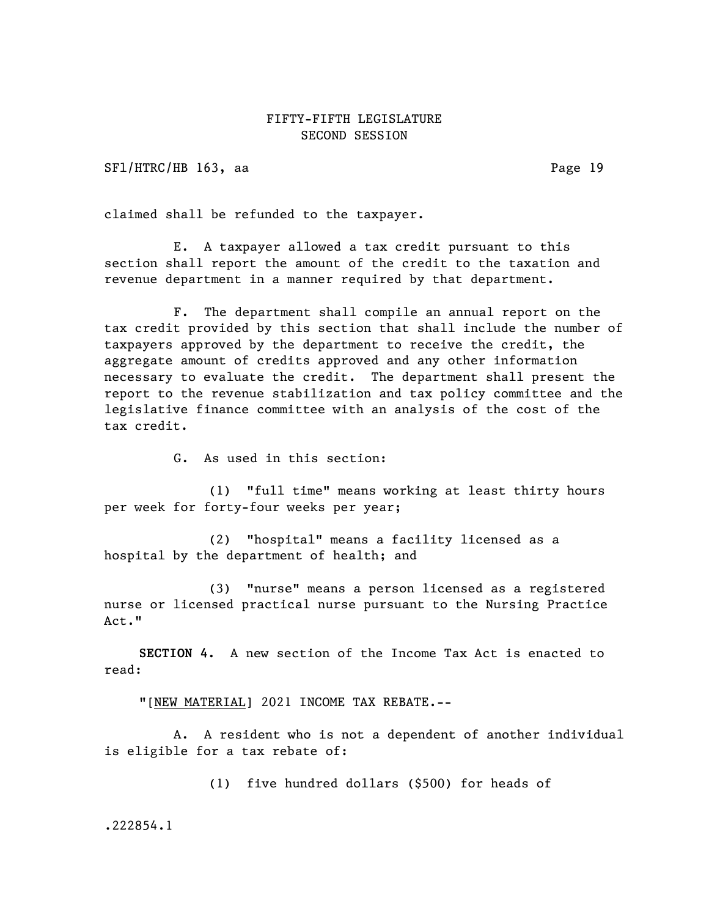SFl/HTRC/HB 163, aa Page 19

claimed shall be refunded to the taxpayer.

E. A taxpayer allowed a tax credit pursuant to this section shall report the amount of the credit to the taxation and revenue department in a manner required by that department.

F. The department shall compile an annual report on the tax credit provided by this section that shall include the number of taxpayers approved by the department to receive the credit, the aggregate amount of credits approved and any other information necessary to evaluate the credit. The department shall present the report to the revenue stabilization and tax policy committee and the legislative finance committee with an analysis of the cost of the tax credit.

G. As used in this section:

(1) "full time" means working at least thirty hours per week for forty-four weeks per year;

(2) "hospital" means a facility licensed as a hospital by the department of health; and

(3) "nurse" means a person licensed as a registered nurse or licensed practical nurse pursuant to the Nursing Practice Act."

SECTION 4. A new section of the Income Tax Act is enacted to read:

"[NEW MATERIAL] 2021 INCOME TAX REBATE.--

A. A resident who is not a dependent of another individual is eligible for a tax rebate of:

(1) five hundred dollars (\$500) for heads of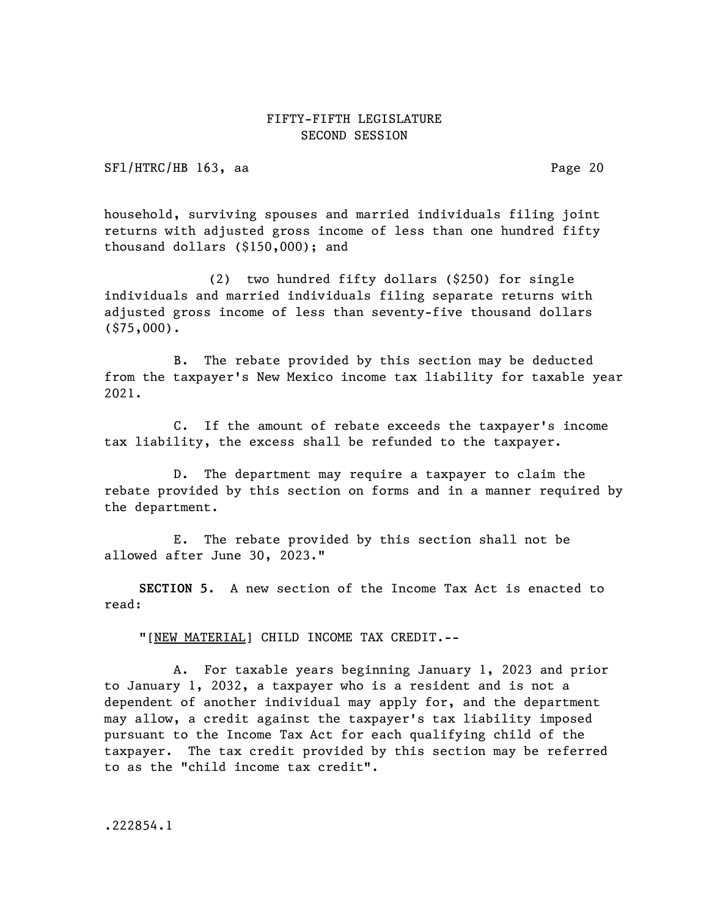SFl/HTRC/HB 163, aa Page 20

household, surviving spouses and married individuals filing joint returns with adjusted gross income of less than one hundred fifty thousand dollars (\$150,000); and

(2) two hundred fifty dollars (\$250) for single individuals and married individuals filing separate returns with adjusted gross income of less than seventy-five thousand dollars (\$75,000).

B. The rebate provided by this section may be deducted from the taxpayer's New Mexico income tax liability for taxable year 2021.

C. If the amount of rebate exceeds the taxpayer's income tax liability, the excess shall be refunded to the taxpayer.

D. The department may require a taxpayer to claim the rebate provided by this section on forms and in a manner required by the department.

E. The rebate provided by this section shall not be allowed after June 30, 2023."

SECTION 5. A new section of the Income Tax Act is enacted to read:

"[NEW MATERIAL] CHILD INCOME TAX CREDIT.--

A. For taxable years beginning January 1, 2023 and prior to January 1, 2032, a taxpayer who is a resident and is not a dependent of another individual may apply for, and the department may allow, a credit against the taxpayer's tax liability imposed pursuant to the Income Tax Act for each qualifying child of the taxpayer. The tax credit provided by this section may be referred to as the "child income tax credit".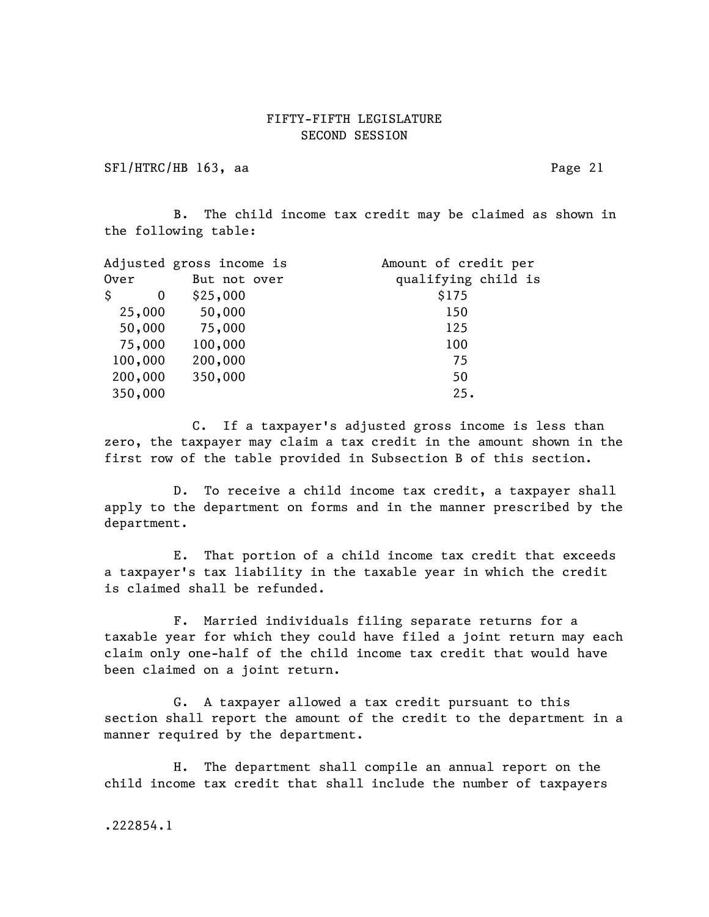SFl/HTRC/HB 163, aa Page 21

B. The child income tax credit may be claimed as shown in the following table:

|         | Adjusted gross income is | Amount of credit per |
|---------|--------------------------|----------------------|
| Over    | But not over             | qualifying child is  |
| Ŝ<br>0  | \$25,000                 | \$175                |
| 25,000  | 50,000                   | 150                  |
| 50,000  | 75,000                   | 125                  |
| 75,000  | 100,000                  | 100                  |
| 100,000 | 200,000                  | 75                   |
| 200,000 | 350,000                  | 50                   |
| 350,000 |                          | 25.                  |

C. If a taxpayer's adjusted gross income is less than zero, the taxpayer may claim a tax credit in the amount shown in the first row of the table provided in Subsection B of this section.

D. To receive a child income tax credit, a taxpayer shall apply to the department on forms and in the manner prescribed by the department.

E. That portion of a child income tax credit that exceeds a taxpayer's tax liability in the taxable year in which the credit is claimed shall be refunded.

F. Married individuals filing separate returns for a taxable year for which they could have filed a joint return may each claim only one-half of the child income tax credit that would have been claimed on a joint return.

G. A taxpayer allowed a tax credit pursuant to this section shall report the amount of the credit to the department in a manner required by the department.

H. The department shall compile an annual report on the child income tax credit that shall include the number of taxpayers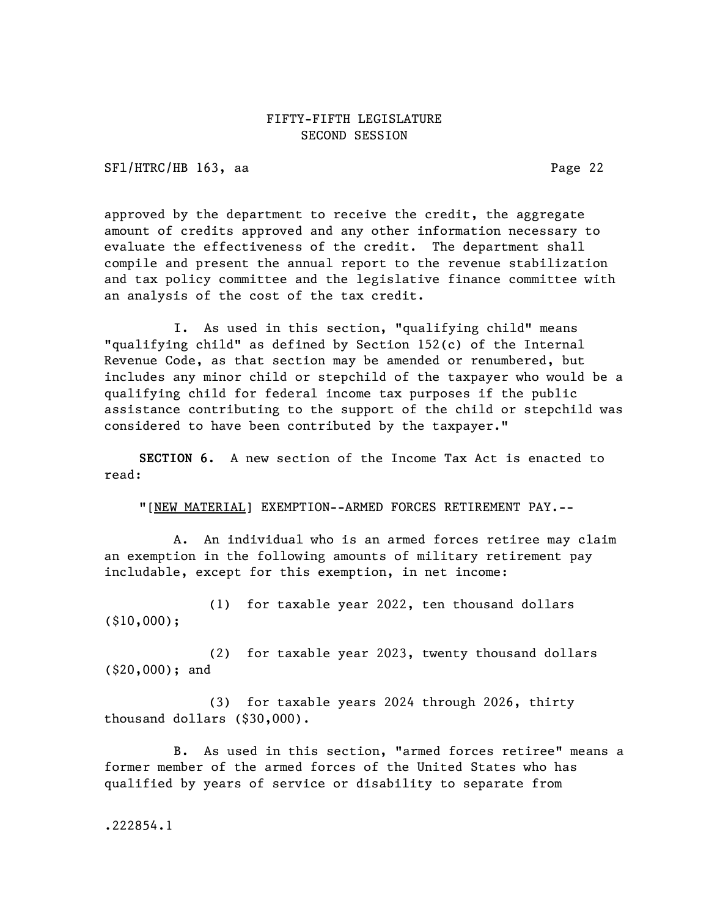SFl/HTRC/HB 163, aa Page 22

approved by the department to receive the credit, the aggregate amount of credits approved and any other information necessary to evaluate the effectiveness of the credit. The department shall compile and present the annual report to the revenue stabilization and tax policy committee and the legislative finance committee with an analysis of the cost of the tax credit.

I. As used in this section, "qualifying child" means "qualifying child" as defined by Section 152(c) of the Internal Revenue Code, as that section may be amended or renumbered, but includes any minor child or stepchild of the taxpayer who would be a qualifying child for federal income tax purposes if the public assistance contributing to the support of the child or stepchild was considered to have been contributed by the taxpayer."

SECTION 6. A new section of the Income Tax Act is enacted to read:

"[NEW MATERIAL] EXEMPTION--ARMED FORCES RETIREMENT PAY.--

A. An individual who is an armed forces retiree may claim an exemption in the following amounts of military retirement pay includable, except for this exemption, in net income:

(1) for taxable year 2022, ten thousand dollars (\$10,000);

(2) for taxable year 2023, twenty thousand dollars (\$20,000); and

(3) for taxable years 2024 through 2026, thirty thousand dollars (\$30,000).

B. As used in this section, "armed forces retiree" means a former member of the armed forces of the United States who has qualified by years of service or disability to separate from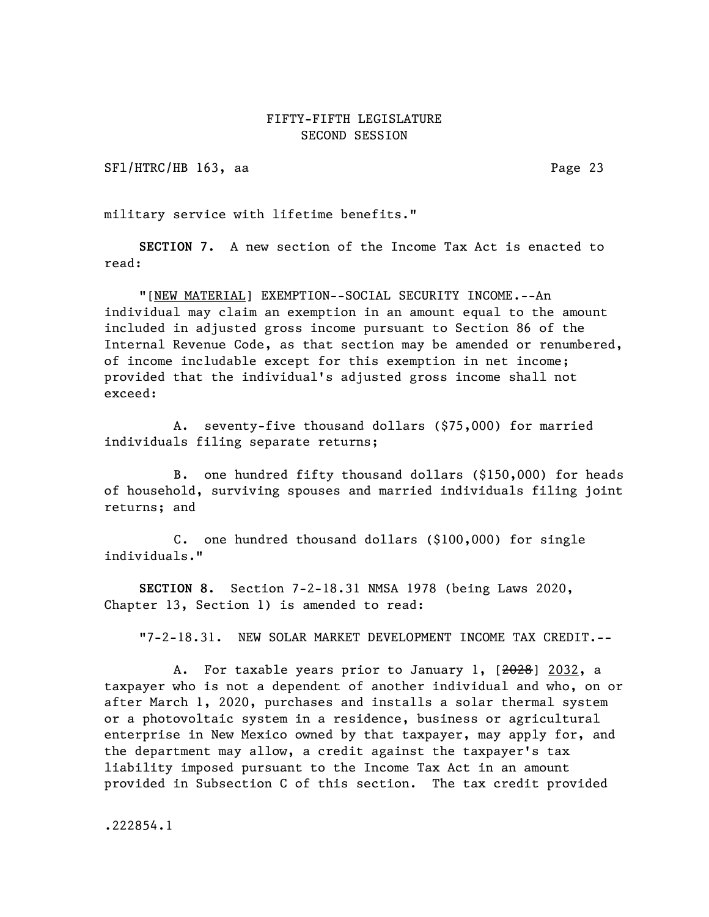SFl/HTRC/HB 163, aa Page 23

military service with lifetime benefits."

SECTION 7. A new section of the Income Tax Act is enacted to read:

"[NEW MATERIAL] EXEMPTION--SOCIAL SECURITY INCOME.--An individual may claim an exemption in an amount equal to the amount included in adjusted gross income pursuant to Section 86 of the Internal Revenue Code, as that section may be amended or renumbered, of income includable except for this exemption in net income; provided that the individual's adjusted gross income shall not exceed:

A. seventy-five thousand dollars (\$75,000) for married individuals filing separate returns;

B. one hundred fifty thousand dollars (\$150,000) for heads of household, surviving spouses and married individuals filing joint returns; and

C. one hundred thousand dollars (\$100,000) for single individuals."

SECTION 8. Section 7-2-18.31 NMSA 1978 (being Laws 2020, Chapter 13, Section 1) is amended to read:

"7-2-18.31. NEW SOLAR MARKET DEVELOPMENT INCOME TAX CREDIT.--

A. For taxable years prior to January 1, [2028] 2032, a taxpayer who is not a dependent of another individual and who, on or after March 1, 2020, purchases and installs a solar thermal system or a photovoltaic system in a residence, business or agricultural enterprise in New Mexico owned by that taxpayer, may apply for, and the department may allow, a credit against the taxpayer's tax liability imposed pursuant to the Income Tax Act in an amount provided in Subsection C of this section. The tax credit provided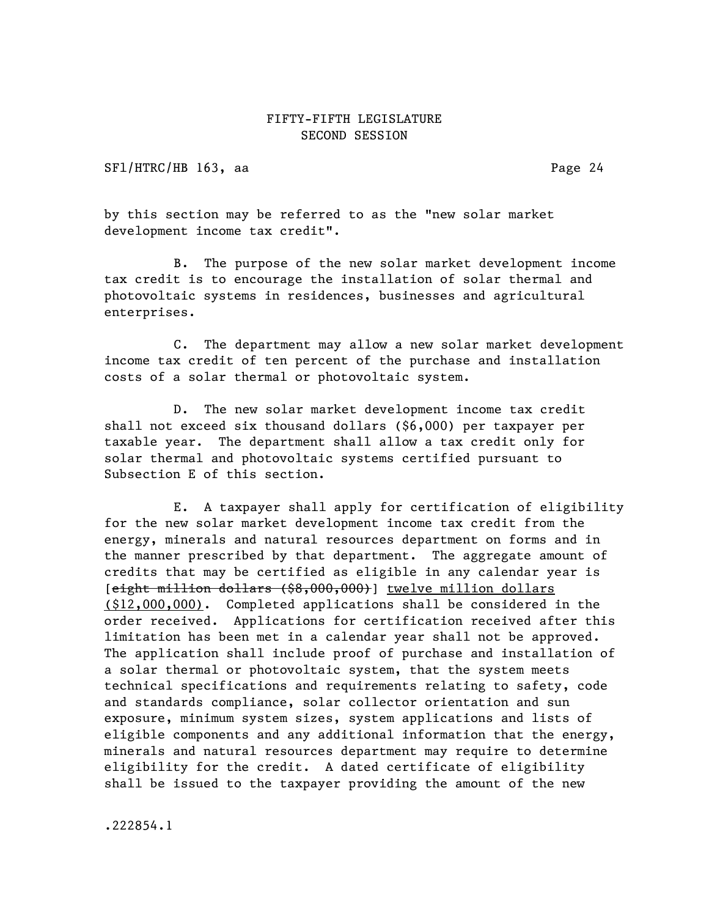SFl/HTRC/HB 163, aa Page 24

by this section may be referred to as the "new solar market development income tax credit".

B. The purpose of the new solar market development income tax credit is to encourage the installation of solar thermal and photovoltaic systems in residences, businesses and agricultural enterprises.

C. The department may allow a new solar market development income tax credit of ten percent of the purchase and installation costs of a solar thermal or photovoltaic system.

D. The new solar market development income tax credit shall not exceed six thousand dollars (\$6,000) per taxpayer per taxable year. The department shall allow a tax credit only for solar thermal and photovoltaic systems certified pursuant to Subsection E of this section.

E. A taxpayer shall apply for certification of eligibility for the new solar market development income tax credit from the energy, minerals and natural resources department on forms and in the manner prescribed by that department. The aggregate amount of credits that may be certified as eligible in any calendar year is [eight million dollars (\$8,000,000)] twelve million dollars (\$12,000,000). Completed applications shall be considered in the order received. Applications for certification received after this limitation has been met in a calendar year shall not be approved. The application shall include proof of purchase and installation of a solar thermal or photovoltaic system, that the system meets technical specifications and requirements relating to safety, code and standards compliance, solar collector orientation and sun exposure, minimum system sizes, system applications and lists of eligible components and any additional information that the energy, minerals and natural resources department may require to determine eligibility for the credit. A dated certificate of eligibility shall be issued to the taxpayer providing the amount of the new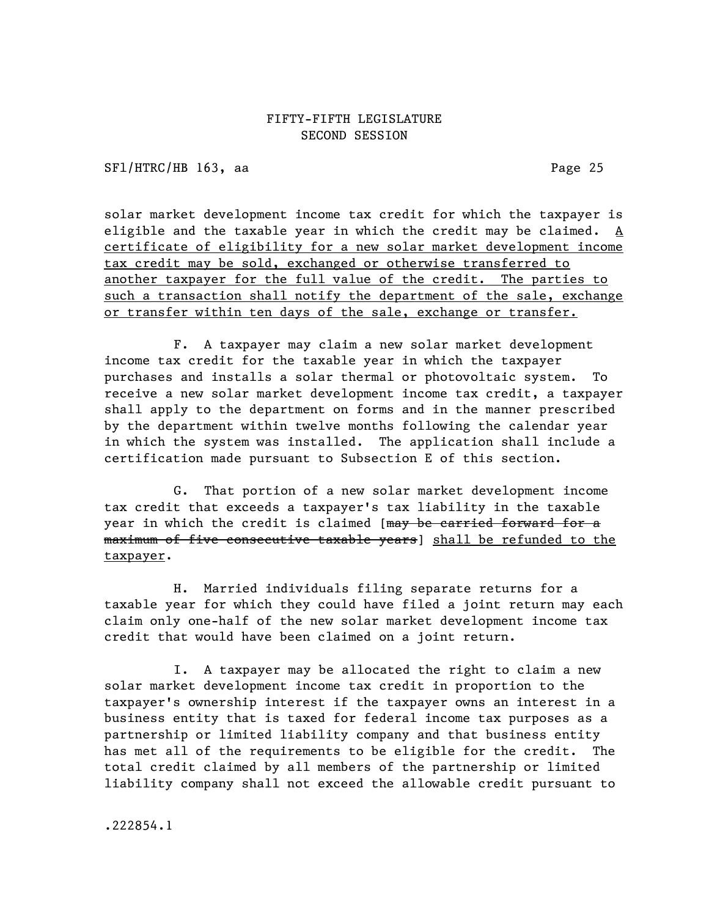SFl/HTRC/HB 163, aa Page 25

solar market development income tax credit for which the taxpayer is eligible and the taxable year in which the credit may be claimed. A certificate of eligibility for a new solar market development income tax credit may be sold, exchanged or otherwise transferred to another taxpayer for the full value of the credit. The parties to such a transaction shall notify the department of the sale, exchange or transfer within ten days of the sale, exchange or transfer.

F. A taxpayer may claim a new solar market development income tax credit for the taxable year in which the taxpayer purchases and installs a solar thermal or photovoltaic system. To receive a new solar market development income tax credit, a taxpayer shall apply to the department on forms and in the manner prescribed by the department within twelve months following the calendar year in which the system was installed. The application shall include a certification made pursuant to Subsection E of this section.

G. That portion of a new solar market development income tax credit that exceeds a taxpayer's tax liability in the taxable year in which the credit is claimed [may be carried forward for a maximum of five consecutive taxable years] shall be refunded to the taxpayer.

H. Married individuals filing separate returns for a taxable year for which they could have filed a joint return may each claim only one-half of the new solar market development income tax credit that would have been claimed on a joint return.

I. A taxpayer may be allocated the right to claim a new solar market development income tax credit in proportion to the taxpayer's ownership interest if the taxpayer owns an interest in a business entity that is taxed for federal income tax purposes as a partnership or limited liability company and that business entity has met all of the requirements to be eligible for the credit. The total credit claimed by all members of the partnership or limited liability company shall not exceed the allowable credit pursuant to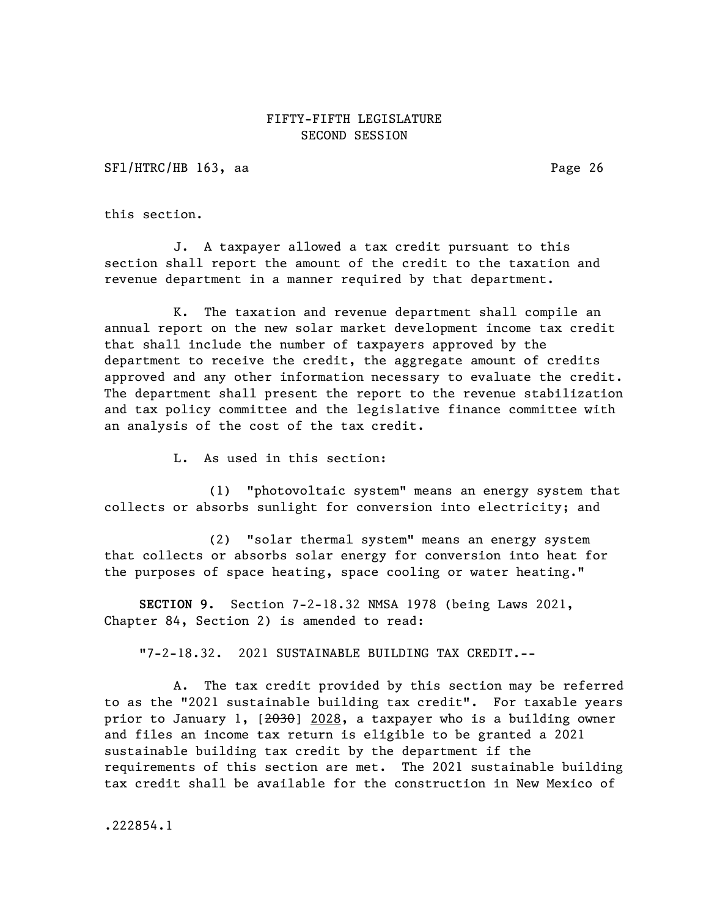SF1/HTRC/HB 163, aa Page 26

this section.

J. A taxpayer allowed a tax credit pursuant to this section shall report the amount of the credit to the taxation and revenue department in a manner required by that department.

K. The taxation and revenue department shall compile an annual report on the new solar market development income tax credit that shall include the number of taxpayers approved by the department to receive the credit, the aggregate amount of credits approved and any other information necessary to evaluate the credit. The department shall present the report to the revenue stabilization and tax policy committee and the legislative finance committee with an analysis of the cost of the tax credit.

L. As used in this section:

(1) "photovoltaic system" means an energy system that collects or absorbs sunlight for conversion into electricity; and

(2) "solar thermal system" means an energy system that collects or absorbs solar energy for conversion into heat for the purposes of space heating, space cooling or water heating."

SECTION 9. Section 7-2-18.32 NMSA 1978 (being Laws 2021, Chapter 84, Section 2) is amended to read:

"7-2-18.32. 2021 SUSTAINABLE BUILDING TAX CREDIT.--

A. The tax credit provided by this section may be referred to as the "2021 sustainable building tax credit". For taxable years prior to January 1, [2030] 2028, a taxpayer who is a building owner and files an income tax return is eligible to be granted a 2021 sustainable building tax credit by the department if the requirements of this section are met. The 2021 sustainable building tax credit shall be available for the construction in New Mexico of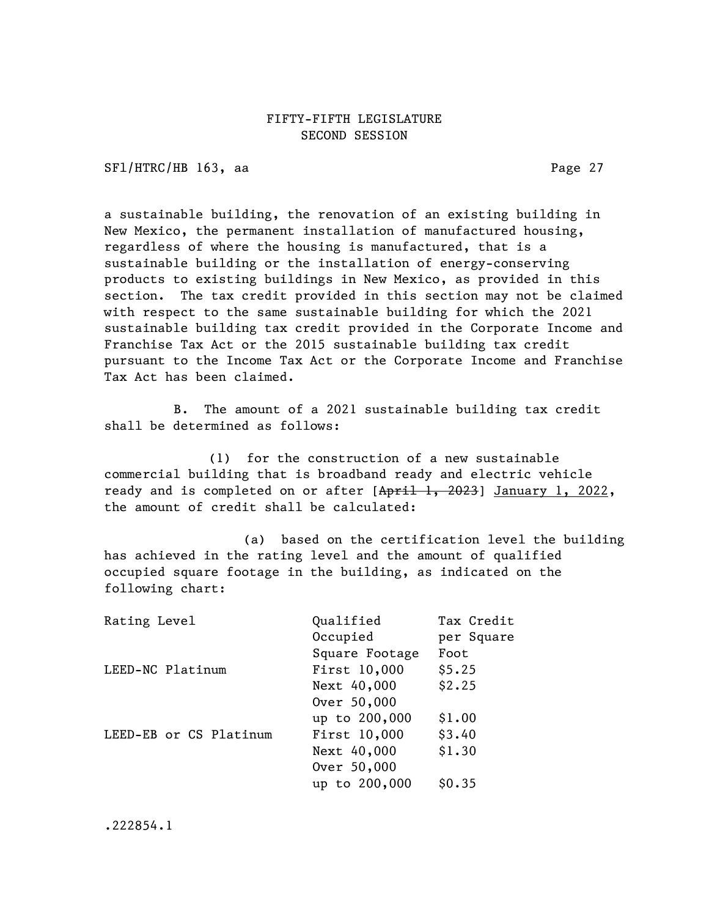SFl/HTRC/HB 163, aa Page 27

a sustainable building, the renovation of an existing building in New Mexico, the permanent installation of manufactured housing, regardless of where the housing is manufactured, that is a sustainable building or the installation of energy-conserving products to existing buildings in New Mexico, as provided in this section. The tax credit provided in this section may not be claimed with respect to the same sustainable building for which the 2021 sustainable building tax credit provided in the Corporate Income and Franchise Tax Act or the 2015 sustainable building tax credit pursuant to the Income Tax Act or the Corporate Income and Franchise Tax Act has been claimed.

B. The amount of a 2021 sustainable building tax credit shall be determined as follows:

(1) for the construction of a new sustainable commercial building that is broadband ready and electric vehicle ready and is completed on or after [April 1, 2023] January 1, 2022, the amount of credit shall be calculated:

(a) based on the certification level the building has achieved in the rating level and the amount of qualified occupied square footage in the building, as indicated on the following chart:

| Rating Level           | Qualified      | Tax Credit |
|------------------------|----------------|------------|
|                        | Occupied       | per Square |
|                        | Square Footage | Foot       |
| LEED-NC Platinum       | First 10,000   | \$5.25     |
|                        | Next 40,000    | \$2.25     |
|                        | Over 50,000    |            |
|                        | up to 200,000  | \$1.00     |
| LEED-EB or CS Platinum | First 10,000   | \$3.40     |
|                        | Next 40,000    | \$1.30     |
|                        | Over 50,000    |            |
|                        | up to 200,000  | SO.35      |
|                        |                |            |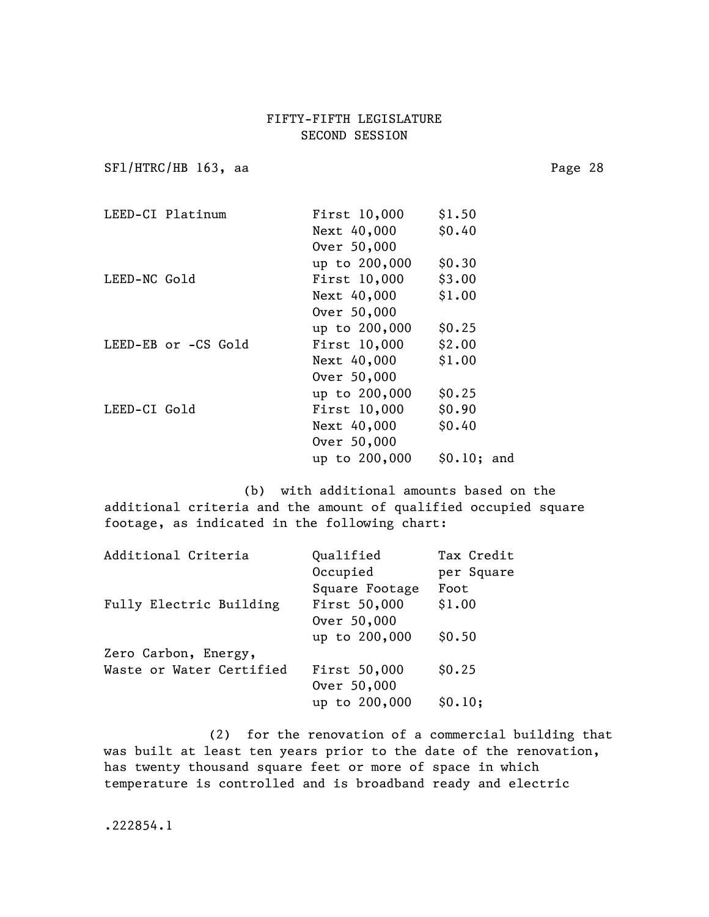SF1/HTRC/HB 163, aa Page 28

|              | LEED-CI Platinum    | First 10,000  | \$1.50      |
|--------------|---------------------|---------------|-------------|
|              |                     | Next 40,000   | \$0.40      |
|              |                     | Over 50,000   |             |
|              |                     | up to 200,000 | \$0.30      |
| LEED-NC Gold |                     | First 10,000  | \$3.00      |
|              |                     | Next 40,000   | \$1.00      |
|              |                     | Over 50,000   |             |
|              |                     | up to 200,000 | \$0.25      |
|              | LEED-EB or -CS Gold | First 10,000  | \$2.00      |
|              |                     | Next 40,000   | \$1.00      |
|              |                     | Over 50,000   |             |
|              |                     | up to 200,000 | \$0.25      |
| LEED-CI Gold |                     | First 10,000  | \$0.90      |
|              |                     | Next 40,000   | \$0.40      |
|              |                     | Over 50,000   |             |
|              |                     | up to 200,000 | \$0.10; and |
|              |                     |               |             |

(b) with additional amounts based on the additional criteria and the amount of qualified occupied square footage, as indicated in the following chart:

| Additional Criteria      | Qualified      | Tax Credit |
|--------------------------|----------------|------------|
|                          | Occupied       | per Square |
|                          | Square Footage | Foot       |
| Fully Electric Building  | First 50,000   | \$1.00     |
|                          | Over 50,000    |            |
|                          | up to 200,000  | \$0.50     |
| Zero Carbon, Energy,     |                |            |
| Waste or Water Certified | First 50,000   | \$0.25     |
|                          | Over 50,000    |            |
|                          | up to 200,000  | \$0.10;    |

(2) for the renovation of a commercial building that was built at least ten years prior to the date of the renovation, has twenty thousand square feet or more of space in which temperature is controlled and is broadband ready and electric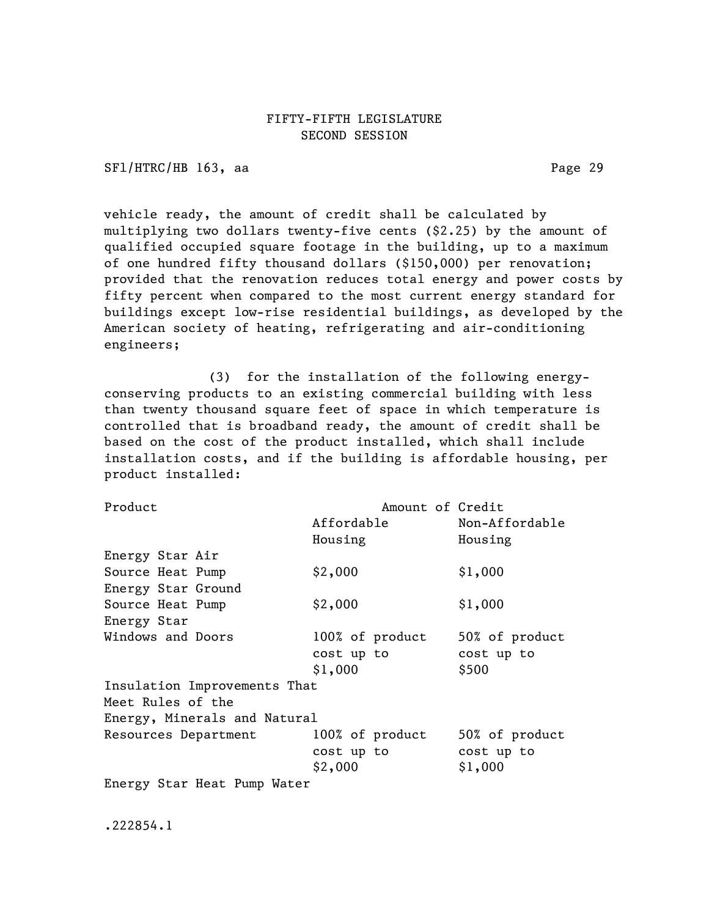SFl/HTRC/HB 163, aa Page 29

vehicle ready, the amount of credit shall be calculated by multiplying two dollars twenty-five cents (\$2.25) by the amount of qualified occupied square footage in the building, up to a maximum of one hundred fifty thousand dollars (\$150,000) per renovation; provided that the renovation reduces total energy and power costs by fifty percent when compared to the most current energy standard for buildings except low-rise residential buildings, as developed by the American society of heating, refrigerating and air-conditioning engineers;

(3) for the installation of the following energyconserving products to an existing commercial building with less than twenty thousand square feet of space in which temperature is controlled that is broadband ready, the amount of credit shall be based on the cost of the product installed, which shall include installation costs, and if the building is affordable housing, per product installed:

| Product                      | Amount of Credit |                |  |
|------------------------------|------------------|----------------|--|
|                              | Affordable       | Non-Affordable |  |
|                              | Housing          | Housing        |  |
| Energy Star Air              |                  |                |  |
| Source Heat Pump             | \$2,000          | \$1,000        |  |
| Energy Star Ground           |                  |                |  |
| Source Heat Pump             | \$2,000          | \$1,000        |  |
| Energy Star                  |                  |                |  |
| Windows and Doors            | 100% of product  | 50% of product |  |
|                              | cost up to       | cost up to     |  |
|                              | \$1,000          | \$500          |  |
| Insulation Improvements That |                  |                |  |
| Meet Rules of the            |                  |                |  |
| Energy, Minerals and Natural |                  |                |  |
| Resources Department         | 100% of product  | 50% of product |  |
|                              | cost up to       | cost up to     |  |
|                              | \$2,000          | \$1,000        |  |
| Energy Star Heat Pump Water  |                  |                |  |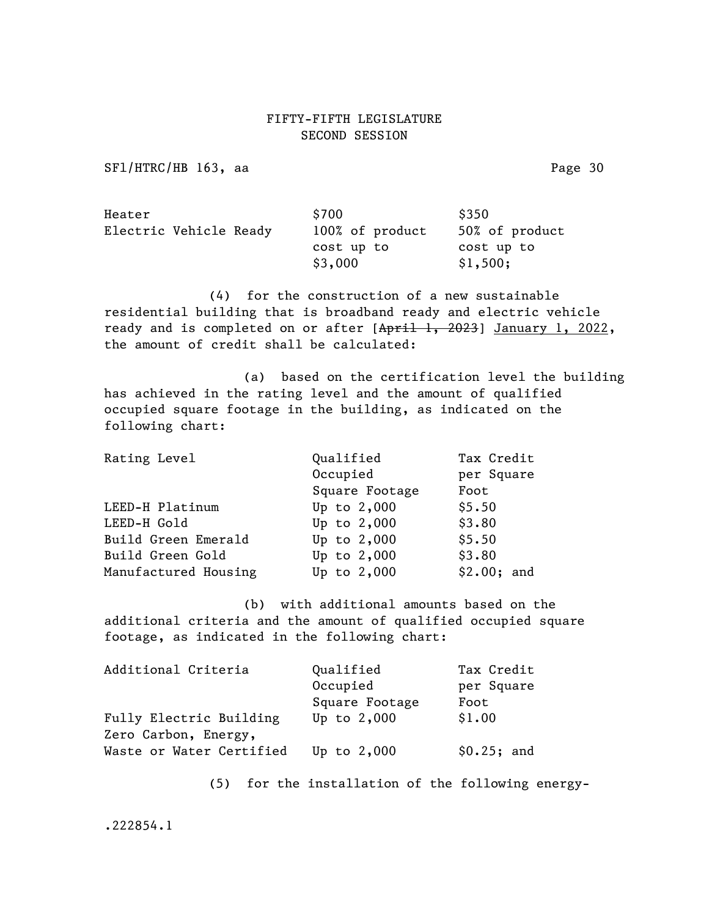SF1/HTRC/HB 163, aa Page 30

| Heater                 | \$700           | \$350          |
|------------------------|-----------------|----------------|
| Electric Vehicle Ready | 100% of product | 50% of product |
|                        | cost up to      | cost up to     |
|                        | \$3,000         | \$1,500;       |

(4) for the construction of a new sustainable residential building that is broadband ready and electric vehicle ready and is completed on or after [April 1, 2023] January 1, 2022, the amount of credit shall be calculated:

(a) based on the certification level the building has achieved in the rating level and the amount of qualified occupied square footage in the building, as indicated on the following chart:

| Rating Level         | Qualified      | Tax Credit  |
|----------------------|----------------|-------------|
|                      | Occupied       | per Square  |
|                      | Square Footage | Foot        |
| LEED-H Platinum      | Up to 2,000    | \$5.50      |
| LEED-H Gold          | Up to 2,000    | \$3.80      |
| Build Green Emerald  | Up to 2,000    | \$5.50      |
| Build Green Gold     | Up to 2,000    | \$3.80      |
| Manufactured Housing | Up to 2,000    | \$2.00; and |

(b) with additional amounts based on the additional criteria and the amount of qualified occupied square footage, as indicated in the following chart:

| Additional Criteria      | Qualified      | Tax Credit  |
|--------------------------|----------------|-------------|
|                          | Occupied       | per Square  |
|                          | Square Footage | Foot        |
| Fully Electric Building  | Up to $2,000$  | \$1.00      |
| Zero Carbon, Energy,     |                |             |
| Waste or Water Certified | Up to $2,000$  | \$0.25; and |

(5) for the installation of the following energy-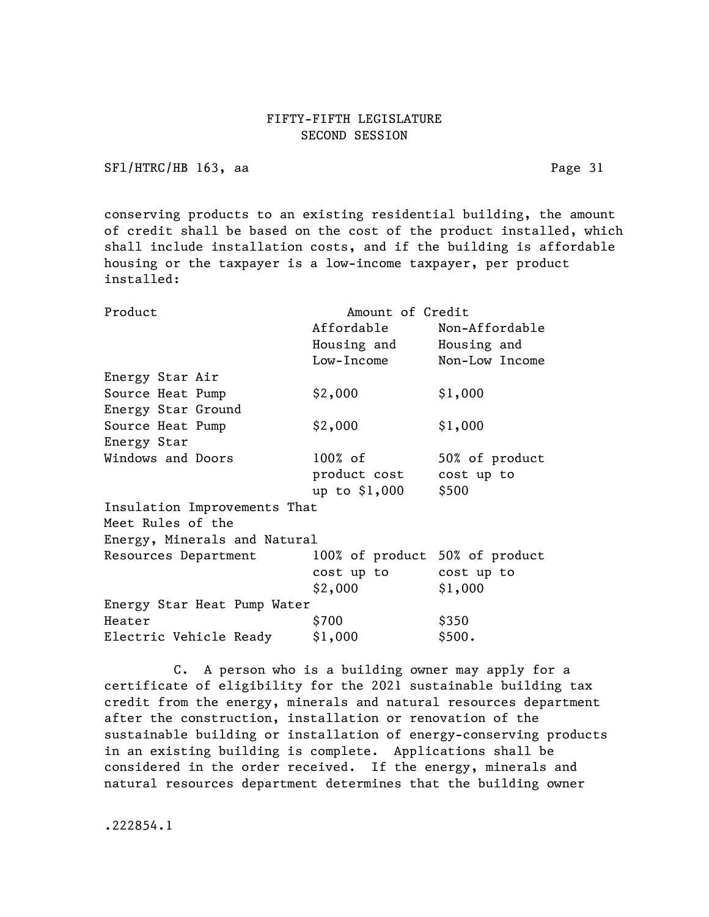SFl/HTRC/HB 163, aa Page 31

conserving products to an existing residential building, the amount of credit shall be based on the cost of the product installed, which shall include installation costs, and if the building is affordable housing or the taxpayer is a low-income taxpayer, per product installed:

| Product                      | Amount of Credit               |                |
|------------------------------|--------------------------------|----------------|
|                              | Affordable                     | Non-Affordable |
|                              | Housing and                    | Housing and    |
|                              | Low-Income                     | Non-Low Income |
| Energy Star Air              |                                |                |
| Source Heat Pump             | \$2,000                        | \$1,000        |
| Energy Star Ground           |                                |                |
| Source Heat Pump             | \$2,000                        | \$1,000        |
| Energy Star                  |                                |                |
| Windows and Doors            | $100\%$ of                     | 50% of product |
|                              | product cost                   | cost up to     |
|                              | up to \$1,000                  | \$500          |
| Insulation Improvements That |                                |                |
| Meet Rules of the            |                                |                |
| Energy, Minerals and Natural |                                |                |
| Resources Department         | 100% of product 50% of product |                |
|                              | cost up to                     | cost up to     |
|                              | \$2,000                        | \$1,000        |
| Energy Star Heat Pump Water  |                                |                |
| Heater                       | \$700                          | \$350          |
| Electric Vehicle Ready       | \$1,000                        | \$500.         |

C. A person who is a building owner may apply for a certificate of eligibility for the 2021 sustainable building tax credit from the energy, minerals and natural resources department after the construction, installation or renovation of the sustainable building or installation of energy-conserving products in an existing building is complete. Applications shall be considered in the order received. If the energy, minerals and natural resources department determines that the building owner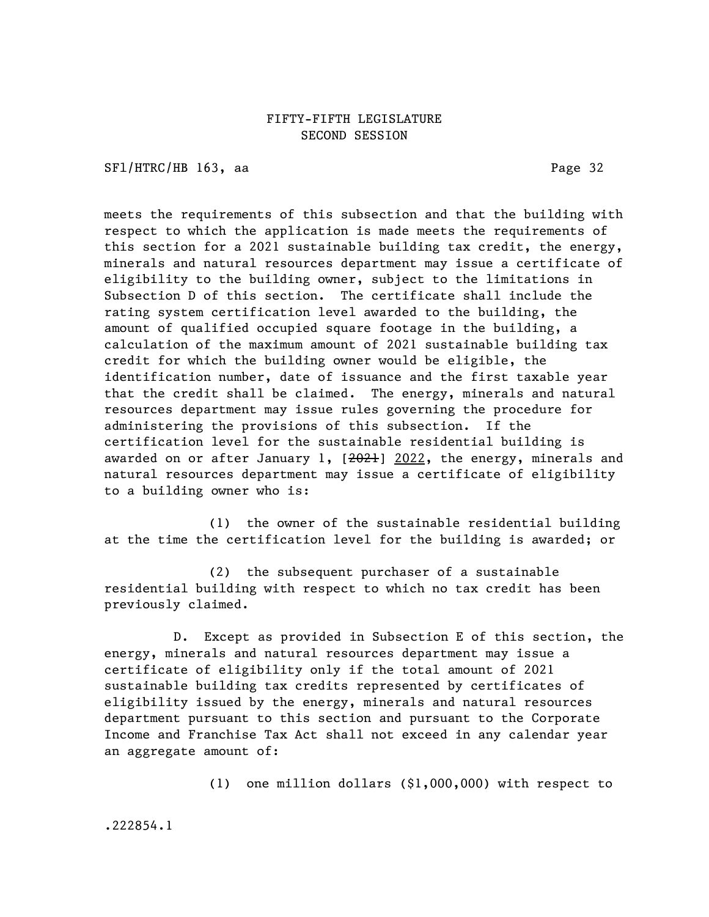SFl/HTRC/HB 163, aa Page 32

meets the requirements of this subsection and that the building with respect to which the application is made meets the requirements of this section for a 2021 sustainable building tax credit, the energy, minerals and natural resources department may issue a certificate of eligibility to the building owner, subject to the limitations in Subsection D of this section. The certificate shall include the rating system certification level awarded to the building, the amount of qualified occupied square footage in the building, a calculation of the maximum amount of 2021 sustainable building tax credit for which the building owner would be eligible, the identification number, date of issuance and the first taxable year that the credit shall be claimed. The energy, minerals and natural resources department may issue rules governing the procedure for administering the provisions of this subsection. If the certification level for the sustainable residential building is awarded on or after January 1, [2021] 2022, the energy, minerals and natural resources department may issue a certificate of eligibility to a building owner who is:

(1) the owner of the sustainable residential building at the time the certification level for the building is awarded; or

(2) the subsequent purchaser of a sustainable residential building with respect to which no tax credit has been previously claimed.

D. Except as provided in Subsection E of this section, the energy, minerals and natural resources department may issue a certificate of eligibility only if the total amount of 2021 sustainable building tax credits represented by certificates of eligibility issued by the energy, minerals and natural resources department pursuant to this section and pursuant to the Corporate Income and Franchise Tax Act shall not exceed in any calendar year an aggregate amount of:

(1) one million dollars (\$1,000,000) with respect to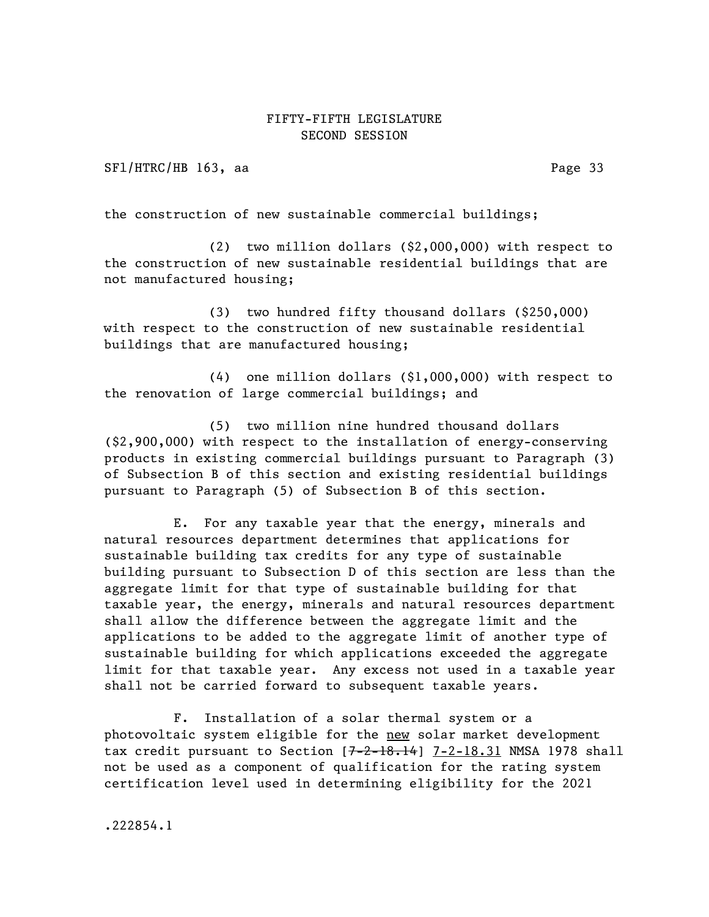SFl/HTRC/HB 163, aa Page 33

the construction of new sustainable commercial buildings;

(2) two million dollars (\$2,000,000) with respect to the construction of new sustainable residential buildings that are not manufactured housing;

(3) two hundred fifty thousand dollars (\$250,000) with respect to the construction of new sustainable residential buildings that are manufactured housing;

(4) one million dollars (\$1,000,000) with respect to the renovation of large commercial buildings; and

(5) two million nine hundred thousand dollars (\$2,900,000) with respect to the installation of energy-conserving products in existing commercial buildings pursuant to Paragraph (3) of Subsection B of this section and existing residential buildings pursuant to Paragraph (5) of Subsection B of this section.

E. For any taxable year that the energy, minerals and natural resources department determines that applications for sustainable building tax credits for any type of sustainable building pursuant to Subsection D of this section are less than the aggregate limit for that type of sustainable building for that taxable year, the energy, minerals and natural resources department shall allow the difference between the aggregate limit and the applications to be added to the aggregate limit of another type of sustainable building for which applications exceeded the aggregate limit for that taxable year. Any excess not used in a taxable year shall not be carried forward to subsequent taxable years.

F. Installation of a solar thermal system or a photovoltaic system eligible for the new solar market development tax credit pursuant to Section  $[7-2-18.14]$  7-2-18.31 NMSA 1978 shall not be used as a component of qualification for the rating system certification level used in determining eligibility for the 2021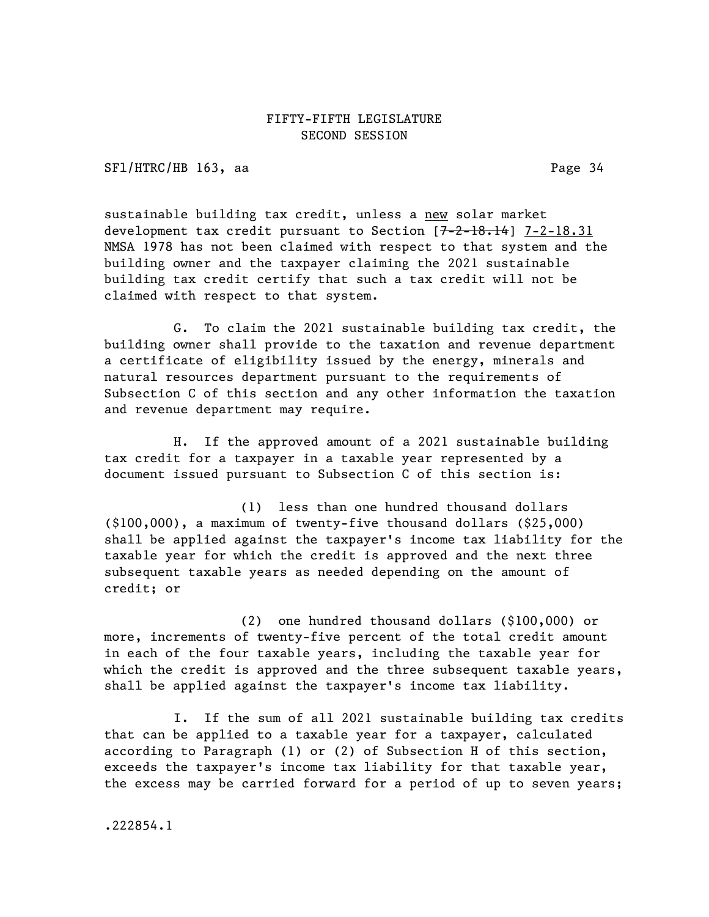SFl/HTRC/HB 163, aa Page 34

sustainable building tax credit, unless a new solar market development tax credit pursuant to Section  $[7-2-18.14]$  7-2-18.31 NMSA 1978 has not been claimed with respect to that system and the building owner and the taxpayer claiming the 2021 sustainable building tax credit certify that such a tax credit will not be claimed with respect to that system.

G. To claim the 2021 sustainable building tax credit, the building owner shall provide to the taxation and revenue department a certificate of eligibility issued by the energy, minerals and natural resources department pursuant to the requirements of Subsection C of this section and any other information the taxation and revenue department may require.

H. If the approved amount of a 2021 sustainable building tax credit for a taxpayer in a taxable year represented by a document issued pursuant to Subsection C of this section is:

(1) less than one hundred thousand dollars (\$100,000), a maximum of twenty-five thousand dollars (\$25,000) shall be applied against the taxpayer's income tax liability for the taxable year for which the credit is approved and the next three subsequent taxable years as needed depending on the amount of credit; or

(2) one hundred thousand dollars (\$100,000) or more, increments of twenty-five percent of the total credit amount in each of the four taxable years, including the taxable year for which the credit is approved and the three subsequent taxable years, shall be applied against the taxpayer's income tax liability.

I. If the sum of all 2021 sustainable building tax credits that can be applied to a taxable year for a taxpayer, calculated according to Paragraph (1) or (2) of Subsection H of this section, exceeds the taxpayer's income tax liability for that taxable year, the excess may be carried forward for a period of up to seven years;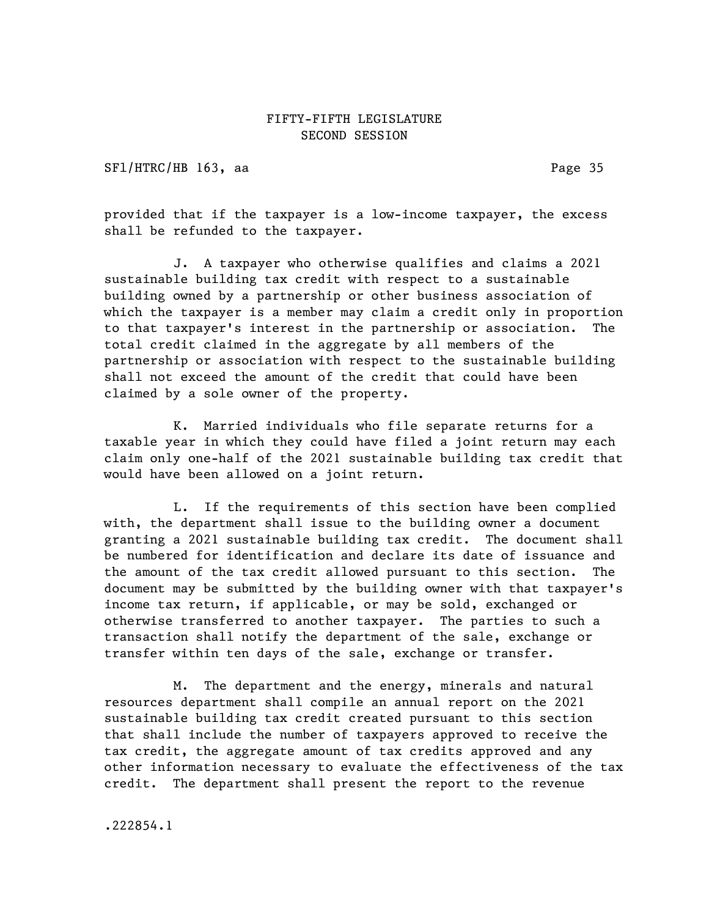SFl/HTRC/HB 163, aa Page 35

provided that if the taxpayer is a low-income taxpayer, the excess shall be refunded to the taxpayer.

J. A taxpayer who otherwise qualifies and claims a 2021 sustainable building tax credit with respect to a sustainable building owned by a partnership or other business association of which the taxpayer is a member may claim a credit only in proportion to that taxpayer's interest in the partnership or association. The total credit claimed in the aggregate by all members of the partnership or association with respect to the sustainable building shall not exceed the amount of the credit that could have been claimed by a sole owner of the property.

K. Married individuals who file separate returns for a taxable year in which they could have filed a joint return may each claim only one-half of the 2021 sustainable building tax credit that would have been allowed on a joint return.

L. If the requirements of this section have been complied with, the department shall issue to the building owner a document granting a 2021 sustainable building tax credit. The document shall be numbered for identification and declare its date of issuance and the amount of the tax credit allowed pursuant to this section. The document may be submitted by the building owner with that taxpayer's income tax return, if applicable, or may be sold, exchanged or otherwise transferred to another taxpayer. The parties to such a transaction shall notify the department of the sale, exchange or transfer within ten days of the sale, exchange or transfer.

M. The department and the energy, minerals and natural resources department shall compile an annual report on the 2021 sustainable building tax credit created pursuant to this section that shall include the number of taxpayers approved to receive the tax credit, the aggregate amount of tax credits approved and any other information necessary to evaluate the effectiveness of the tax credit. The department shall present the report to the revenue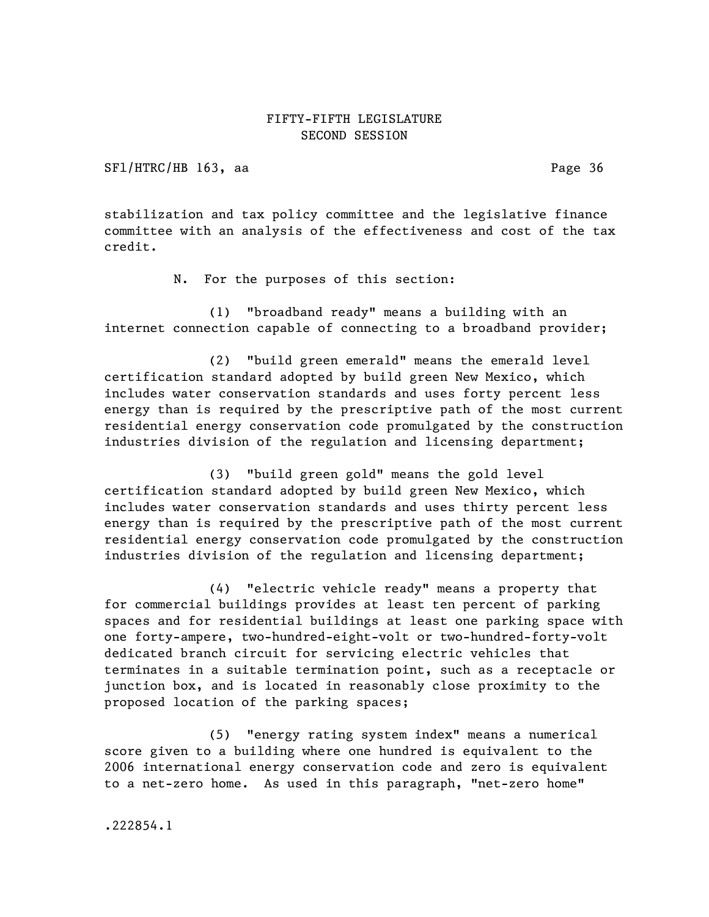SFl/HTRC/HB 163, aa Page 36

stabilization and tax policy committee and the legislative finance committee with an analysis of the effectiveness and cost of the tax credit.

N. For the purposes of this section:

(1) "broadband ready" means a building with an internet connection capable of connecting to a broadband provider;

(2) "build green emerald" means the emerald level certification standard adopted by build green New Mexico, which includes water conservation standards and uses forty percent less energy than is required by the prescriptive path of the most current residential energy conservation code promulgated by the construction industries division of the regulation and licensing department;

(3) "build green gold" means the gold level certification standard adopted by build green New Mexico, which includes water conservation standards and uses thirty percent less energy than is required by the prescriptive path of the most current residential energy conservation code promulgated by the construction industries division of the regulation and licensing department;

(4) "electric vehicle ready" means a property that for commercial buildings provides at least ten percent of parking spaces and for residential buildings at least one parking space with one forty-ampere, two-hundred-eight-volt or two-hundred-forty-volt dedicated branch circuit for servicing electric vehicles that terminates in a suitable termination point, such as a receptacle or junction box, and is located in reasonably close proximity to the proposed location of the parking spaces;

(5) "energy rating system index" means a numerical score given to a building where one hundred is equivalent to the 2006 international energy conservation code and zero is equivalent to a net-zero home. As used in this paragraph, "net-zero home"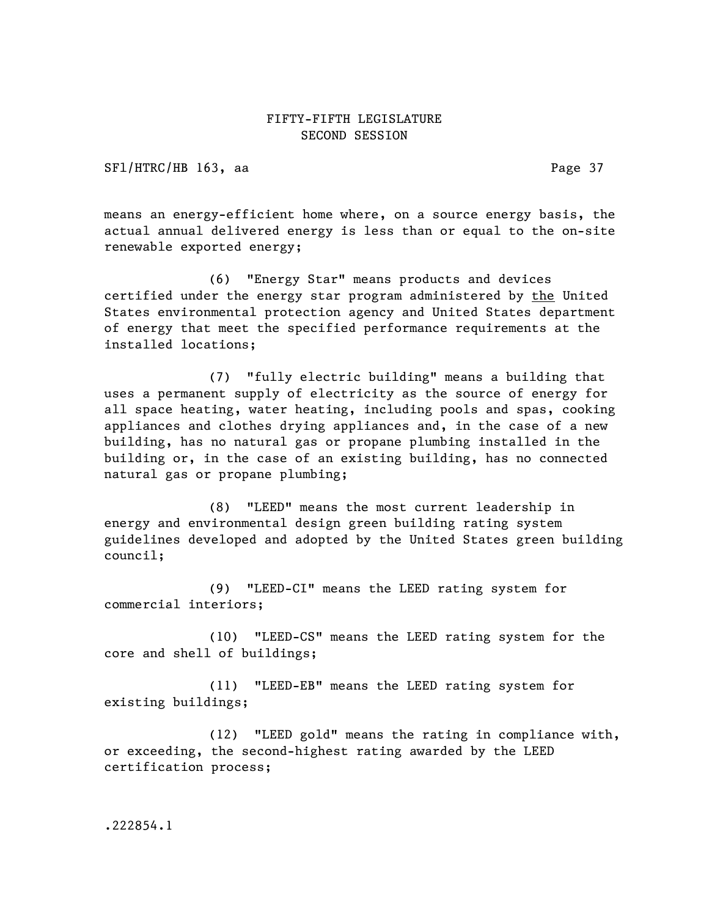SFl/HTRC/HB 163, aa Page 37

means an energy-efficient home where, on a source energy basis, the actual annual delivered energy is less than or equal to the on-site renewable exported energy;

(6) "Energy Star" means products and devices certified under the energy star program administered by the United States environmental protection agency and United States department of energy that meet the specified performance requirements at the installed locations;

(7) "fully electric building" means a building that uses a permanent supply of electricity as the source of energy for all space heating, water heating, including pools and spas, cooking appliances and clothes drying appliances and, in the case of a new building, has no natural gas or propane plumbing installed in the building or, in the case of an existing building, has no connected natural gas or propane plumbing;

(8) "LEED" means the most current leadership in energy and environmental design green building rating system guidelines developed and adopted by the United States green building council;

(9) "LEED-CI" means the LEED rating system for commercial interiors;

(10) "LEED-CS" means the LEED rating system for the core and shell of buildings;

(11) "LEED-EB" means the LEED rating system for existing buildings;

(12) "LEED gold" means the rating in compliance with, or exceeding, the second-highest rating awarded by the LEED certification process;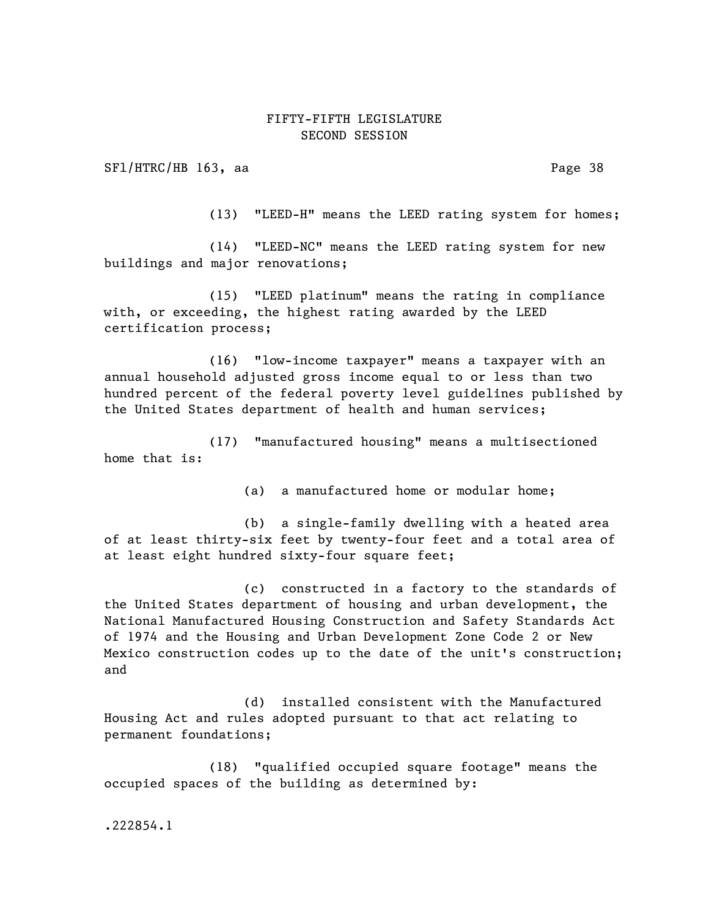SFl/HTRC/HB 163, aa Page 38

(13) "LEED-H" means the LEED rating system for homes;

(14) "LEED-NC" means the LEED rating system for new buildings and major renovations;

(15) "LEED platinum" means the rating in compliance with, or exceeding, the highest rating awarded by the LEED certification process;

(16) "low-income taxpayer" means a taxpayer with an annual household adjusted gross income equal to or less than two hundred percent of the federal poverty level guidelines published by the United States department of health and human services;

(17) "manufactured housing" means a multisectioned home that is:

(a) a manufactured home or modular home;

(b) a single-family dwelling with a heated area of at least thirty-six feet by twenty-four feet and a total area of at least eight hundred sixty-four square feet;

(c) constructed in a factory to the standards of the United States department of housing and urban development, the National Manufactured Housing Construction and Safety Standards Act of 1974 and the Housing and Urban Development Zone Code 2 or New Mexico construction codes up to the date of the unit's construction; and

(d) installed consistent with the Manufactured Housing Act and rules adopted pursuant to that act relating to permanent foundations;

(18) "qualified occupied square footage" means the occupied spaces of the building as determined by: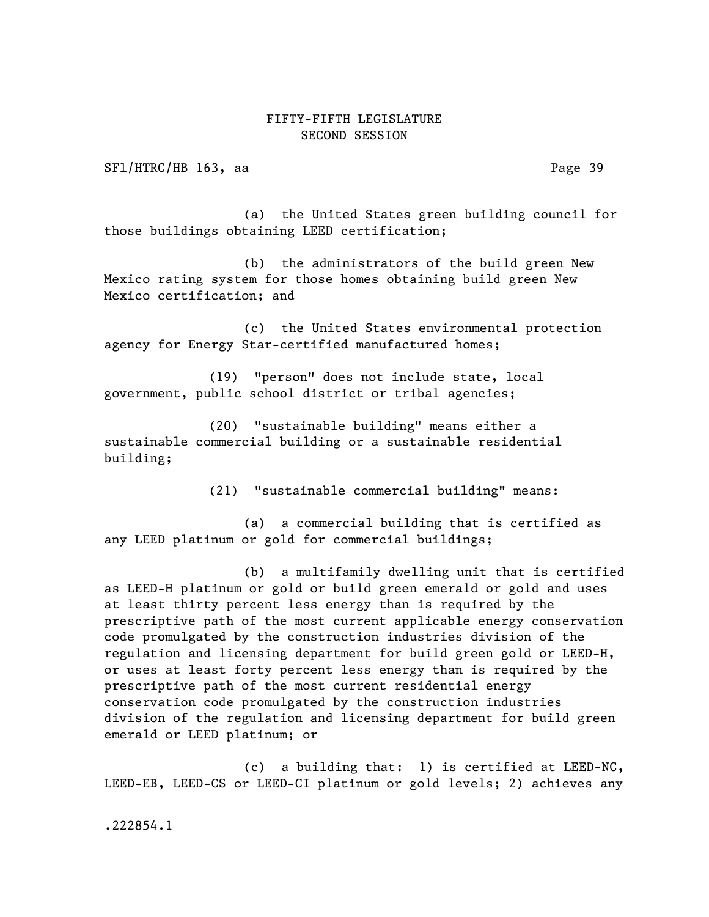SF1/HTRC/HB 163, aa Page 39

(a) the United States green building council for those buildings obtaining LEED certification;

(b) the administrators of the build green New Mexico rating system for those homes obtaining build green New Mexico certification; and

(c) the United States environmental protection agency for Energy Star-certified manufactured homes;

(19) "person" does not include state, local government, public school district or tribal agencies;

(20) "sustainable building" means either a sustainable commercial building or a sustainable residential building;

(21) "sustainable commercial building" means:

(a) a commercial building that is certified as any LEED platinum or gold for commercial buildings;

(b) a multifamily dwelling unit that is certified as LEED-H platinum or gold or build green emerald or gold and uses at least thirty percent less energy than is required by the prescriptive path of the most current applicable energy conservation code promulgated by the construction industries division of the regulation and licensing department for build green gold or LEED-H, or uses at least forty percent less energy than is required by the prescriptive path of the most current residential energy conservation code promulgated by the construction industries division of the regulation and licensing department for build green emerald or LEED platinum; or

(c) a building that: 1) is certified at LEED-NC, LEED-EB, LEED-CS or LEED-CI platinum or gold levels; 2) achieves any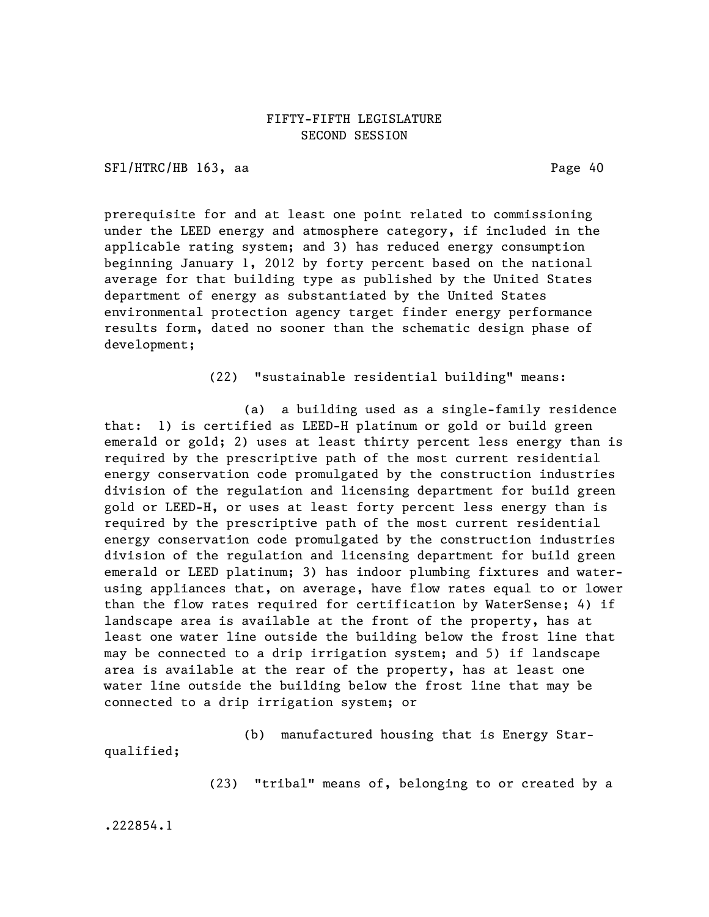SFl/HTRC/HB 163, aa Page 40

prerequisite for and at least one point related to commissioning under the LEED energy and atmosphere category, if included in the applicable rating system; and 3) has reduced energy consumption beginning January 1, 2012 by forty percent based on the national average for that building type as published by the United States department of energy as substantiated by the United States environmental protection agency target finder energy performance results form, dated no sooner than the schematic design phase of development;

(22) "sustainable residential building" means:

(a) a building used as a single-family residence that: 1) is certified as LEED-H platinum or gold or build green emerald or gold; 2) uses at least thirty percent less energy than is required by the prescriptive path of the most current residential energy conservation code promulgated by the construction industries division of the regulation and licensing department for build green gold or LEED-H, or uses at least forty percent less energy than is required by the prescriptive path of the most current residential energy conservation code promulgated by the construction industries division of the regulation and licensing department for build green emerald or LEED platinum; 3) has indoor plumbing fixtures and waterusing appliances that, on average, have flow rates equal to or lower than the flow rates required for certification by WaterSense; 4) if landscape area is available at the front of the property, has at least one water line outside the building below the frost line that may be connected to a drip irrigation system; and 5) if landscape area is available at the rear of the property, has at least one water line outside the building below the frost line that may be connected to a drip irrigation system; or

(b) manufactured housing that is Energy Starqualified;

(23) "tribal" means of, belonging to or created by a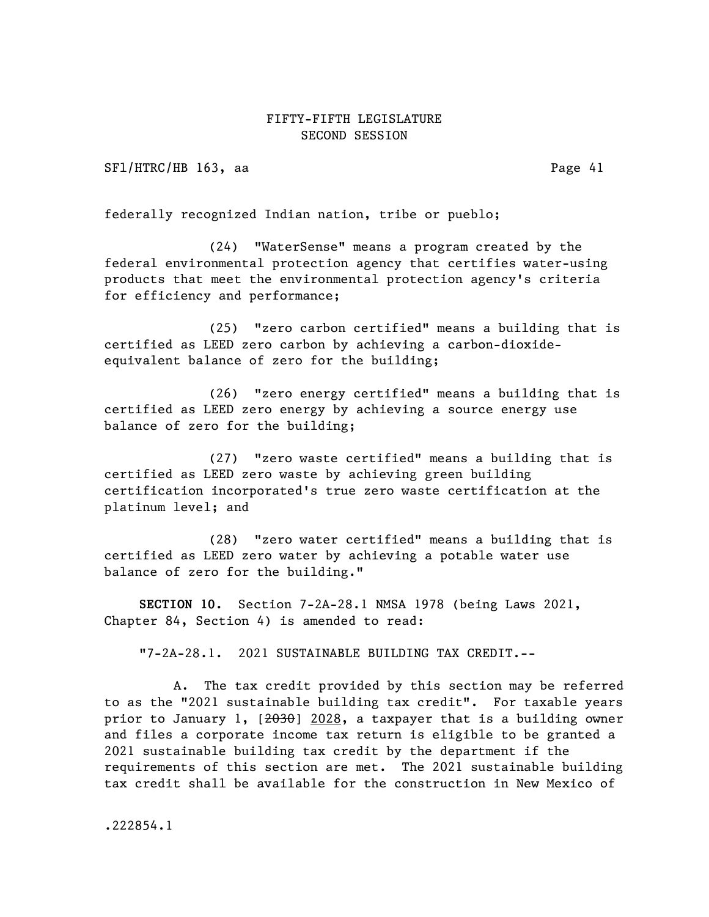SF1/HTRC/HB 163, aa Page 41

federally recognized Indian nation, tribe or pueblo;

(24) "WaterSense" means a program created by the federal environmental protection agency that certifies water-using products that meet the environmental protection agency's criteria for efficiency and performance;

(25) "zero carbon certified" means a building that is certified as LEED zero carbon by achieving a carbon-dioxideequivalent balance of zero for the building;

(26) "zero energy certified" means a building that is certified as LEED zero energy by achieving a source energy use balance of zero for the building;

(27) "zero waste certified" means a building that is certified as LEED zero waste by achieving green building certification incorporated's true zero waste certification at the platinum level; and

(28) "zero water certified" means a building that is certified as LEED zero water by achieving a potable water use balance of zero for the building."

SECTION 10. Section 7-2A-28.1 NMSA 1978 (being Laws 2021, Chapter 84, Section 4) is amended to read:

"7-2A-28.1. 2021 SUSTAINABLE BUILDING TAX CREDIT.--

A. The tax credit provided by this section may be referred to as the "2021 sustainable building tax credit". For taxable years prior to January 1, [2030] 2028, a taxpayer that is a building owner and files a corporate income tax return is eligible to be granted a 2021 sustainable building tax credit by the department if the requirements of this section are met. The 2021 sustainable building tax credit shall be available for the construction in New Mexico of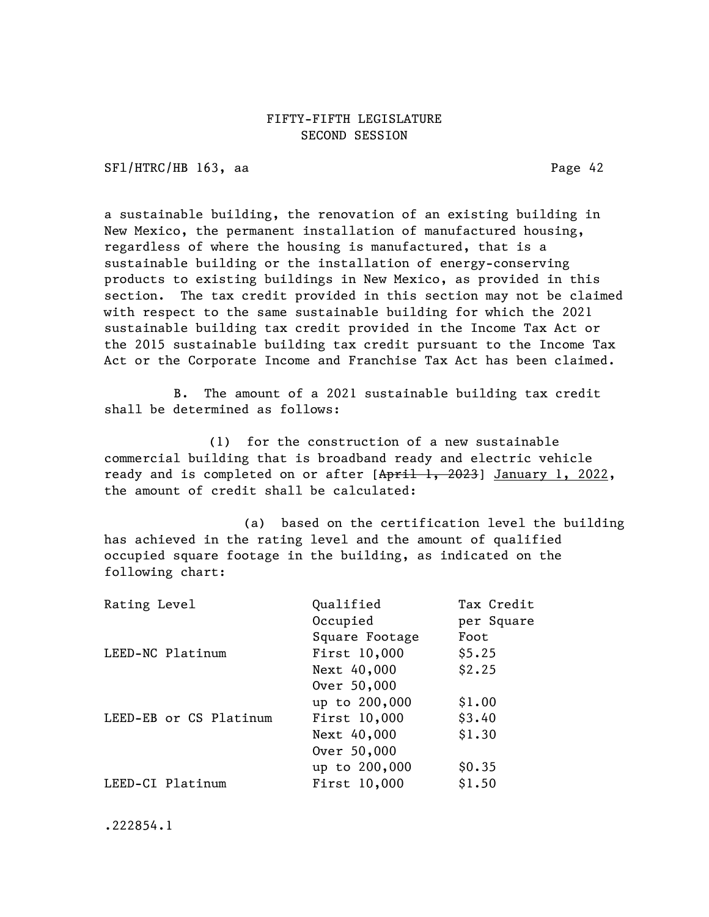SF1/HTRC/HB 163, aa Page 42

a sustainable building, the renovation of an existing building in New Mexico, the permanent installation of manufactured housing, regardless of where the housing is manufactured, that is a sustainable building or the installation of energy-conserving products to existing buildings in New Mexico, as provided in this section. The tax credit provided in this section may not be claimed with respect to the same sustainable building for which the 2021 sustainable building tax credit provided in the Income Tax Act or the 2015 sustainable building tax credit pursuant to the Income Tax Act or the Corporate Income and Franchise Tax Act has been claimed.

B. The amount of a 2021 sustainable building tax credit shall be determined as follows:

(1) for the construction of a new sustainable commercial building that is broadband ready and electric vehicle ready and is completed on or after [April 1, 2023] January 1, 2022, the amount of credit shall be calculated:

(a) based on the certification level the building has achieved in the rating level and the amount of qualified occupied square footage in the building, as indicated on the following chart:

| Rating Level           | Qualified      | Tax Credit |
|------------------------|----------------|------------|
|                        | Occupied       | per Square |
|                        | Square Footage | Foot       |
| LEED-NC Platinum       | First 10,000   | \$5.25     |
|                        | Next 40,000    | \$2.25     |
|                        | Over 50,000    |            |
|                        | up to 200,000  | \$1.00     |
| LEED-EB or CS Platinum | First 10,000   | \$3.40     |
|                        | Next 40,000    | \$1.30     |
|                        | Over 50,000    |            |
|                        | up to 200,000  | \$0.35     |
| LEED-CI Platinum       | First 10,000   | \$1.50     |
|                        |                |            |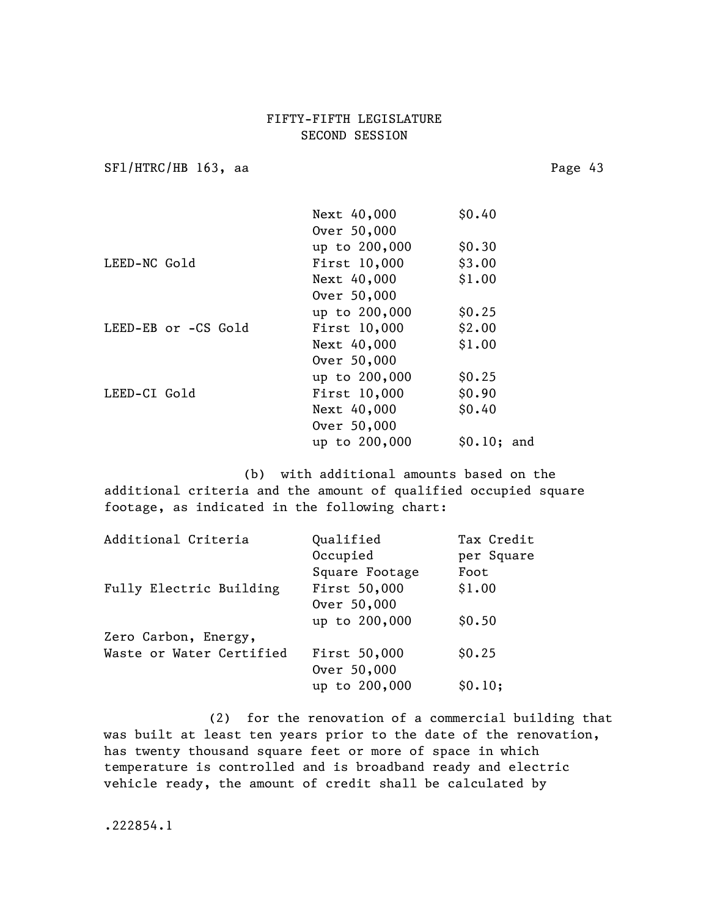SF1/HTRC/HB 163, aa Page 43

|              |                     | Next 40,000   | \$0.40      |  |
|--------------|---------------------|---------------|-------------|--|
|              |                     | Over 50,000   |             |  |
|              |                     | up to 200,000 | \$0.30      |  |
| LEED-NC Gold |                     | First 10,000  | \$3.00      |  |
|              |                     | Next 40,000   | \$1.00      |  |
|              |                     | Over 50,000   |             |  |
|              |                     | up to 200,000 | \$0.25      |  |
|              | LEED-EB or -CS Gold | First 10,000  | \$2.00      |  |
|              |                     | Next 40,000   | \$1.00      |  |
|              |                     | Over 50,000   |             |  |
|              |                     | up to 200,000 | \$0.25      |  |
| LEED-CI Gold |                     | First 10,000  | \$0.90      |  |
|              |                     | Next 40,000   | \$0.40      |  |
|              |                     | Over 50,000   |             |  |
|              |                     | up to 200,000 | \$0.10; and |  |
|              |                     |               |             |  |

(b) with additional amounts based on the additional criteria and the amount of qualified occupied square footage, as indicated in the following chart:

| Qualified      | Tax Credit |
|----------------|------------|
| Occupied       | per Square |
| Square Footage | Foot       |
| First 50,000   | \$1.00     |
| Over 50,000    |            |
| up to 200,000  | \$0.50     |
|                |            |
| First 50,000   | \$0.25     |
| Over 50,000    |            |
| up to 200,000  | \$0.10;    |
|                |            |

(2) for the renovation of a commercial building that was built at least ten years prior to the date of the renovation, has twenty thousand square feet or more of space in which temperature is controlled and is broadband ready and electric vehicle ready, the amount of credit shall be calculated by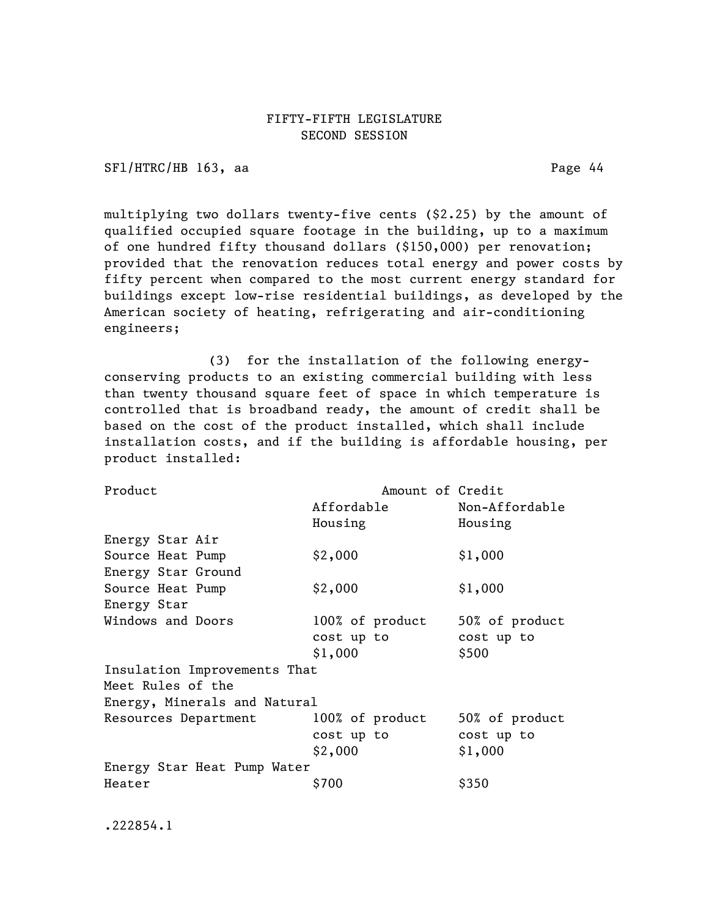SFl/HTRC/HB 163, aa Page 44

multiplying two dollars twenty-five cents (\$2.25) by the amount of qualified occupied square footage in the building, up to a maximum of one hundred fifty thousand dollars (\$150,000) per renovation; provided that the renovation reduces total energy and power costs by fifty percent when compared to the most current energy standard for buildings except low-rise residential buildings, as developed by the American society of heating, refrigerating and air-conditioning engineers;

(3) for the installation of the following energyconserving products to an existing commercial building with less than twenty thousand square feet of space in which temperature is controlled that is broadband ready, the amount of credit shall be based on the cost of the product installed, which shall include installation costs, and if the building is affordable housing, per product installed:

| Product                      | Amount of Credit |                |  |  |
|------------------------------|------------------|----------------|--|--|
|                              | Affordable       | Non-Affordable |  |  |
|                              | Housing          | Housing        |  |  |
| Energy Star Air              |                  |                |  |  |
| Source Heat Pump             | \$2,000          | \$1,000        |  |  |
| Energy Star Ground           |                  |                |  |  |
| Source Heat Pump             | \$2,000          | \$1,000        |  |  |
| Energy Star                  |                  |                |  |  |
| Windows and Doors            | 100% of product  | 50% of product |  |  |
|                              | cost up to       | cost up to     |  |  |
|                              | \$1,000          | \$500          |  |  |
| Insulation Improvements That |                  |                |  |  |
| Meet Rules of the            |                  |                |  |  |
| Energy, Minerals and Natural |                  |                |  |  |
| Resources Department         | 100% of product  | 50% of product |  |  |
|                              | cost up to       | cost up to     |  |  |
|                              | \$2,000          | \$1,000        |  |  |
| Energy Star Heat Pump Water  |                  |                |  |  |
| Heater                       | S700             | \$350          |  |  |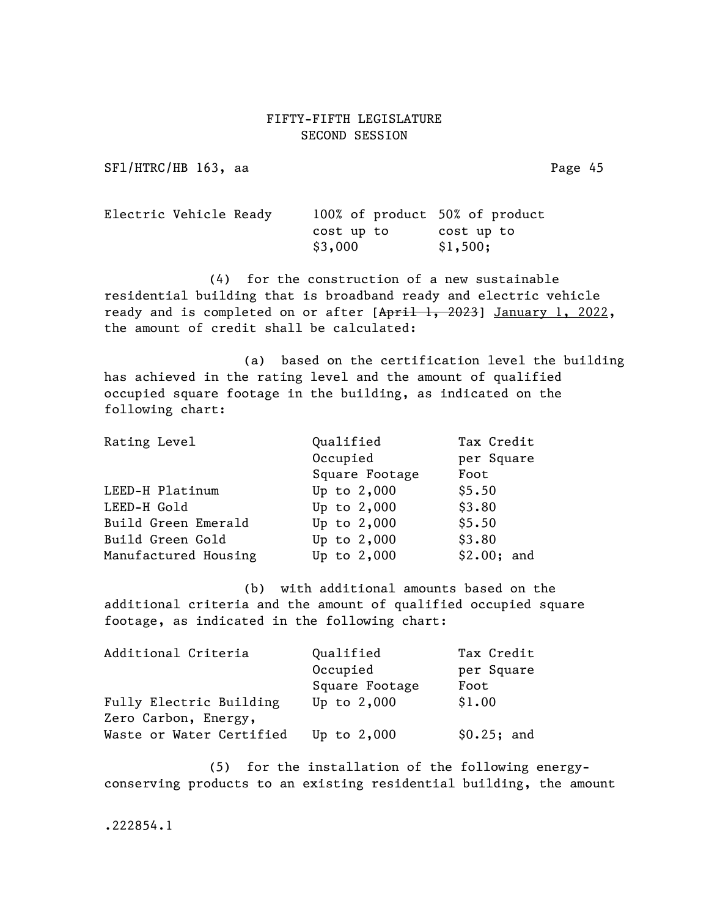SF1/HTRC/HB 163, aa Page 45

Electric Vehicle Ready 100% of product 50% of product cost up to cost up to  $$3,000$   $$1,500;$ 

(4) for the construction of a new sustainable residential building that is broadband ready and electric vehicle ready and is completed on or after [April 1, 2023] January 1, 2022, the amount of credit shall be calculated:

(a) based on the certification level the building has achieved in the rating level and the amount of qualified occupied square footage in the building, as indicated on the following chart:

| Rating Level         | Qualified      | Tax Credit  |
|----------------------|----------------|-------------|
|                      | Occupied       | per Square  |
|                      | Square Footage | Foot        |
| LEED-H Platinum      | Up to $2,000$  | \$5.50      |
| LEED-H Gold          | Up to 2,000    | \$3.80      |
| Build Green Emerald  | Up to 2,000    | \$5.50      |
| Build Green Gold     | Up to 2,000    | \$3.80      |
| Manufactured Housing | Up to 2,000    | \$2.00; and |

(b) with additional amounts based on the additional criteria and the amount of qualified occupied square footage, as indicated in the following chart:

| Additional Criteria      | Qualified      | Tax Credit  |
|--------------------------|----------------|-------------|
|                          | Occupied       | per Square  |
|                          | Square Footage | Foot        |
| Fully Electric Building  | Up to $2,000$  | \$1.00      |
| Zero Carbon, Energy,     |                |             |
| Waste or Water Certified | Up to $2,000$  | \$0.25; and |

(5) for the installation of the following energyconserving products to an existing residential building, the amount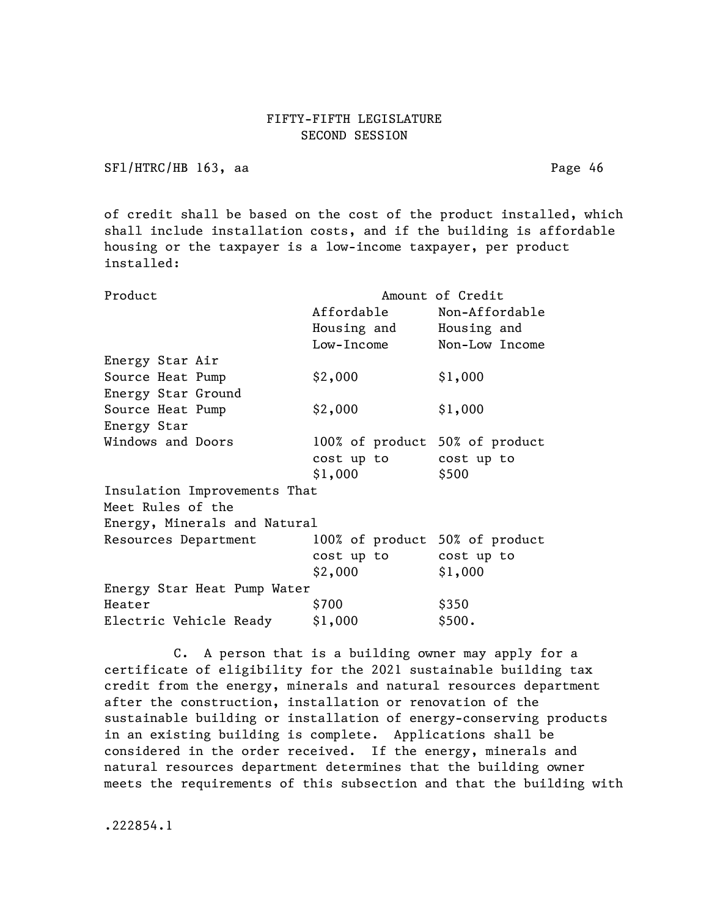SF1/HTRC/HB 163, aa Page 46

of credit shall be based on the cost of the product installed, which shall include installation costs, and if the building is affordable housing or the taxpayer is a low-income taxpayer, per product installed:

| Product                      | Amount of Credit               |                |  |  |
|------------------------------|--------------------------------|----------------|--|--|
|                              | Affordable                     | Non-Affordable |  |  |
|                              | Housing and Housing and        |                |  |  |
|                              | Low-Income Non-Low Income      |                |  |  |
| Energy Star Air              |                                |                |  |  |
| Source Heat Pump             | \$2,000                        | \$1,000        |  |  |
| Energy Star Ground           |                                |                |  |  |
| Source Heat Pump             | \$2,000                        | \$1,000        |  |  |
| Energy Star                  |                                |                |  |  |
| Windows and Doors            | 100% of product 50% of product |                |  |  |
|                              | cost up to cost up to          |                |  |  |
|                              | \$1,000                        | \$500          |  |  |
| Insulation Improvements That |                                |                |  |  |
| Meet Rules of the            |                                |                |  |  |
| Energy, Minerals and Natural |                                |                |  |  |
| Resources Department         | 100% of product 50% of product |                |  |  |
|                              | cost up to cost up to          |                |  |  |
|                              | \$2,000                        | \$1,000        |  |  |
| Energy Star Heat Pump Water  |                                |                |  |  |
| Heater                       | \$700                          | \$350          |  |  |
| Electric Vehicle Ready       | \$1,000                        | \$500.         |  |  |

C. A person that is a building owner may apply for a certificate of eligibility for the 2021 sustainable building tax credit from the energy, minerals and natural resources department after the construction, installation or renovation of the sustainable building or installation of energy-conserving products in an existing building is complete. Applications shall be considered in the order received. If the energy, minerals and natural resources department determines that the building owner meets the requirements of this subsection and that the building with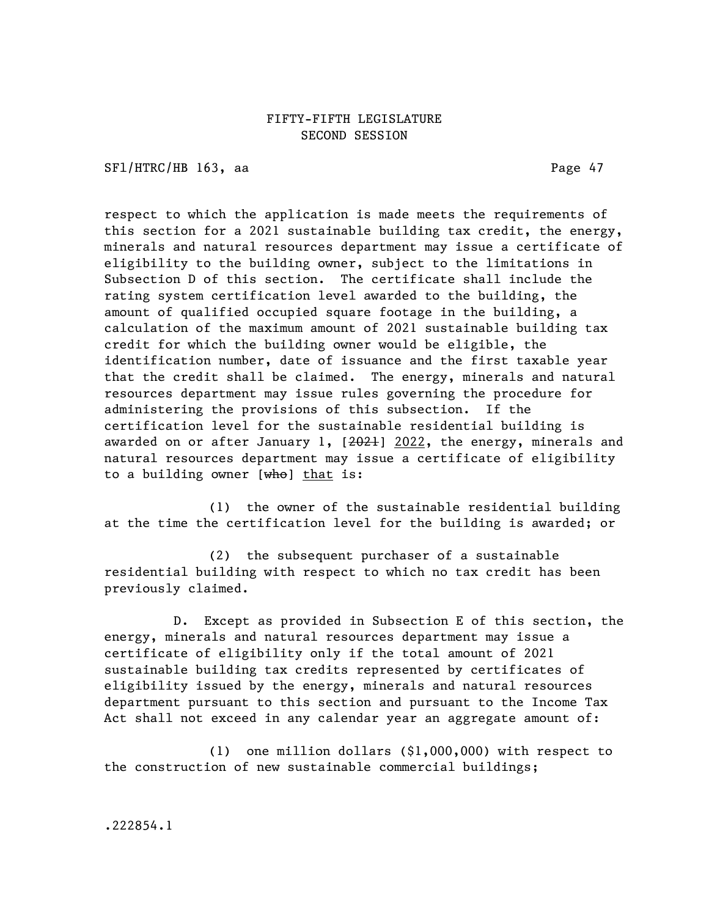SFl/HTRC/HB 163, aa Page 47

respect to which the application is made meets the requirements of this section for a 2021 sustainable building tax credit, the energy, minerals and natural resources department may issue a certificate of eligibility to the building owner, subject to the limitations in Subsection D of this section. The certificate shall include the rating system certification level awarded to the building, the amount of qualified occupied square footage in the building, a calculation of the maximum amount of 2021 sustainable building tax credit for which the building owner would be eligible, the identification number, date of issuance and the first taxable year that the credit shall be claimed. The energy, minerals and natural resources department may issue rules governing the procedure for administering the provisions of this subsection. If the certification level for the sustainable residential building is awarded on or after January 1,  $[2022]$ , the energy, minerals and natural resources department may issue a certificate of eligibility to a building owner  $[**wh**o]$  that is:

(1) the owner of the sustainable residential building at the time the certification level for the building is awarded; or

(2) the subsequent purchaser of a sustainable residential building with respect to which no tax credit has been previously claimed.

D. Except as provided in Subsection E of this section, the energy, minerals and natural resources department may issue a certificate of eligibility only if the total amount of 2021 sustainable building tax credits represented by certificates of eligibility issued by the energy, minerals and natural resources department pursuant to this section and pursuant to the Income Tax Act shall not exceed in any calendar year an aggregate amount of:

(1) one million dollars (\$1,000,000) with respect to the construction of new sustainable commercial buildings;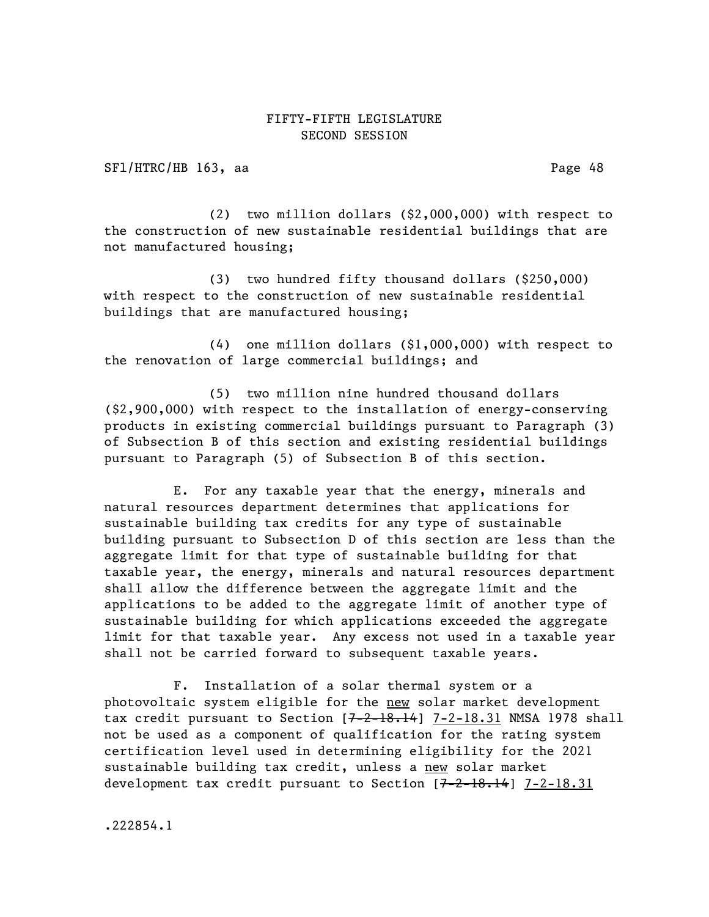SF1/HTRC/HB 163, aa Page 48

(2) two million dollars (\$2,000,000) with respect to the construction of new sustainable residential buildings that are not manufactured housing;

(3) two hundred fifty thousand dollars (\$250,000) with respect to the construction of new sustainable residential buildings that are manufactured housing;

(4) one million dollars (\$1,000,000) with respect to the renovation of large commercial buildings; and

(5) two million nine hundred thousand dollars (\$2,900,000) with respect to the installation of energy-conserving products in existing commercial buildings pursuant to Paragraph (3) of Subsection B of this section and existing residential buildings pursuant to Paragraph (5) of Subsection B of this section.

E. For any taxable year that the energy, minerals and natural resources department determines that applications for sustainable building tax credits for any type of sustainable building pursuant to Subsection D of this section are less than the aggregate limit for that type of sustainable building for that taxable year, the energy, minerals and natural resources department shall allow the difference between the aggregate limit and the applications to be added to the aggregate limit of another type of sustainable building for which applications exceeded the aggregate limit for that taxable year. Any excess not used in a taxable year shall not be carried forward to subsequent taxable years.

F. Installation of a solar thermal system or a photovoltaic system eligible for the new solar market development tax credit pursuant to Section  $[7-2-18.14]$   $7-2-18.31$  NMSA 1978 shall not be used as a component of qualification for the rating system certification level used in determining eligibility for the 2021 sustainable building tax credit, unless a new solar market development tax credit pursuant to Section [7-2-18.14] 7-2-18.31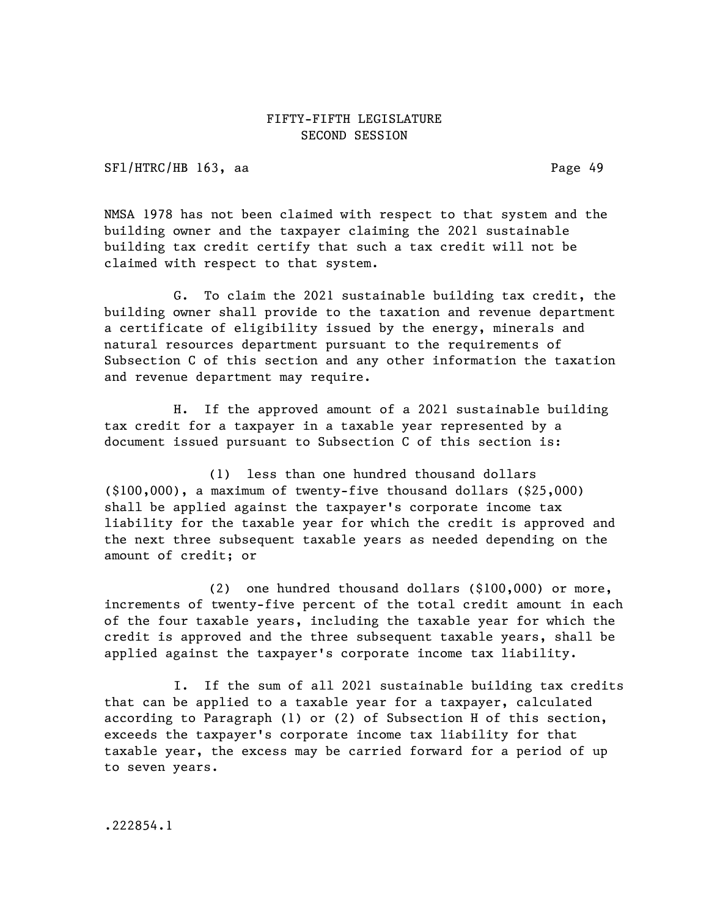SFl/HTRC/HB 163, aa Page 49

NMSA 1978 has not been claimed with respect to that system and the building owner and the taxpayer claiming the 2021 sustainable building tax credit certify that such a tax credit will not be claimed with respect to that system.

G. To claim the 2021 sustainable building tax credit, the building owner shall provide to the taxation and revenue department a certificate of eligibility issued by the energy, minerals and natural resources department pursuant to the requirements of Subsection C of this section and any other information the taxation and revenue department may require.

H. If the approved amount of a 2021 sustainable building tax credit for a taxpayer in a taxable year represented by a document issued pursuant to Subsection C of this section is:

(1) less than one hundred thousand dollars (\$100,000), a maximum of twenty-five thousand dollars (\$25,000) shall be applied against the taxpayer's corporate income tax liability for the taxable year for which the credit is approved and the next three subsequent taxable years as needed depending on the amount of credit; or

(2) one hundred thousand dollars (\$100,000) or more, increments of twenty-five percent of the total credit amount in each of the four taxable years, including the taxable year for which the credit is approved and the three subsequent taxable years, shall be applied against the taxpayer's corporate income tax liability.

I. If the sum of all 2021 sustainable building tax credits that can be applied to a taxable year for a taxpayer, calculated according to Paragraph (1) or (2) of Subsection H of this section, exceeds the taxpayer's corporate income tax liability for that taxable year, the excess may be carried forward for a period of up to seven years.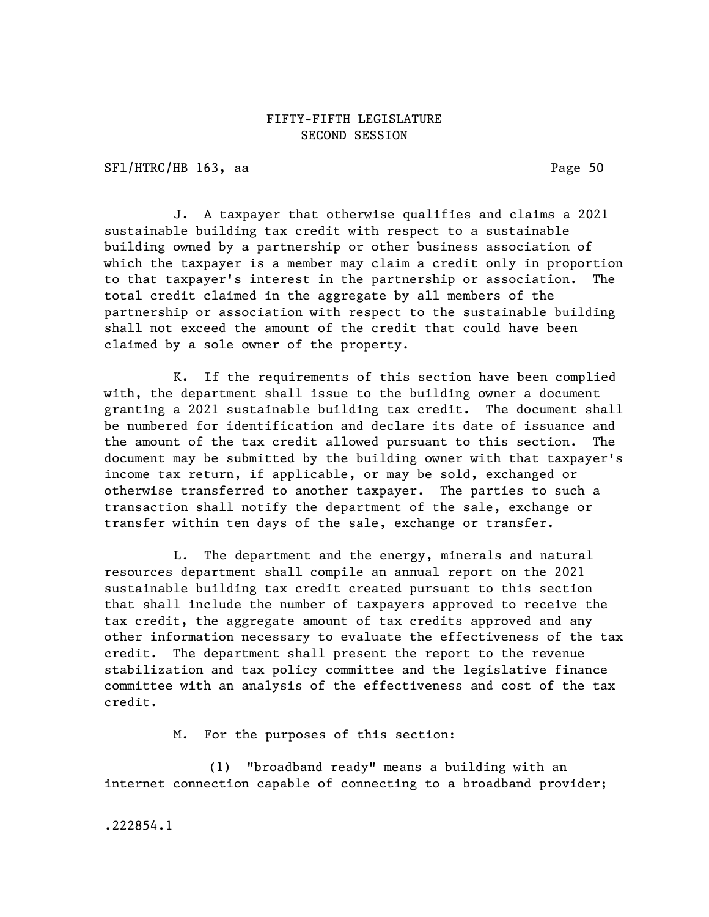SFl/HTRC/HB 163, aa Page 50

J. A taxpayer that otherwise qualifies and claims a 2021 sustainable building tax credit with respect to a sustainable building owned by a partnership or other business association of which the taxpayer is a member may claim a credit only in proportion to that taxpayer's interest in the partnership or association. The total credit claimed in the aggregate by all members of the partnership or association with respect to the sustainable building shall not exceed the amount of the credit that could have been claimed by a sole owner of the property.

K. If the requirements of this section have been complied with, the department shall issue to the building owner a document granting a 2021 sustainable building tax credit. The document shall be numbered for identification and declare its date of issuance and the amount of the tax credit allowed pursuant to this section. The document may be submitted by the building owner with that taxpayer's income tax return, if applicable, or may be sold, exchanged or otherwise transferred to another taxpayer. The parties to such a transaction shall notify the department of the sale, exchange or transfer within ten days of the sale, exchange or transfer.

L. The department and the energy, minerals and natural resources department shall compile an annual report on the 2021 sustainable building tax credit created pursuant to this section that shall include the number of taxpayers approved to receive the tax credit, the aggregate amount of tax credits approved and any other information necessary to evaluate the effectiveness of the tax credit. The department shall present the report to the revenue stabilization and tax policy committee and the legislative finance committee with an analysis of the effectiveness and cost of the tax credit.

M. For the purposes of this section:

(1) "broadband ready" means a building with an internet connection capable of connecting to a broadband provider;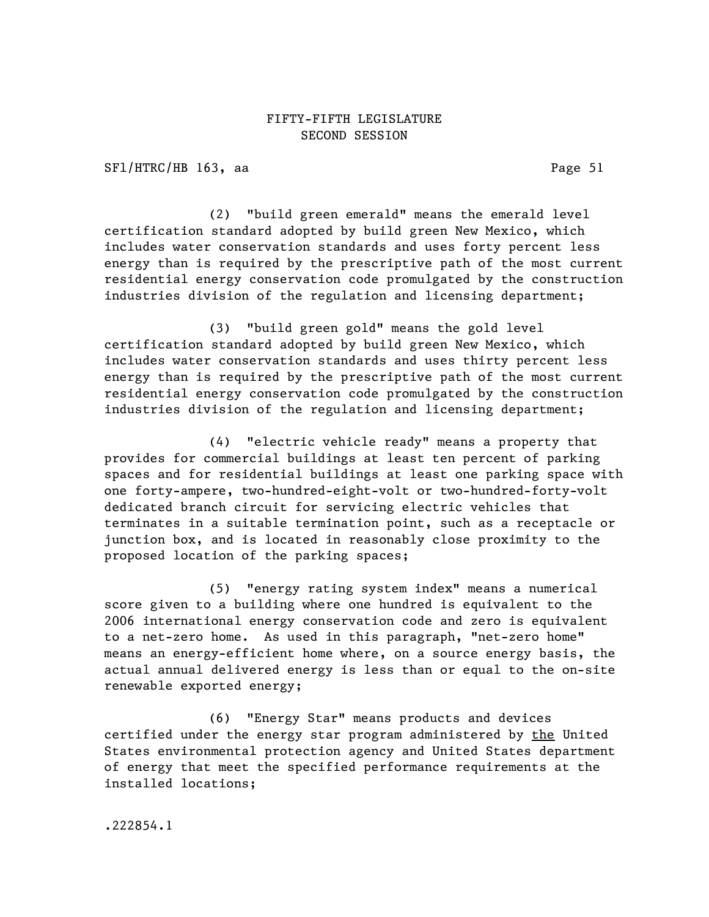SFl/HTRC/HB 163, aa Page 51

(2) "build green emerald" means the emerald level certification standard adopted by build green New Mexico, which includes water conservation standards and uses forty percent less energy than is required by the prescriptive path of the most current residential energy conservation code promulgated by the construction industries division of the regulation and licensing department;

(3) "build green gold" means the gold level certification standard adopted by build green New Mexico, which includes water conservation standards and uses thirty percent less energy than is required by the prescriptive path of the most current residential energy conservation code promulgated by the construction industries division of the regulation and licensing department;

(4) "electric vehicle ready" means a property that provides for commercial buildings at least ten percent of parking spaces and for residential buildings at least one parking space with one forty-ampere, two-hundred-eight-volt or two-hundred-forty-volt dedicated branch circuit for servicing electric vehicles that terminates in a suitable termination point, such as a receptacle or junction box, and is located in reasonably close proximity to the proposed location of the parking spaces;

(5) "energy rating system index" means a numerical score given to a building where one hundred is equivalent to the 2006 international energy conservation code and zero is equivalent to a net-zero home. As used in this paragraph, "net-zero home" means an energy-efficient home where, on a source energy basis, the actual annual delivered energy is less than or equal to the on-site renewable exported energy;

(6) "Energy Star" means products and devices certified under the energy star program administered by the United States environmental protection agency and United States department of energy that meet the specified performance requirements at the installed locations;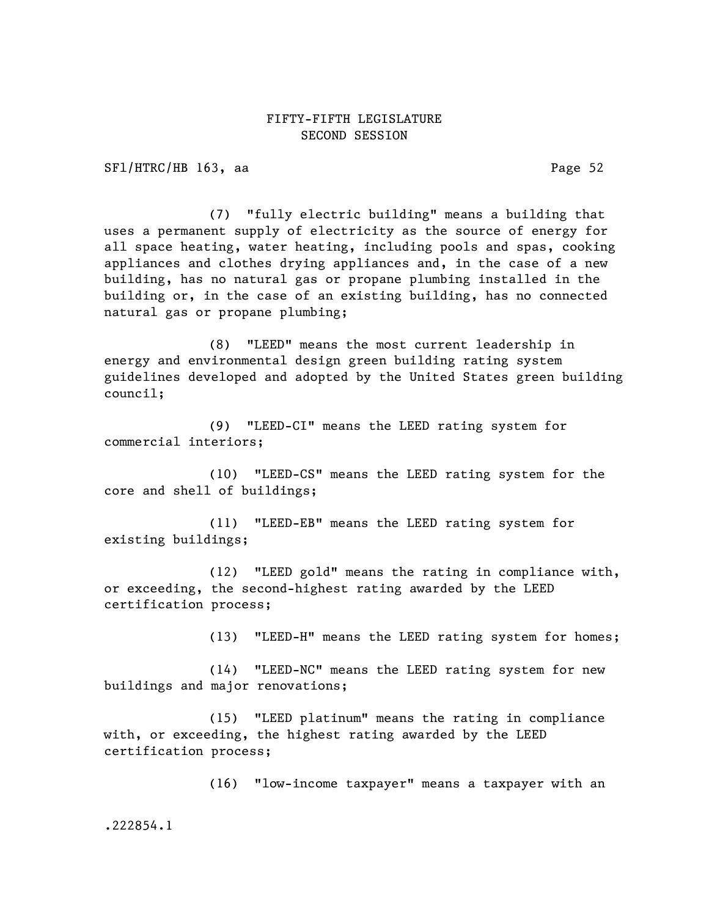SFl/HTRC/HB 163, aa Page 52

(7) "fully electric building" means a building that uses a permanent supply of electricity as the source of energy for all space heating, water heating, including pools and spas, cooking appliances and clothes drying appliances and, in the case of a new building, has no natural gas or propane plumbing installed in the building or, in the case of an existing building, has no connected natural gas or propane plumbing;

(8) "LEED" means the most current leadership in energy and environmental design green building rating system guidelines developed and adopted by the United States green building council;

(9) "LEED-CI" means the LEED rating system for commercial interiors;

(10) "LEED-CS" means the LEED rating system for the core and shell of buildings;

(11) "LEED-EB" means the LEED rating system for existing buildings;

(12) "LEED gold" means the rating in compliance with, or exceeding, the second-highest rating awarded by the LEED certification process;

(13) "LEED-H" means the LEED rating system for homes;

(14) "LEED-NC" means the LEED rating system for new buildings and major renovations;

(15) "LEED platinum" means the rating in compliance with, or exceeding, the highest rating awarded by the LEED certification process;

(16) "low-income taxpayer" means a taxpayer with an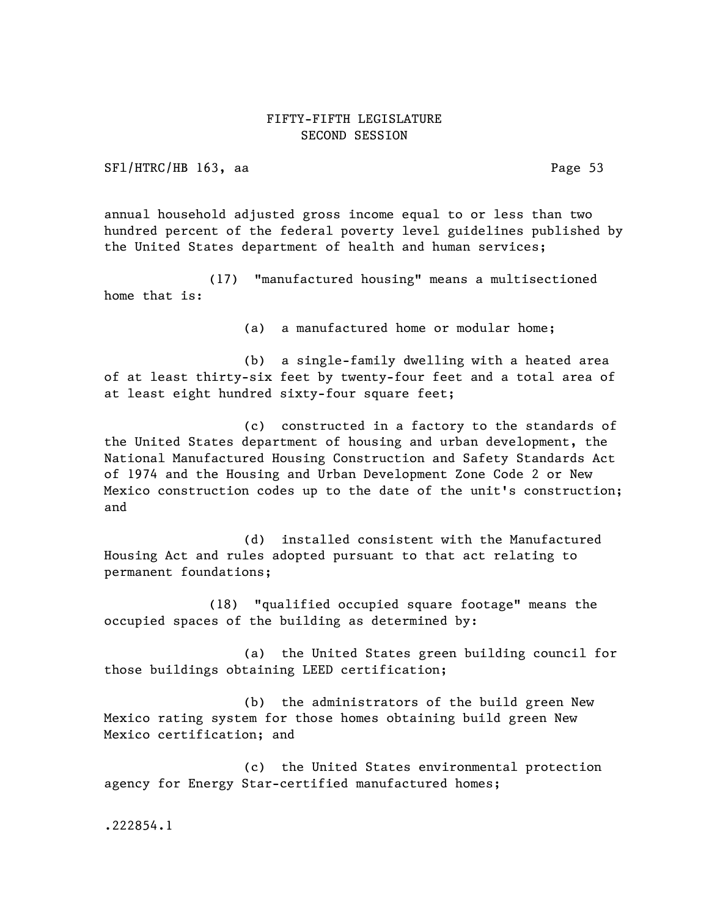SFl/HTRC/HB 163, aa Page 53

annual household adjusted gross income equal to or less than two hundred percent of the federal poverty level guidelines published by the United States department of health and human services;

(17) "manufactured housing" means a multisectioned home that is:

(a) a manufactured home or modular home;

(b) a single-family dwelling with a heated area of at least thirty-six feet by twenty-four feet and a total area of at least eight hundred sixty-four square feet;

(c) constructed in a factory to the standards of the United States department of housing and urban development, the National Manufactured Housing Construction and Safety Standards Act of 1974 and the Housing and Urban Development Zone Code 2 or New Mexico construction codes up to the date of the unit's construction; and

(d) installed consistent with the Manufactured Housing Act and rules adopted pursuant to that act relating to permanent foundations;

(18) "qualified occupied square footage" means the occupied spaces of the building as determined by:

(a) the United States green building council for those buildings obtaining LEED certification;

(b) the administrators of the build green New Mexico rating system for those homes obtaining build green New Mexico certification; and

(c) the United States environmental protection agency for Energy Star-certified manufactured homes;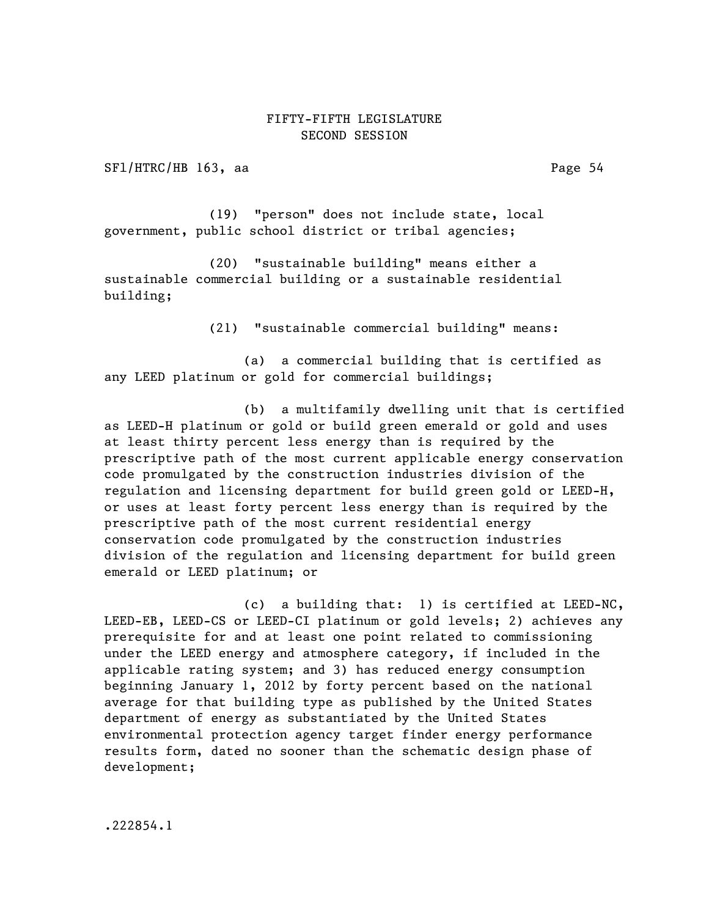SFl/HTRC/HB 163, aa Page 54

(19) "person" does not include state, local government, public school district or tribal agencies;

(20) "sustainable building" means either a sustainable commercial building or a sustainable residential building;

(21) "sustainable commercial building" means:

(a) a commercial building that is certified as any LEED platinum or gold for commercial buildings;

(b) a multifamily dwelling unit that is certified as LEED-H platinum or gold or build green emerald or gold and uses at least thirty percent less energy than is required by the prescriptive path of the most current applicable energy conservation code promulgated by the construction industries division of the regulation and licensing department for build green gold or LEED-H, or uses at least forty percent less energy than is required by the prescriptive path of the most current residential energy conservation code promulgated by the construction industries division of the regulation and licensing department for build green emerald or LEED platinum; or

(c) a building that: 1) is certified at LEED-NC, LEED-EB, LEED-CS or LEED-CI platinum or gold levels; 2) achieves any prerequisite for and at least one point related to commissioning under the LEED energy and atmosphere category, if included in the applicable rating system; and 3) has reduced energy consumption beginning January 1, 2012 by forty percent based on the national average for that building type as published by the United States department of energy as substantiated by the United States environmental protection agency target finder energy performance results form, dated no sooner than the schematic design phase of development;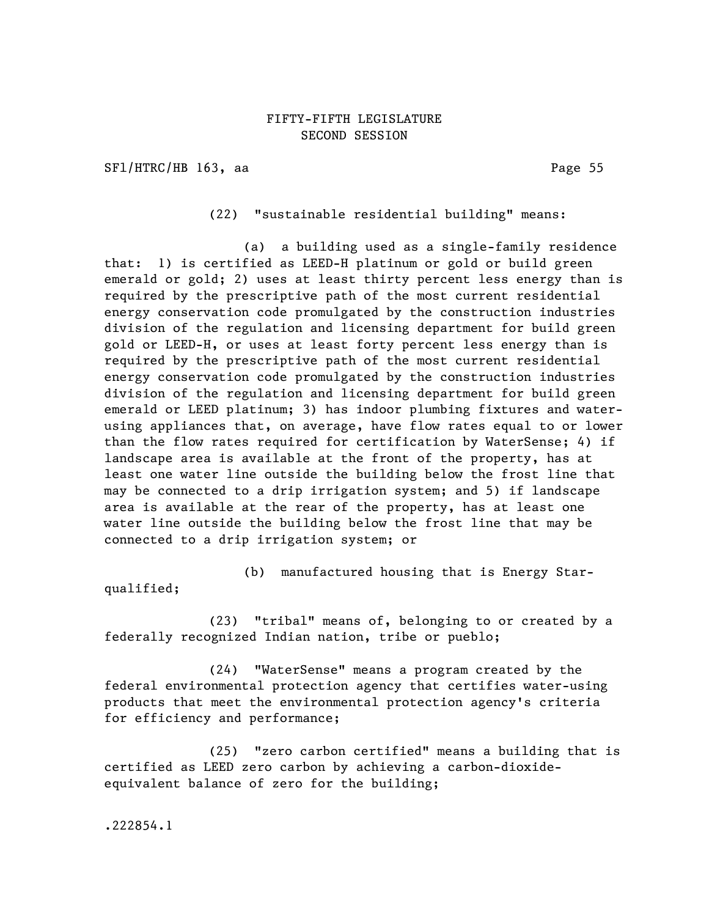SFl/HTRC/HB 163, aa Page 55

(22) "sustainable residential building" means:

(a) a building used as a single-family residence that: 1) is certified as LEED-H platinum or gold or build green emerald or gold; 2) uses at least thirty percent less energy than is required by the prescriptive path of the most current residential energy conservation code promulgated by the construction industries division of the regulation and licensing department for build green gold or LEED-H, or uses at least forty percent less energy than is required by the prescriptive path of the most current residential energy conservation code promulgated by the construction industries division of the regulation and licensing department for build green emerald or LEED platinum; 3) has indoor plumbing fixtures and waterusing appliances that, on average, have flow rates equal to or lower than the flow rates required for certification by WaterSense; 4) if landscape area is available at the front of the property, has at least one water line outside the building below the frost line that may be connected to a drip irrigation system; and 5) if landscape area is available at the rear of the property, has at least one water line outside the building below the frost line that may be connected to a drip irrigation system; or

(b) manufactured housing that is Energy Star-

qualified;

(23) "tribal" means of, belonging to or created by a federally recognized Indian nation, tribe or pueblo;

(24) "WaterSense" means a program created by the federal environmental protection agency that certifies water-using products that meet the environmental protection agency's criteria for efficiency and performance;

(25) "zero carbon certified" means a building that is certified as LEED zero carbon by achieving a carbon-dioxideequivalent balance of zero for the building;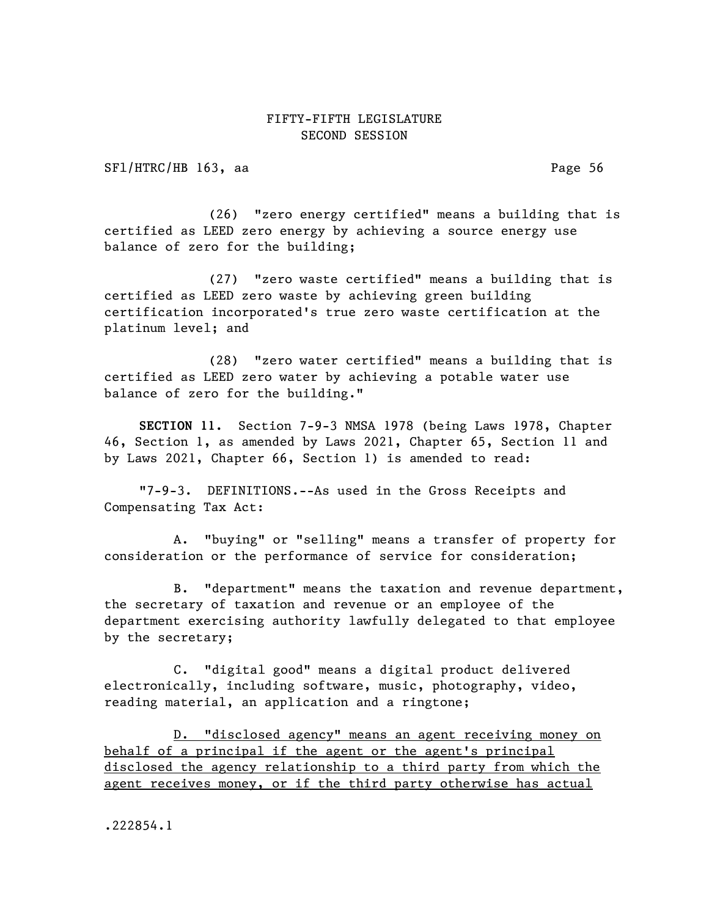SFl/HTRC/HB 163, aa Page 56

(26) "zero energy certified" means a building that is certified as LEED zero energy by achieving a source energy use balance of zero for the building;

(27) "zero waste certified" means a building that is certified as LEED zero waste by achieving green building certification incorporated's true zero waste certification at the platinum level; and

(28) "zero water certified" means a building that is certified as LEED zero water by achieving a potable water use balance of zero for the building."

SECTION 11. Section 7-9-3 NMSA 1978 (being Laws 1978, Chapter 46, Section 1, as amended by Laws 2021, Chapter 65, Section 11 and by Laws 2021, Chapter 66, Section 1) is amended to read:

"7-9-3. DEFINITIONS.--As used in the Gross Receipts and Compensating Tax Act:

A. "buying" or "selling" means a transfer of property for consideration or the performance of service for consideration;

B. "department" means the taxation and revenue department, the secretary of taxation and revenue or an employee of the department exercising authority lawfully delegated to that employee by the secretary;

C. "digital good" means a digital product delivered electronically, including software, music, photography, video, reading material, an application and a ringtone;

D. "disclosed agency" means an agent receiving money on behalf of a principal if the agent or the agent's principal disclosed the agency relationship to a third party from which the agent receives money, or if the third party otherwise has actual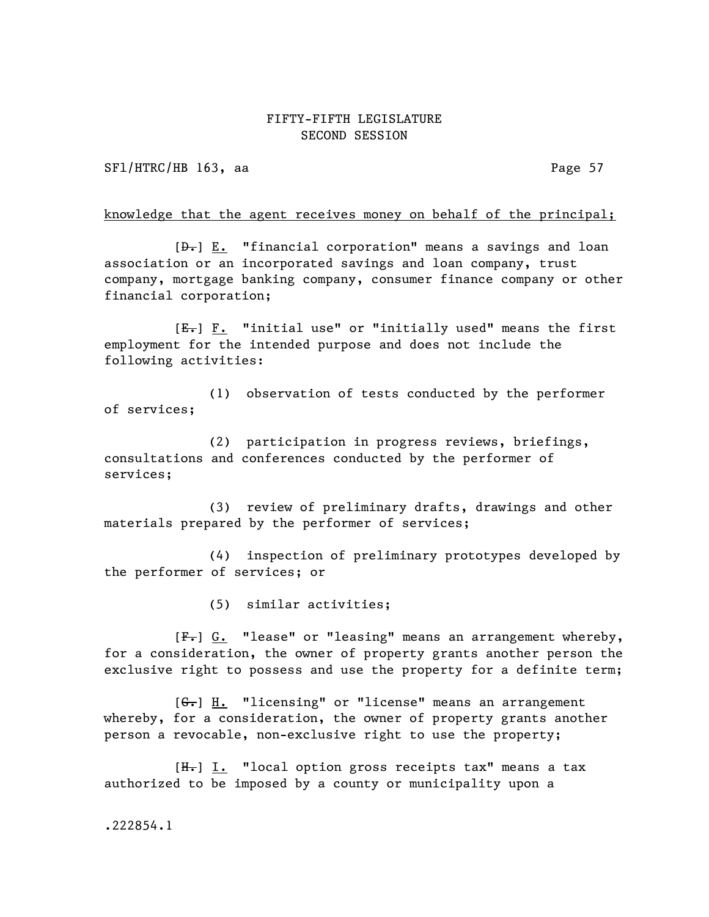SFl/HTRC/HB 163, aa Page 57

#### knowledge that the agent receives money on behalf of the principal;

 $[\frac{\theta}{\theta}]$  E. "financial corporation" means a savings and loan association or an incorporated savings and loan company, trust company, mortgage banking company, consumer finance company or other financial corporation;

 $[E_r]$  F. "initial use" or "initially used" means the first employment for the intended purpose and does not include the following activities:

(1) observation of tests conducted by the performer of services;

(2) participation in progress reviews, briefings, consultations and conferences conducted by the performer of services;

(3) review of preliminary drafts, drawings and other materials prepared by the performer of services;

(4) inspection of preliminary prototypes developed by the performer of services; or

(5) similar activities;

[F.] G. "lease" or "leasing" means an arrangement whereby, for a consideration, the owner of property grants another person the exclusive right to possess and use the property for a definite term;

 $[G_{\bullet}]$  H. "licensing" or "license" means an arrangement whereby, for a consideration, the owner of property grants another person a revocable, non-exclusive right to use the property;

 $[H_r]$  I. "local option gross receipts tax" means a tax authorized to be imposed by a county or municipality upon a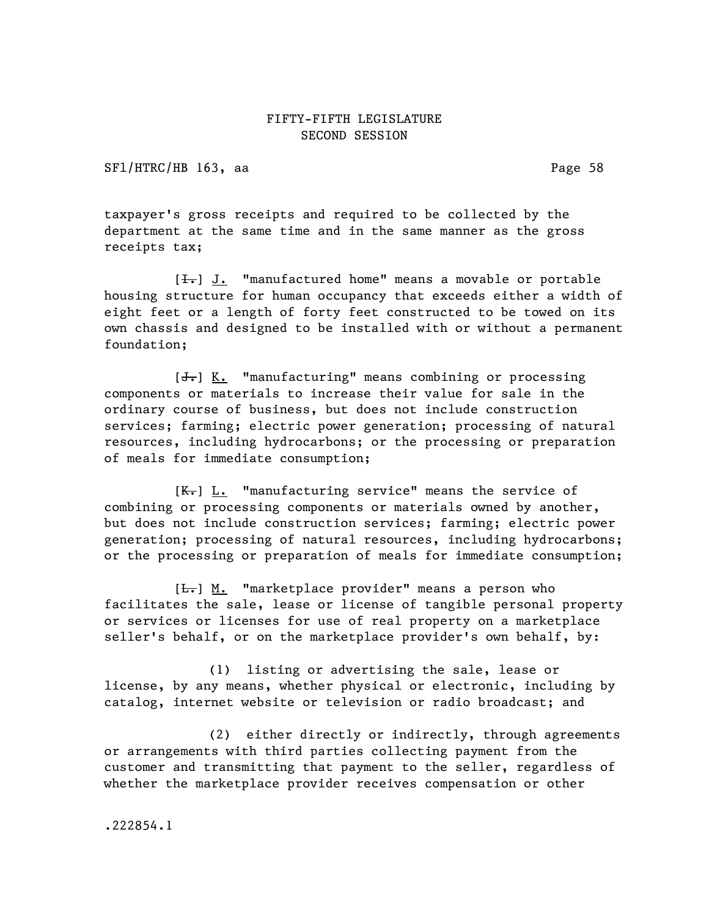SFl/HTRC/HB 163, aa Page 58

taxpayer's gross receipts and required to be collected by the department at the same time and in the same manner as the gross receipts tax;

 $[\frac{1}{\sqrt{1}}]$  J. "manufactured home" means a movable or portable housing structure for human occupancy that exceeds either a width of eight feet or a length of forty feet constructed to be towed on its own chassis and designed to be installed with or without a permanent foundation;

 $[J<sub>r</sub>]$  K. "manufacturing" means combining or processing components or materials to increase their value for sale in the ordinary course of business, but does not include construction services; farming; electric power generation; processing of natural resources, including hydrocarbons; or the processing or preparation of meals for immediate consumption;

 $[K_r]$  L. "manufacturing service" means the service of combining or processing components or materials owned by another, but does not include construction services; farming; electric power generation; processing of natural resources, including hydrocarbons; or the processing or preparation of meals for immediate consumption;

[ $\frac{L}{L}$ ] M. "marketplace provider" means a person who facilitates the sale, lease or license of tangible personal property or services or licenses for use of real property on a marketplace seller's behalf, or on the marketplace provider's own behalf, by:

(1) listing or advertising the sale, lease or license, by any means, whether physical or electronic, including by catalog, internet website or television or radio broadcast; and

(2) either directly or indirectly, through agreements or arrangements with third parties collecting payment from the customer and transmitting that payment to the seller, regardless of whether the marketplace provider receives compensation or other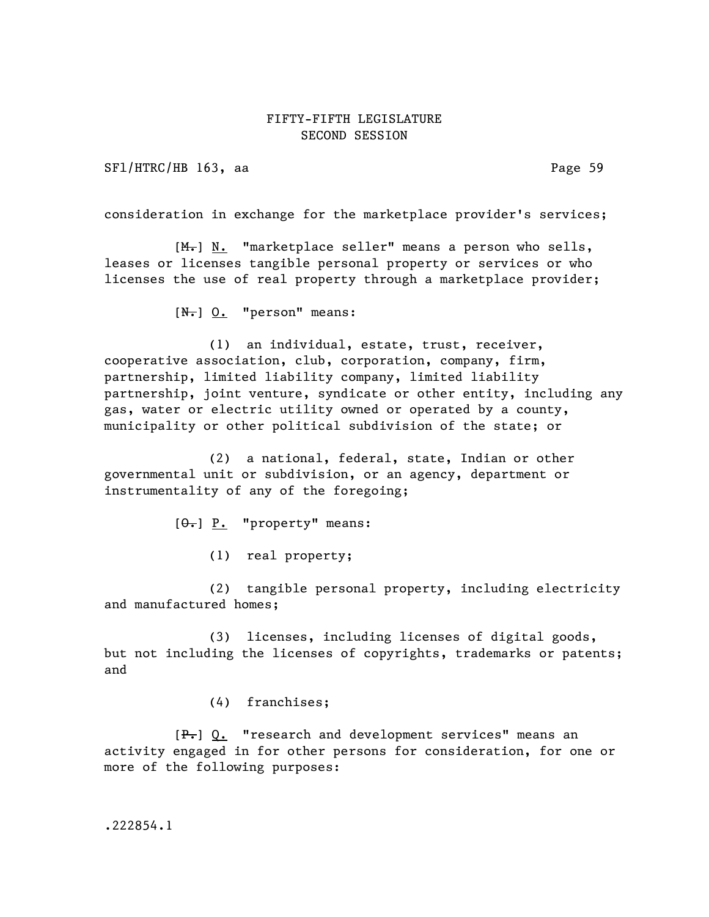SFl/HTRC/HB 163, aa Page 59

consideration in exchange for the marketplace provider's services;

 $[M_r]$  N. "marketplace seller" means a person who sells, leases or licenses tangible personal property or services or who licenses the use of real property through a marketplace provider;

 $[N<sub>1</sub>]$  0. "person" means:

(1) an individual, estate, trust, receiver, cooperative association, club, corporation, company, firm, partnership, limited liability company, limited liability partnership, joint venture, syndicate or other entity, including any gas, water or electric utility owned or operated by a county, municipality or other political subdivision of the state; or

(2) a national, federal, state, Indian or other governmental unit or subdivision, or an agency, department or instrumentality of any of the foregoing;

 $[\Theta_{\bullet}]$  P. "property" means:

(1) real property;

(2) tangible personal property, including electricity and manufactured homes;

(3) licenses, including licenses of digital goods, but not including the licenses of copyrights, trademarks or patents; and

(4) franchises;

 $[P_{\tau}]$  Q. "research and development services" means an activity engaged in for other persons for consideration, for one or more of the following purposes: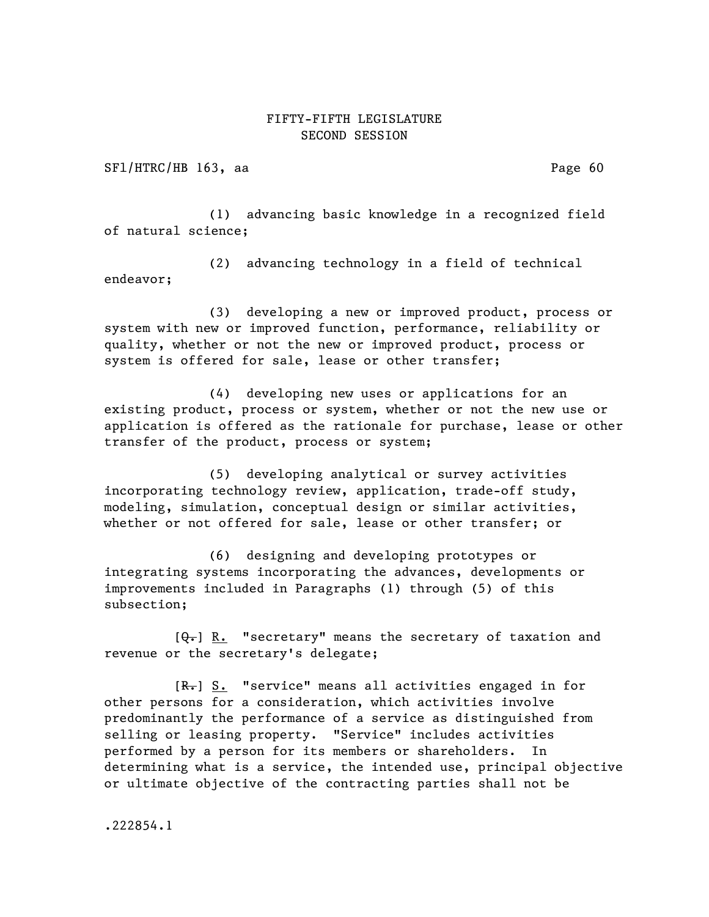SFl/HTRC/HB 163, aa Page 60

(1) advancing basic knowledge in a recognized field of natural science;

(2) advancing technology in a field of technical endeavor;

(3) developing a new or improved product, process or system with new or improved function, performance, reliability or quality, whether or not the new or improved product, process or system is offered for sale, lease or other transfer;

(4) developing new uses or applications for an existing product, process or system, whether or not the new use or application is offered as the rationale for purchase, lease or other transfer of the product, process or system;

(5) developing analytical or survey activities incorporating technology review, application, trade-off study, modeling, simulation, conceptual design or similar activities, whether or not offered for sale, lease or other transfer; or

(6) designing and developing prototypes or integrating systems incorporating the advances, developments or improvements included in Paragraphs (1) through (5) of this subsection;

 $[\theta_{\overline{\tau}}]$  R. "secretary" means the secretary of taxation and revenue or the secretary's delegate;

 $[R_r]$  S. "service" means all activities engaged in for other persons for a consideration, which activities involve predominantly the performance of a service as distinguished from selling or leasing property. "Service" includes activities performed by a person for its members or shareholders. In determining what is a service, the intended use, principal objective or ultimate objective of the contracting parties shall not be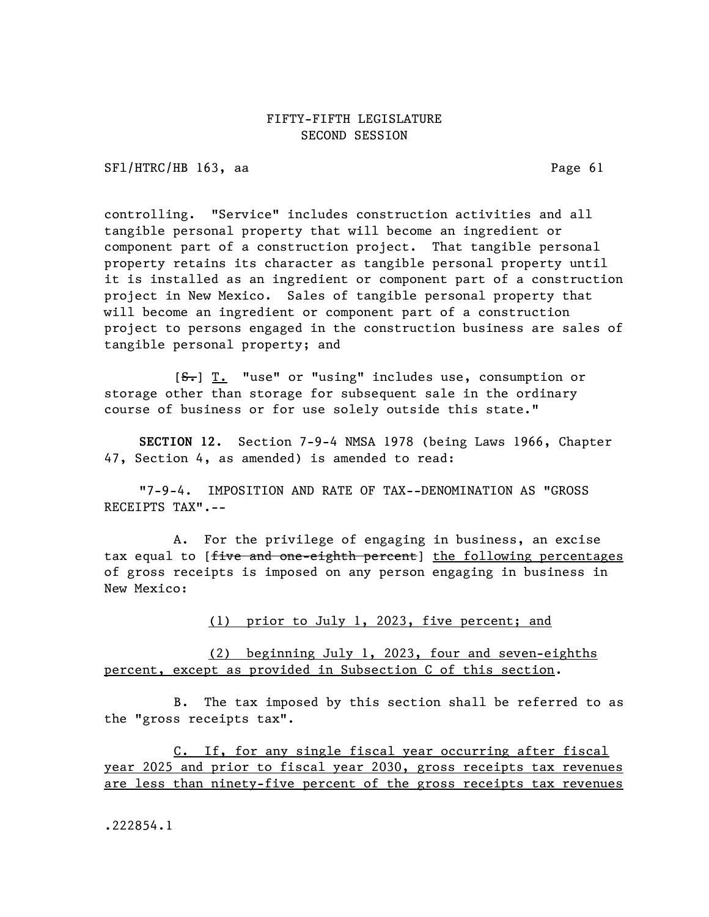SFl/HTRC/HB 163, aa Page 61

controlling. "Service" includes construction activities and all tangible personal property that will become an ingredient or component part of a construction project. That tangible personal property retains its character as tangible personal property until it is installed as an ingredient or component part of a construction project in New Mexico. Sales of tangible personal property that will become an ingredient or component part of a construction project to persons engaged in the construction business are sales of tangible personal property; and

 $[**S**$ . "use" or "using" includes use, consumption or storage other than storage for subsequent sale in the ordinary course of business or for use solely outside this state."

SECTION 12. Section 7-9-4 NMSA 1978 (being Laws 1966, Chapter 47, Section 4, as amended) is amended to read:

"7-9-4. IMPOSITION AND RATE OF TAX--DENOMINATION AS "GROSS RECEIPTS TAX".--

A. For the privilege of engaging in business, an excise tax equal to [five and one-eighth percent] the following percentages of gross receipts is imposed on any person engaging in business in New Mexico:

(1) prior to July 1, 2023, five percent; and

(2) beginning July 1, 2023, four and seven-eighths percent, except as provided in Subsection C of this section.

B. The tax imposed by this section shall be referred to as the "gross receipts tax".

C. If, for any single fiscal year occurring after fiscal year 2025 and prior to fiscal year 2030, gross receipts tax revenues are less than ninety-five percent of the gross receipts tax revenues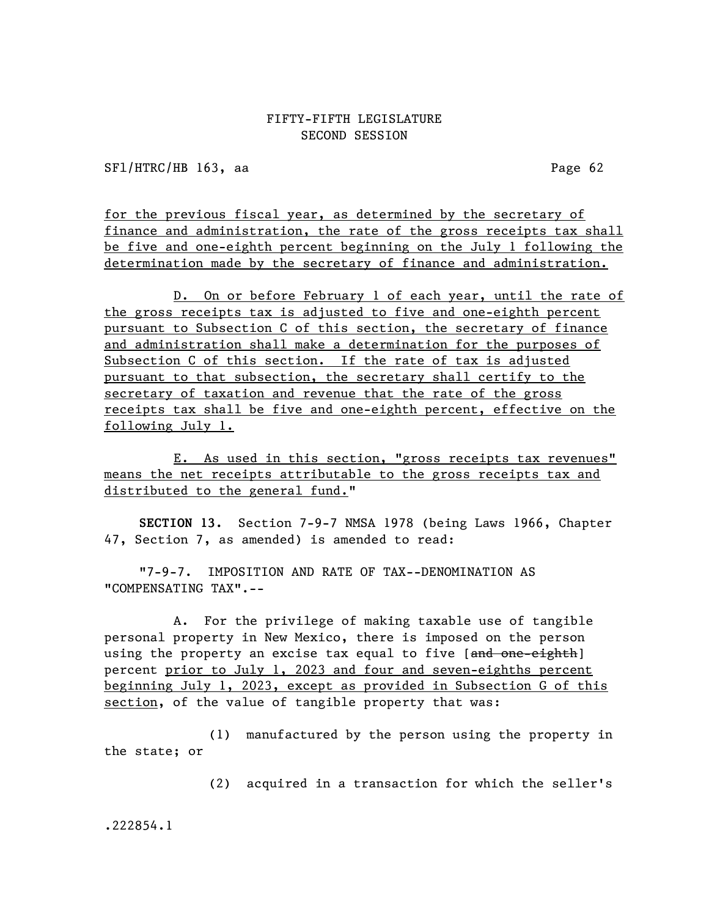SFl/HTRC/HB 163, aa Page 62

for the previous fiscal year, as determined by the secretary of finance and administration, the rate of the gross receipts tax shall be five and one-eighth percent beginning on the July 1 following the determination made by the secretary of finance and administration.

D. On or before February 1 of each year, until the rate of the gross receipts tax is adjusted to five and one-eighth percent pursuant to Subsection C of this section, the secretary of finance and administration shall make a determination for the purposes of Subsection C of this section. If the rate of tax is adjusted pursuant to that subsection, the secretary shall certify to the secretary of taxation and revenue that the rate of the gross receipts tax shall be five and one-eighth percent, effective on the following July 1.

E. As used in this section, "gross receipts tax revenues" means the net receipts attributable to the gross receipts tax and distributed to the general fund."

SECTION 13. Section 7-9-7 NMSA 1978 (being Laws 1966, Chapter 47, Section 7, as amended) is amended to read:

"7-9-7. IMPOSITION AND RATE OF TAX--DENOMINATION AS "COMPENSATING TAX".--

A. For the privilege of making taxable use of tangible personal property in New Mexico, there is imposed on the person using the property an excise tax equal to five [and one-eighth] percent prior to July 1, 2023 and four and seven-eighths percent beginning July 1, 2023, except as provided in Subsection G of this section, of the value of tangible property that was:

(1) manufactured by the person using the property in the state; or

(2) acquired in a transaction for which the seller's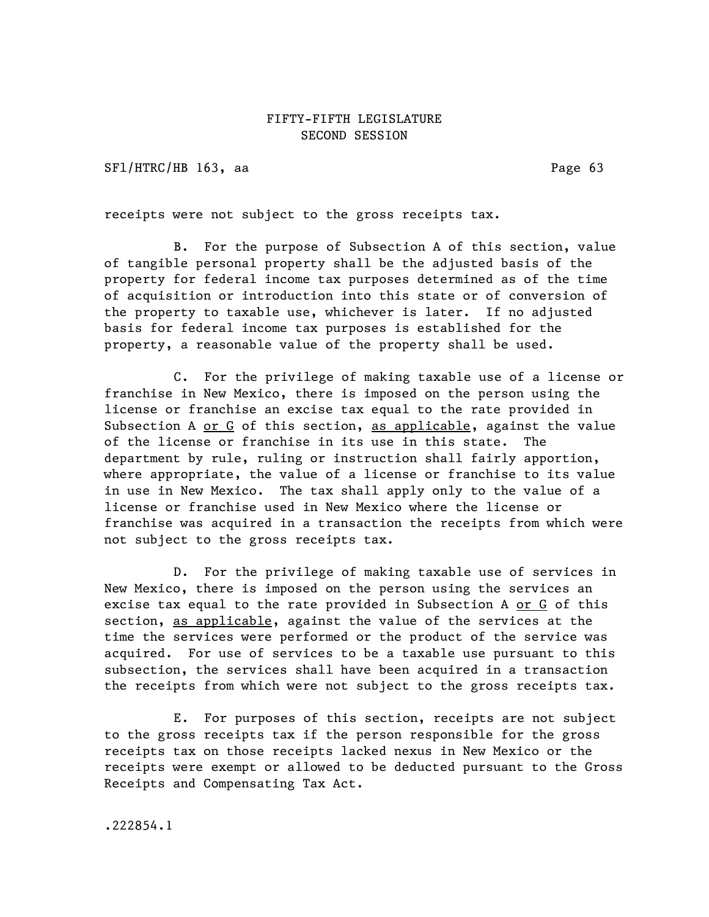SFl/HTRC/HB 163, aa Page 63

receipts were not subject to the gross receipts tax.

B. For the purpose of Subsection A of this section, value of tangible personal property shall be the adjusted basis of the property for federal income tax purposes determined as of the time of acquisition or introduction into this state or of conversion of the property to taxable use, whichever is later. If no adjusted basis for federal income tax purposes is established for the property, a reasonable value of the property shall be used.

C. For the privilege of making taxable use of a license or franchise in New Mexico, there is imposed on the person using the license or franchise an excise tax equal to the rate provided in Subsection A or G of this section, as applicable, against the value of the license or franchise in its use in this state. The department by rule, ruling or instruction shall fairly apportion, where appropriate, the value of a license or franchise to its value in use in New Mexico. The tax shall apply only to the value of a license or franchise used in New Mexico where the license or franchise was acquired in a transaction the receipts from which were not subject to the gross receipts tax.

D. For the privilege of making taxable use of services in New Mexico, there is imposed on the person using the services an excise tax equal to the rate provided in Subsection A or  $G$  of this section, as applicable, against the value of the services at the time the services were performed or the product of the service was acquired. For use of services to be a taxable use pursuant to this subsection, the services shall have been acquired in a transaction the receipts from which were not subject to the gross receipts tax.

E. For purposes of this section, receipts are not subject to the gross receipts tax if the person responsible for the gross receipts tax on those receipts lacked nexus in New Mexico or the receipts were exempt or allowed to be deducted pursuant to the Gross Receipts and Compensating Tax Act.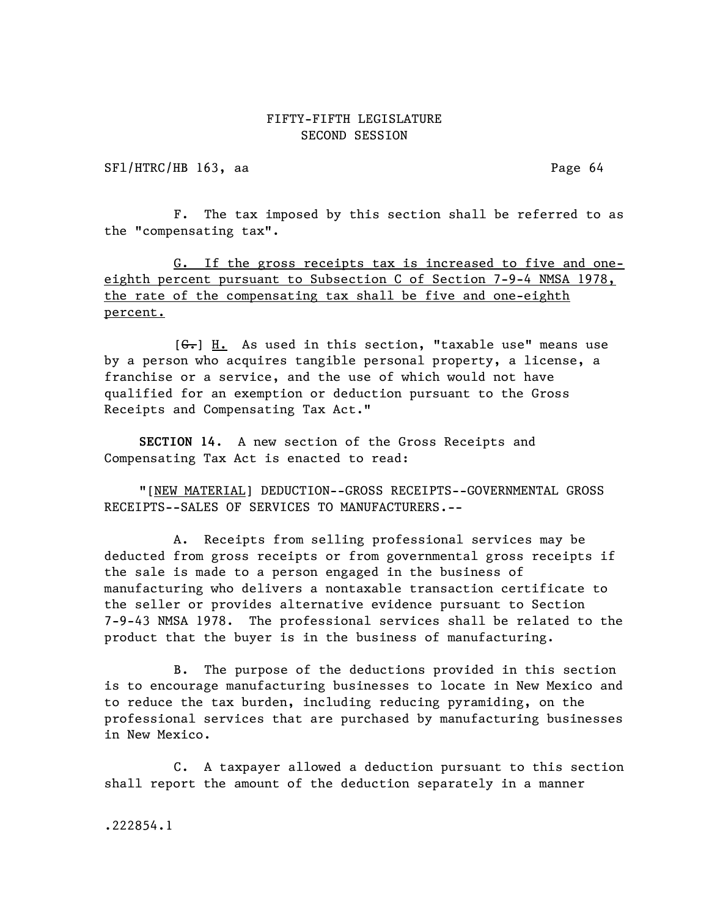SF1/HTRC/HB 163, aa Page 64

F. The tax imposed by this section shall be referred to as the "compensating tax".

G. If the gross receipts tax is increased to five and oneeighth percent pursuant to Subsection C of Section 7-9-4 NMSA 1978, the rate of the compensating tax shall be five and one-eighth percent.

[G.] H. As used in this section, "taxable use" means use by a person who acquires tangible personal property, a license, a franchise or a service, and the use of which would not have qualified for an exemption or deduction pursuant to the Gross Receipts and Compensating Tax Act."

SECTION 14. A new section of the Gross Receipts and Compensating Tax Act is enacted to read:

"[NEW MATERIAL] DEDUCTION--GROSS RECEIPTS--GOVERNMENTAL GROSS RECEIPTS--SALES OF SERVICES TO MANUFACTURERS.--

A. Receipts from selling professional services may be deducted from gross receipts or from governmental gross receipts if the sale is made to a person engaged in the business of manufacturing who delivers a nontaxable transaction certificate to the seller or provides alternative evidence pursuant to Section 7-9-43 NMSA 1978. The professional services shall be related to the product that the buyer is in the business of manufacturing.

B. The purpose of the deductions provided in this section is to encourage manufacturing businesses to locate in New Mexico and to reduce the tax burden, including reducing pyramiding, on the professional services that are purchased by manufacturing businesses in New Mexico.

C. A taxpayer allowed a deduction pursuant to this section shall report the amount of the deduction separately in a manner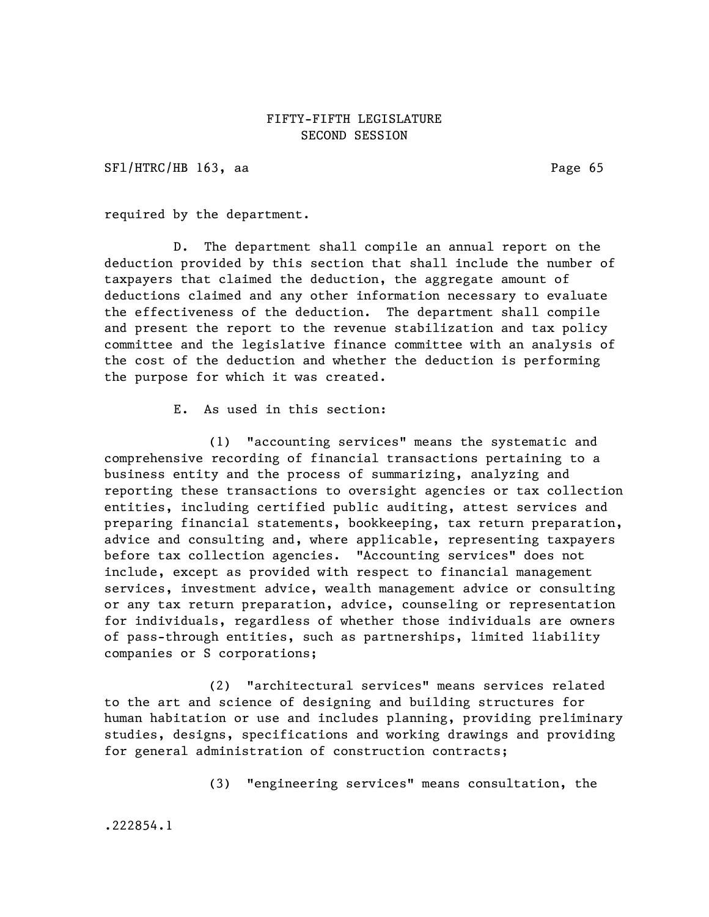SFl/HTRC/HB 163, aa Page 65

required by the department.

D. The department shall compile an annual report on the deduction provided by this section that shall include the number of taxpayers that claimed the deduction, the aggregate amount of deductions claimed and any other information necessary to evaluate the effectiveness of the deduction. The department shall compile and present the report to the revenue stabilization and tax policy committee and the legislative finance committee with an analysis of the cost of the deduction and whether the deduction is performing the purpose for which it was created.

E. As used in this section:

(1) "accounting services" means the systematic and comprehensive recording of financial transactions pertaining to a business entity and the process of summarizing, analyzing and reporting these transactions to oversight agencies or tax collection entities, including certified public auditing, attest services and preparing financial statements, bookkeeping, tax return preparation, advice and consulting and, where applicable, representing taxpayers before tax collection agencies. "Accounting services" does not include, except as provided with respect to financial management services, investment advice, wealth management advice or consulting or any tax return preparation, advice, counseling or representation for individuals, regardless of whether those individuals are owners of pass-through entities, such as partnerships, limited liability companies or S corporations;

(2) "architectural services" means services related to the art and science of designing and building structures for human habitation or use and includes planning, providing preliminary studies, designs, specifications and working drawings and providing for general administration of construction contracts;

(3) "engineering services" means consultation, the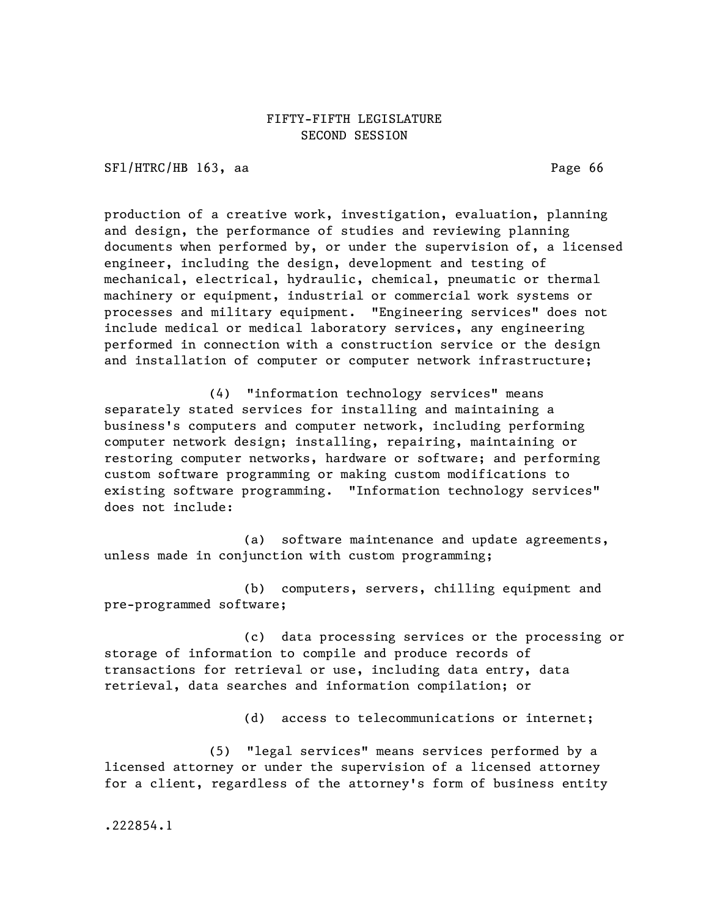SFl/HTRC/HB 163, aa Page 66

production of a creative work, investigation, evaluation, planning and design, the performance of studies and reviewing planning documents when performed by, or under the supervision of, a licensed engineer, including the design, development and testing of mechanical, electrical, hydraulic, chemical, pneumatic or thermal machinery or equipment, industrial or commercial work systems or processes and military equipment. "Engineering services" does not include medical or medical laboratory services, any engineering performed in connection with a construction service or the design and installation of computer or computer network infrastructure;

(4) "information technology services" means separately stated services for installing and maintaining a business's computers and computer network, including performing computer network design; installing, repairing, maintaining or restoring computer networks, hardware or software; and performing custom software programming or making custom modifications to existing software programming. "Information technology services" does not include:

(a) software maintenance and update agreements, unless made in conjunction with custom programming;

(b) computers, servers, chilling equipment and pre-programmed software;

(c) data processing services or the processing or storage of information to compile and produce records of transactions for retrieval or use, including data entry, data retrieval, data searches and information compilation; or

(d) access to telecommunications or internet;

(5) "legal services" means services performed by a licensed attorney or under the supervision of a licensed attorney for a client, regardless of the attorney's form of business entity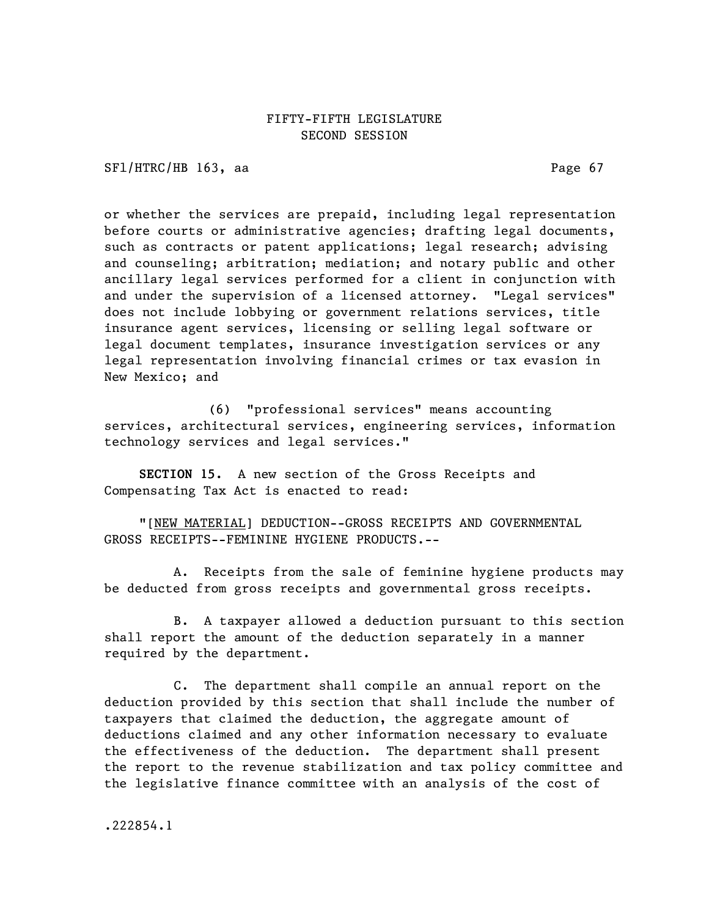SFl/HTRC/HB 163, aa Page 67

or whether the services are prepaid, including legal representation before courts or administrative agencies; drafting legal documents, such as contracts or patent applications; legal research; advising and counseling; arbitration; mediation; and notary public and other ancillary legal services performed for a client in conjunction with and under the supervision of a licensed attorney. "Legal services" does not include lobbying or government relations services, title insurance agent services, licensing or selling legal software or legal document templates, insurance investigation services or any legal representation involving financial crimes or tax evasion in New Mexico; and

(6) "professional services" means accounting services, architectural services, engineering services, information technology services and legal services."

SECTION 15. A new section of the Gross Receipts and Compensating Tax Act is enacted to read:

"[NEW MATERIAL] DEDUCTION--GROSS RECEIPTS AND GOVERNMENTAL GROSS RECEIPTS--FEMININE HYGIENE PRODUCTS.--

A. Receipts from the sale of feminine hygiene products may be deducted from gross receipts and governmental gross receipts.

B. A taxpayer allowed a deduction pursuant to this section shall report the amount of the deduction separately in a manner required by the department.

C. The department shall compile an annual report on the deduction provided by this section that shall include the number of taxpayers that claimed the deduction, the aggregate amount of deductions claimed and any other information necessary to evaluate the effectiveness of the deduction. The department shall present the report to the revenue stabilization and tax policy committee and the legislative finance committee with an analysis of the cost of